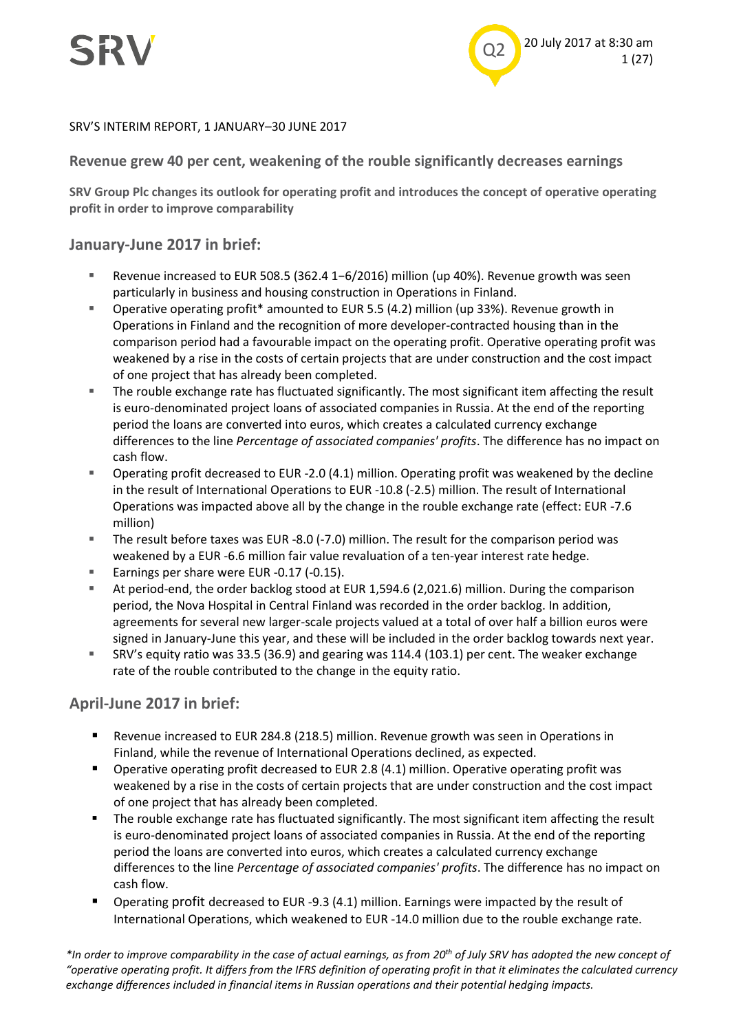

#### SRV'S INTERIM REPORT, 1 JANUARY–30 JUNE 2017

#### **Revenue grew 40 per cent, weakening of the rouble significantly decreases earnings**

**SRV Group Plc changes its outlook for operating profit and introduces the concept of operative operating profit in order to improve comparability**

#### **January-June 2017 in brief:**

- Revenue increased to EUR 508.5 (362.4 1−6/2016) million (up 40%). Revenue growth was seen particularly in business and housing construction in Operations in Finland.
- Operative operating profit\* amounted to EUR 5.5 (4.2) million (up 33%). Revenue growth in Operations in Finland and the recognition of more developer-contracted housing than in the comparison period had a favourable impact on the operating profit. Operative operating profit was weakened by a rise in the costs of certain projects that are under construction and the cost impact of one project that has already been completed.
- The rouble exchange rate has fluctuated significantly. The most significant item affecting the result is euro-denominated project loans of associated companies in Russia. At the end of the reporting period the loans are converted into euros, which creates a calculated currency exchange differences to the line *Percentage of associated companies' profits*. The difference has no impact on cash flow.
- Operating profit decreased to EUR -2.0 (4.1) million. Operating profit was weakened by the decline in the result of International Operations to EUR -10.8 (-2.5) million. The result of International Operations was impacted above all by the change in the rouble exchange rate (effect: EUR -7.6 million)
- The result before taxes was EUR -8.0 (-7.0) million. The result for the comparison period was weakened by a EUR -6.6 million fair value revaluation of a ten-year interest rate hedge.
- Earnings per share were EUR -0.17 (-0.15).
- At period-end, the order backlog stood at EUR 1,594.6 (2,021.6) million. During the comparison period, the Nova Hospital in Central Finland was recorded in the order backlog. In addition, agreements for several new larger-scale projects valued at a total of over half a billion euros were signed in January-June this year, and these will be included in the order backlog towards next year.
- SRV's equity ratio was 33.5 (36.9) and gearing was 114.4 (103.1) per cent. The weaker exchange rate of the rouble contributed to the change in the equity ratio.

#### **April-June 2017 in brief:**

- Revenue increased to EUR 284.8 (218.5) million. Revenue growth was seen in Operations in Finland, while the revenue of International Operations declined, as expected.
- Operative operating profit decreased to EUR 2.8 (4.1) million. Operative operating profit was weakened by a rise in the costs of certain projects that are under construction and the cost impact of one project that has already been completed.
- The rouble exchange rate has fluctuated significantly. The most significant item affecting the result is euro-denominated project loans of associated companies in Russia. At the end of the reporting period the loans are converted into euros, which creates a calculated currency exchange differences to the line *Percentage of associated companies' profits*. The difference has no impact on cash flow.
- Operating profit decreased to EUR -9.3 (4.1) million. Earnings were impacted by the result of International Operations, which weakened to EUR -14.0 million due to the rouble exchange rate.

*\*In order to improve comparability in the case of actual earnings, as from 20th of July SRV has adopted the new concept of "operative operating profit. It differs from the IFRS definition of operating profit in that it eliminates the calculated currency exchange differences included in financial items in Russian operations and their potential hedging impacts.*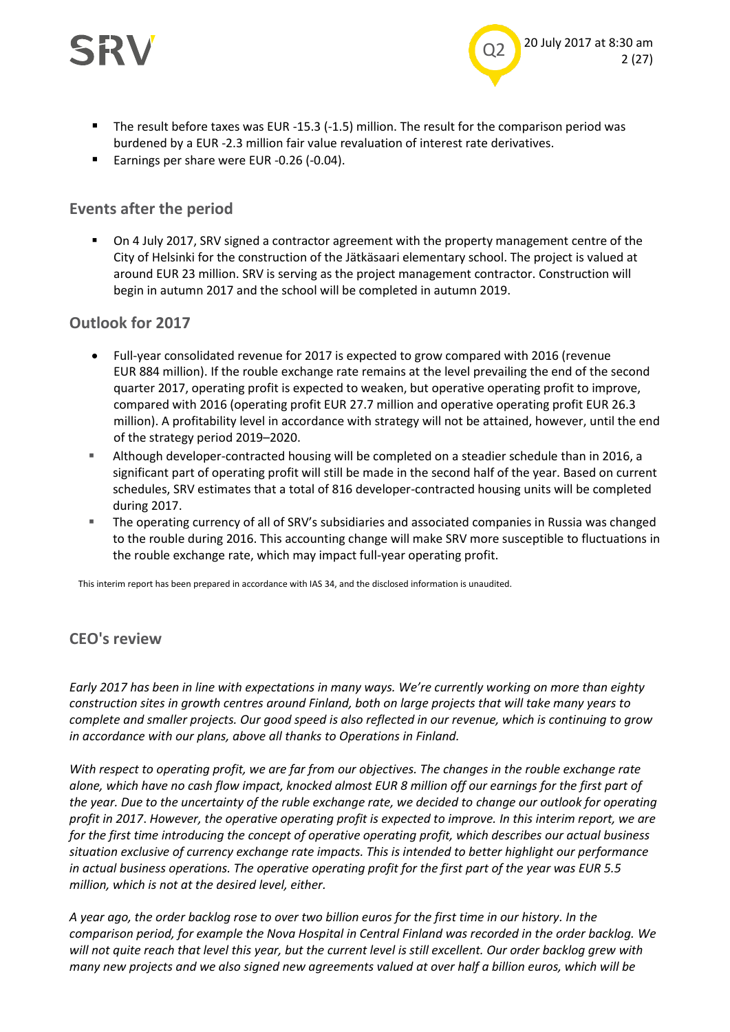



- The result before taxes was EUR -15.3 (-1.5) million. The result for the comparison period was burdened by a EUR -2.3 million fair value revaluation of interest rate derivatives.
- Earnings per share were EUR -0.26 (-0.04).

#### **Events after the period**

 On 4 July 2017, SRV signed a contractor agreement with the property management centre of the City of Helsinki for the construction of the Jätkäsaari elementary school. The project is valued at around EUR 23 million. SRV is serving as the project management contractor. Construction will begin in autumn 2017 and the school will be completed in autumn 2019.

#### **Outlook for 2017**

- Full-year consolidated revenue for 2017 is expected to grow compared with 2016 (revenue EUR 884 million). If the rouble exchange rate remains at the level prevailing the end of the second quarter 2017, operating profit is expected to weaken, but operative operating profit to improve, compared with 2016 (operating profit EUR 27.7 million and operative operating profit EUR 26.3 million). A profitability level in accordance with strategy will not be attained, however, until the end of the strategy period 2019–2020.
- Although developer-contracted housing will be completed on a steadier schedule than in 2016, a significant part of operating profit will still be made in the second half of the year. Based on current schedules, SRV estimates that a total of 816 developer-contracted housing units will be completed during 2017.
- The operating currency of all of SRV's subsidiaries and associated companies in Russia was changed to the rouble during 2016. This accounting change will make SRV more susceptible to fluctuations in the rouble exchange rate, which may impact full-year operating profit.

*CEO's review*  This interim report has been prepared in accordance with IAS 34, and the disclosed information is unaudited.

### **CEO's review**

*Early 2017 has been in line with expectations in many ways. We're currently working on more than eighty construction sites in growth centres around Finland, both on large projects that will take many years to complete and smaller projects. Our good speed is also reflected in our revenue, which is continuing to grow in accordance with our plans, above all thanks to Operations in Finland.*

*With respect to operating profit, we are far from our objectives. The changes in the rouble exchange rate alone, which have no cash flow impact, knocked almost EUR 8 million off our earnings for the first part of the year. Due to the uncertainty of the ruble exchange rate, we decided to change our outlook for operating profit in 2017*. *However, the operative operating profit is expected to improve. In this interim report, we are for the first time introducing the concept of operative operating profit, which describes our actual business situation exclusive of currency exchange rate impacts. This is intended to better highlight our performance in actual business operations. The operative operating profit for the first part of the year was EUR 5.5 million, which is not at the desired level, either.* 

*A year ago, the order backlog rose to over two billion euros for the first time in our history. In the comparison period, for example the Nova Hospital in Central Finland was recorded in the order backlog. We*  will not quite reach that level this year, but the current level is still excellent. Our order backlog grew with *many new projects and we also signed new agreements valued at over half a billion euros, which will be*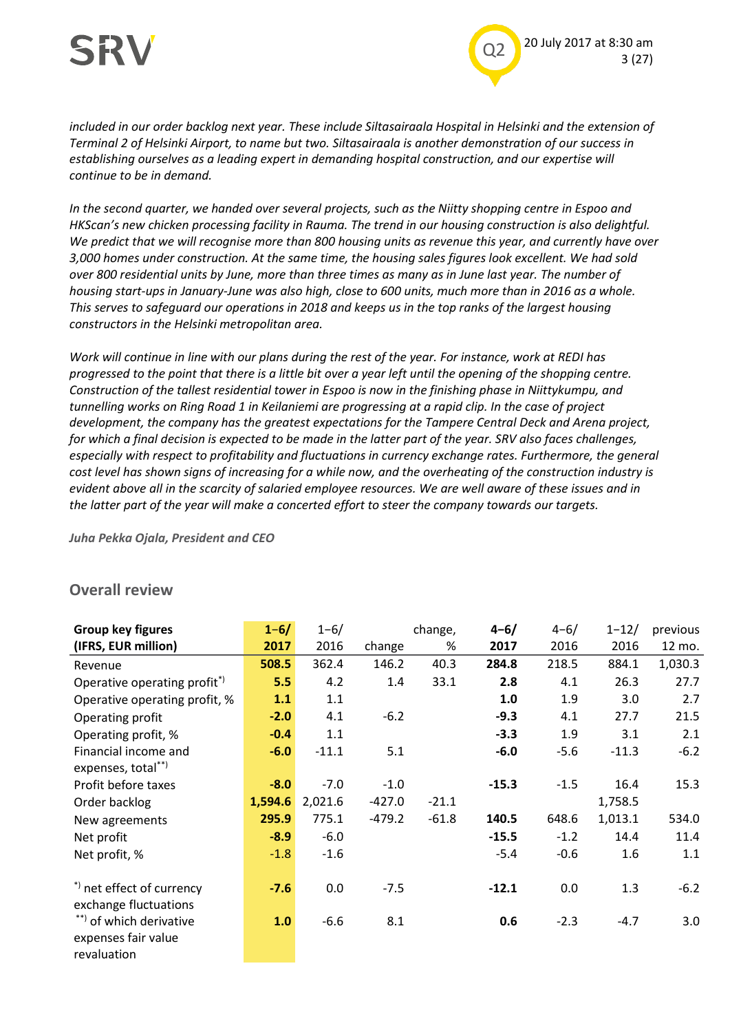

*included in our order backlog next year. These include Siltasairaala Hospital in Helsinki and the extension of Terminal 2 of Helsinki Airport, to name but two. Siltasairaala is another demonstration of our success in establishing ourselves as a leading expert in demanding hospital construction, and our expertise will continue to be in demand.*

*In the second quarter, we handed over several projects, such as the Niitty shopping centre in Espoo and HKScan's new chicken processing facility in Rauma. The trend in our housing construction is also delightful. We predict that we will recognise more than 800 housing units as revenue this year, and currently have over 3,000 homes under construction. At the same time, the housing sales figures look excellent. We had sold over 800 residential units by June, more than three times as many as in June last year. The number of housing start-ups in January-June was also high, close to 600 units, much more than in 2016 as a whole. This serves to safeguard our operations in 2018 and keeps us in the top ranks of the largest housing constructors in the Helsinki metropolitan area.*

*Work will continue in line with our plans during the rest of the year. For instance, work at REDI has progressed to the point that there is a little bit over a year left until the opening of the shopping centre. Construction of the tallest residential tower in Espoo is now in the finishing phase in Niittykumpu, and tunnelling works on Ring Road 1 in Keilaniemi are progressing at a rapid clip. In the case of project development, the company has the greatest expectations for the Tampere Central Deck and Arena project, for which a final decision is expected to be made in the latter part of the year. SRV also faces challenges,*  especially with respect to profitability and fluctuations in currency exchange rates. Furthermore, the general *cost level has shown signs of increasing for a while now, and the overheating of the construction industry is evident above all in the scarcity of salaried employee resources. We are well aware of these issues and in the latter part of the year will make a concerted effort to steer the company towards our targets.*

*Juha Pekka Ojala, President and CEO*

#### **Overall review**

| <b>Group key figures</b>      | $1 - 6/$ | $1 - 6/$ |          | change, | $4 - 6/$ | $4 - 6/$ | $1 - 12/$ | previous |
|-------------------------------|----------|----------|----------|---------|----------|----------|-----------|----------|
| (IFRS, EUR million)           | 2017     | 2016     | change   | %       | 2017     | 2016     | 2016      | 12 mo.   |
| Revenue                       | 508.5    | 362.4    | 146.2    | 40.3    | 284.8    | 218.5    | 884.1     | 1,030.3  |
| Operative operating profit*)  | 5.5      | 4.2      | 1.4      | 33.1    | 2.8      | 4.1      | 26.3      | 27.7     |
| Operative operating profit, % | 1.1      | 1.1      |          |         | 1.0      | 1.9      | 3.0       | 2.7      |
| Operating profit              | $-2.0$   | 4.1      | $-6.2$   |         | $-9.3$   | 4.1      | 27.7      | 21.5     |
| Operating profit, %           | $-0.4$   | 1.1      |          |         | $-3.3$   | 1.9      | 3.1       | 2.1      |
| Financial income and          | $-6.0$   | $-11.1$  | 5.1      |         | $-6.0$   | $-5.6$   | $-11.3$   | $-6.2$   |
| expenses, total**)            |          |          |          |         |          |          |           |          |
| Profit before taxes           | $-8.0$   | $-7.0$   | $-1.0$   |         | $-15.3$  | $-1.5$   | 16.4      | 15.3     |
| Order backlog                 | 1,594.6  | 2,021.6  | $-427.0$ | $-21.1$ |          |          | 1,758.5   |          |
| New agreements                | 295.9    | 775.1    | $-479.2$ | $-61.8$ | 140.5    | 648.6    | 1,013.1   | 534.0    |
| Net profit                    | $-8.9$   | $-6.0$   |          |         | $-15.5$  | $-1.2$   | 14.4      | 11.4     |
| Net profit, %                 | $-1.8$   | $-1.6$   |          |         | $-5.4$   | $-0.6$   | 1.6       | 1.1      |
|                               |          |          |          |         |          |          |           |          |
| *) net effect of currency     | $-7.6$   | 0.0      | $-7.5$   |         | $-12.1$  | 0.0      | 1.3       | $-6.2$   |
| exchange fluctuations         |          |          |          |         |          |          |           |          |
| **) of which derivative       | 1.0      | $-6.6$   | 8.1      |         | 0.6      | $-2.3$   | $-4.7$    | 3.0      |
| expenses fair value           |          |          |          |         |          |          |           |          |
| revaluation                   |          |          |          |         |          |          |           |          |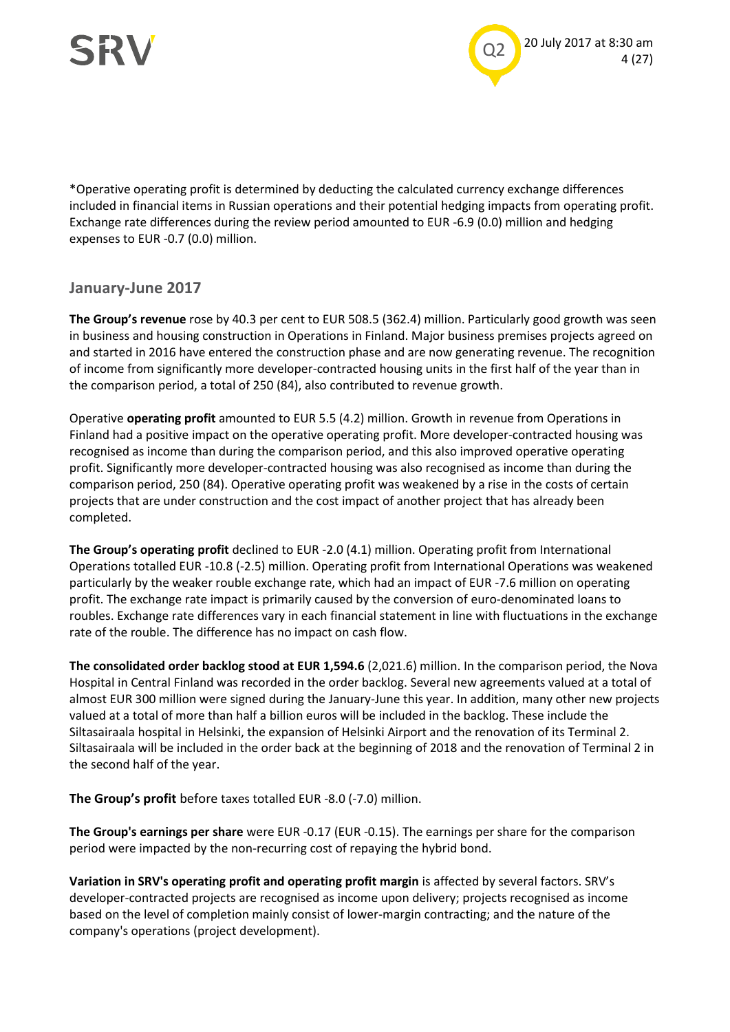



\*Operative operating profit is determined by deducting the calculated currency exchange differences included in financial items in Russian operations and their potential hedging impacts from operating profit. Exchange rate differences during the review period amounted to EUR -6.9 (0.0) million and hedging expenses to EUR -0.7 (0.0) million.

#### **January-June 2017**

**The Group's revenue** rose by 40.3 per cent to EUR 508.5 (362.4) million. Particularly good growth was seen in business and housing construction in Operations in Finland. Major business premises projects agreed on and started in 2016 have entered the construction phase and are now generating revenue. The recognition of income from significantly more developer-contracted housing units in the first half of the year than in the comparison period, a total of 250 (84), also contributed to revenue growth.

Operative **operating profit** amounted to EUR 5.5 (4.2) million. Growth in revenue from Operations in Finland had a positive impact on the operative operating profit. More developer-contracted housing was recognised as income than during the comparison period, and this also improved operative operating profit. Significantly more developer-contracted housing was also recognised as income than during the comparison period, 250 (84). Operative operating profit was weakened by a rise in the costs of certain projects that are under construction and the cost impact of another project that has already been completed.

**The Group's operating profit** declined to EUR -2.0 (4.1) million. Operating profit from International Operations totalled EUR -10.8 (-2.5) million. Operating profit from International Operations was weakened particularly by the weaker rouble exchange rate, which had an impact of EUR -7.6 million on operating profit. The exchange rate impact is primarily caused by the conversion of euro-denominated loans to roubles. Exchange rate differences vary in each financial statement in line with fluctuations in the exchange rate of the rouble. The difference has no impact on cash flow.

**The consolidated order backlog stood at EUR 1,594.6** (2,021.6) million. In the comparison period, the Nova Hospital in Central Finland was recorded in the order backlog. Several new agreements valued at a total of almost EUR 300 million were signed during the January-June this year. In addition, many other new projects valued at a total of more than half a billion euros will be included in the backlog. These include the Siltasairaala hospital in Helsinki, the expansion of Helsinki Airport and the renovation of its Terminal 2. Siltasairaala will be included in the order back at the beginning of 2018 and the renovation of Terminal 2 in the second half of the year.

**The Group's profit** before taxes totalled EUR -8.0 (-7.0) million.

**The Group's earnings per share** were EUR -0.17 (EUR -0.15). The earnings per share for the comparison period were impacted by the non-recurring cost of repaying the hybrid bond.

**Variation in SRV's operating profit and operating profit margin** is affected by several factors. SRV's developer-contracted projects are recognised as income upon delivery; projects recognised as income based on the level of completion mainly consist of lower-margin contracting; and the nature of the company's operations (project development).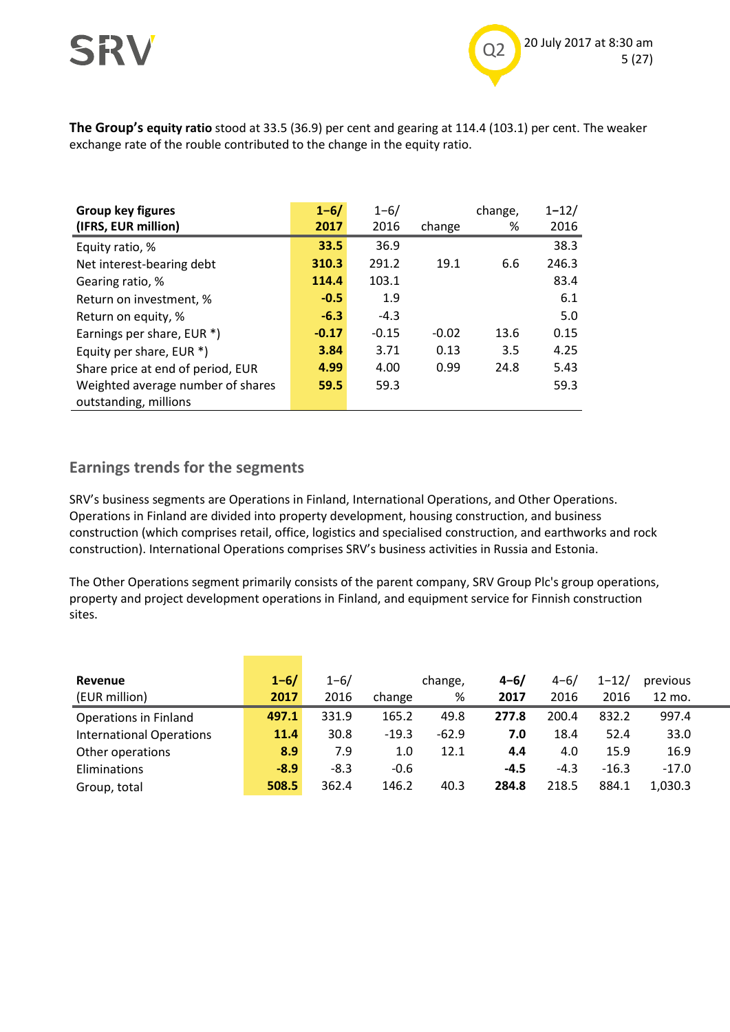

**The Group's equity ratio** stood at 33.5 (36.9) per cent and gearing at 114.4 (103.1) per cent. The weaker exchange rate of the rouble contributed to the change in the equity ratio.

| Group key figures                 | $1 - 6/$ | $1 - 6/$ |         | change, | $1 - 12/$ |
|-----------------------------------|----------|----------|---------|---------|-----------|
| (IFRS, EUR million)               | 2017     | 2016     | change  | %       | 2016      |
| Equity ratio, %                   | 33.5     | 36.9     |         |         | 38.3      |
| Net interest-bearing debt         | 310.3    | 291.2    | 19.1    | 6.6     | 246.3     |
| Gearing ratio, %                  | 114.4    | 103.1    |         |         | 83.4      |
| Return on investment, %           | $-0.5$   | 1.9      |         |         | 6.1       |
| Return on equity, %               | $-6.3$   | $-4.3$   |         |         | 5.0       |
| Earnings per share, EUR *)        | $-0.17$  | $-0.15$  | $-0.02$ | 13.6    | 0.15      |
| Equity per share, EUR *)          | 3.84     | 3.71     | 0.13    | 3.5     | 4.25      |
| Share price at end of period, EUR | 4.99     | 4.00     | 0.99    | 24.8    | 5.43      |
| Weighted average number of shares | 59.5     | 59.3     |         |         | 59.3      |
| outstanding, millions             |          |          |         |         |           |

### **Earnings trends for the segments**

SRV's business segments are Operations in Finland, International Operations, and Other Operations. Operations in Finland are divided into property development, housing construction, and business construction (which comprises retail, office, logistics and specialised construction, and earthworks and rock construction). International Operations comprises SRV's business activities in Russia and Estonia.

The Other Operations segment primarily consists of the parent company, SRV Group Plc's group operations, property and project development operations in Finland, and equipment service for Finnish construction sites.

| Revenue<br>(EUR million)        | $1 - 6/$<br>2017 | $1 - 6/$<br>2016 | change  | change,<br>% | $4 - 6/$<br>2017 | $4 - 6/$<br>2016 | $1 - 12/$<br>2016 | previous<br>12 mo. |
|---------------------------------|------------------|------------------|---------|--------------|------------------|------------------|-------------------|--------------------|
| <b>Operations in Finland</b>    | 497.1            | 331.9            | 165.2   | 49.8         | 277.8            | 200.4            | 832.2             | 997.4              |
| <b>International Operations</b> | 11.4             | 30.8             | $-19.3$ | $-62.9$      | 7.0              | 18.4             | 52.4              | 33.0               |
| Other operations                | 8.9              | 7.9              | 1.0     | 12.1         | 4.4              | 4.0              | 15.9              | 16.9               |
| Eliminations                    | $-8.9$           | $-8.3$           | $-0.6$  |              | $-4.5$           | $-4.3$           | $-16.3$           | $-17.0$            |
| Group, total                    | 508.5            | 362.4            | 146.2   | 40.3         | 284.8            | 218.5            | 884.1             | 1,030.3            |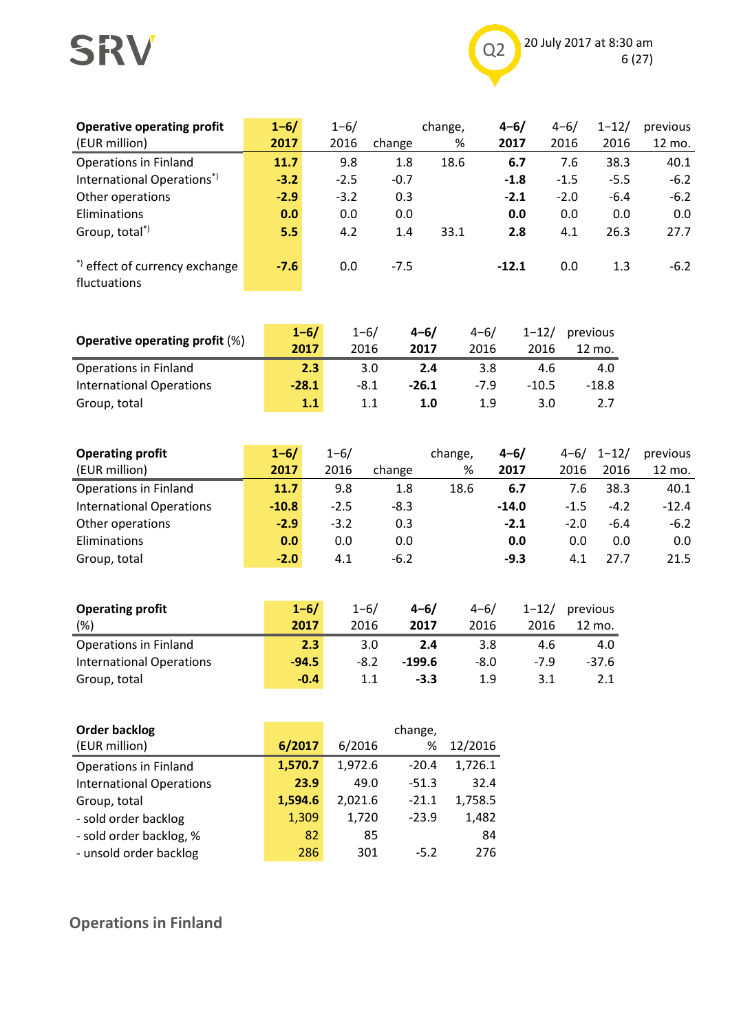## SRV



| <b>Operative operating profit</b><br>(EUR million)    | $1 - 6/$<br>2017 | $1 - 6/$<br>2016 | change | change,<br>% | $4 - 6/$<br>2017 | $4 - 6/$<br>2016 | $1 - 12/$<br>2016 | previous<br>12 mo. |
|-------------------------------------------------------|------------------|------------------|--------|--------------|------------------|------------------|-------------------|--------------------|
| <b>Operations in Finland</b>                          | 11.7             | 9.8              | 1.8    | 18.6         | 6.7              | 7.6              | 38.3              | 40.1               |
| International Operations <sup>*)</sup>                | $-3.2$           | $-2.5$           | $-0.7$ |              | $-1.8$           | $-1.5$           | $-5.5$            | $-6.2$             |
| Other operations                                      | $-2.9$           | $-3.2$           | 0.3    |              | $-2.1$           | $-2.0$           | $-6.4$            | $-6.2$             |
| Eliminations                                          | 0.0              | 0.0              | 0.0    |              | 0.0              | 0.0              | 0.0               | 0.0                |
| Group, total <sup>*)</sup>                            | 5.5              | 4.2              | 1.4    | 33.1         | 2.8              | 4.1              | 26.3              | 27.7               |
| *) effect of currency exchange<br><b>fluctuations</b> | $-7.6$           | 0.0              | $-7.5$ |              | $-12.1$          | 0.0              | 1.3               | $-6.2$             |

|                                       | $1 - 6/$ | $1 - 6/$ | $4 - 6/$ | $4 - 6/$ | $1 - 12/$ | previous |
|---------------------------------------|----------|----------|----------|----------|-----------|----------|
| <b>Operative operating profit (%)</b> | 2017     | 2016     | 2017     | 2016     | 2016      | 12 mo.   |
| <b>Operations in Finland</b>          | 2.3      | 3.0      | 2.4      | 3.8      | 4.6       | 4.0      |
| <b>International Operations</b>       | $-28.1$  | $-8.1$   | $-26.1$  | $-7.9$   | $-10.5$   | $-18.8$  |
| Group, total                          | 1.1      | 1.1      | 1.0      | 1.9      | 3.0       |          |

| <b>Operating profit</b>         | $1 - 6/$ | $1 - 6/$ |        | change, | $4 - 6/$ | $4 - 6/$ | $1 - 12/$ | previous |
|---------------------------------|----------|----------|--------|---------|----------|----------|-----------|----------|
| (EUR million)                   | 2017     | 2016     | change | %       | 2017     | 2016     | 2016      | 12 mo.   |
| <b>Operations in Finland</b>    | 11.7     | 9.8      | 1.8    | 18.6    | 6.7      | 7.6      | 38.3      | 40.1     |
| <b>International Operations</b> | $-10.8$  | $-2.5$   | $-8.3$ |         | $-14.0$  | $-1.5$   | $-4.2$    | $-12.4$  |
| Other operations                | $-2.9$   | $-3.2$   | 0.3    |         | $-2.1$   | $-2.0$   | $-6.4$    | $-6.2$   |
| Eliminations                    | 0.0      | 0.0      | 0.0    |         | 0.0      | 0.0      | 0.0       | 0.0      |
| Group, total                    | $-2.0$   | 4.1      | $-6.2$ |         | $-9.3$   | 4.1      | 27.7      | 21.5     |

| <b>Operating profit</b>         | $1 - 6/$ | $1 - 6/$ | $4 - 6/$ | $4 - 6/$ | $1 - 12/$ | previous |
|---------------------------------|----------|----------|----------|----------|-----------|----------|
| (%)                             | 2017     | 2016     | 2017     | 2016     | 2016      | 12 mo.   |
| <b>Operations in Finland</b>    | 2.3      | 3.0      | 2.4      | 3.8      | 4.6       | 4.0      |
| <b>International Operations</b> | $-94.5$  | $-8.2$   | $-199.6$ | -8.0     | $-7.9$    | $-37.6$  |
| Group, total                    | $-0.4$   | 1.1      | $-3.3$   | 1.9      | 3.1       |          |

| <b>Order backlog</b>            |         |         | change, |         |
|---------------------------------|---------|---------|---------|---------|
| (EUR million)                   | 6/2017  | 6/2016  | %       | 12/2016 |
| <b>Operations in Finland</b>    | 1,570.7 | 1,972.6 | $-20.4$ | 1,726.1 |
| <b>International Operations</b> | 23.9    | 49.0    | $-51.3$ | 32.4    |
| Group, total                    | 1,594.6 | 2,021.6 | $-21.1$ | 1,758.5 |
| - sold order backlog            | 1,309   | 1,720   | $-23.9$ | 1,482   |
| - sold order backlog, %         | 82      | 85      |         | 84      |
| - unsold order backlog          | 286     | 301     | $-5.2$  | 276     |

**Operations in Finland**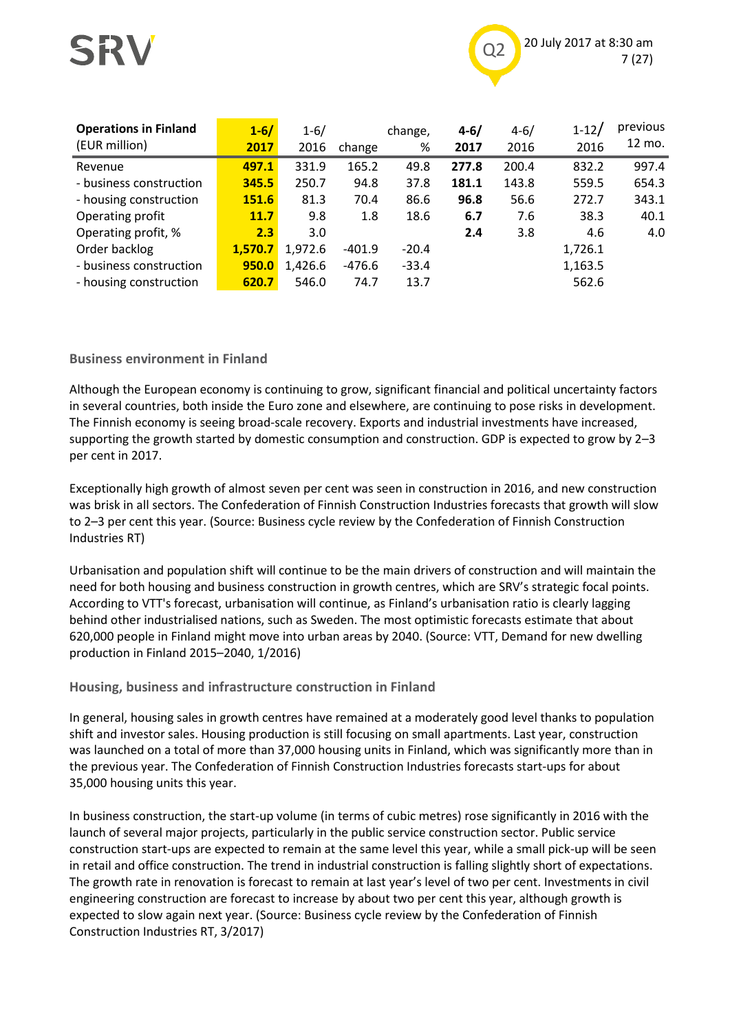

| <b>Operations in Finland</b><br>(EUR million) | $1 - 6/$<br>2017 | $1 - 6/$<br>2016 | change   | change,<br>% | $4 - 6/$<br>2017 | $4 - 6/$<br>2016 | $1 - 12/$<br>2016 | previous<br>12 mo. |
|-----------------------------------------------|------------------|------------------|----------|--------------|------------------|------------------|-------------------|--------------------|
| Revenue                                       | 497.1            | 331.9            | 165.2    | 49.8         | 277.8            | 200.4            | 832.2             | 997.4              |
| - business construction                       | 345.5            | 250.7            | 94.8     | 37.8         | 181.1            | 143.8            | 559.5             | 654.3              |
| - housing construction                        | 151.6            | 81.3             | 70.4     | 86.6         | 96.8             | 56.6             | 272.7             | 343.1              |
| Operating profit                              | 11.7             | 9.8              | 1.8      | 18.6         | 6.7              | 7.6              | 38.3              | 40.1               |
| Operating profit, %                           | 2.3              | 3.0              |          |              | 2.4              | 3.8              | 4.6               | 4.0                |
| Order backlog                                 | 1.570.7          | 1,972.6          | $-401.9$ | $-20.4$      |                  |                  | 1,726.1           |                    |
| - business construction                       | 950.0            | 1,426.6          | $-476.6$ | $-33.4$      |                  |                  | 1,163.5           |                    |
| - housing construction                        | 620.7            | 546.0            | 74.7     | 13.7         |                  |                  | 562.6             |                    |

#### **Business environment in Finland**

Although the European economy is continuing to grow, significant financial and political uncertainty factors in several countries, both inside the Euro zone and elsewhere, are continuing to pose risks in development. The Finnish economy is seeing broad-scale recovery. Exports and industrial investments have increased, supporting the growth started by domestic consumption and construction. GDP is expected to grow by 2–3 per cent in 2017.

Exceptionally high growth of almost seven per cent was seen in construction in 2016, and new construction was brisk in all sectors. The Confederation of Finnish Construction Industries forecasts that growth will slow to 2–3 per cent this year. (Source: Business cycle review by the Confederation of Finnish Construction Industries RT)

Urbanisation and population shift will continue to be the main drivers of construction and will maintain the need for both housing and business construction in growth centres, which are SRV's strategic focal points. According to VTT's forecast, urbanisation will continue, as Finland's urbanisation ratio is clearly lagging behind other industrialised nations, such as Sweden. The most optimistic forecasts estimate that about 620,000 people in Finland might move into urban areas by 2040. (Source: VTT, Demand for new dwelling production in Finland 2015–2040, 1/2016)

#### **Housing, business and infrastructure construction in Finland**

In general, housing sales in growth centres have remained at a moderately good level thanks to population shift and investor sales. Housing production is still focusing on small apartments. Last year, construction was launched on a total of more than 37,000 housing units in Finland, which was significantly more than in the previous year. The Confederation of Finnish Construction Industries forecasts start-ups for about 35,000 housing units this year.

In business construction, the start-up volume (in terms of cubic metres) rose significantly in 2016 with the launch of several major projects, particularly in the public service construction sector. Public service construction start-ups are expected to remain at the same level this year, while a small pick-up will be seen in retail and office construction. The trend in industrial construction is falling slightly short of expectations. The growth rate in renovation is forecast to remain at last year's level of two per cent. Investments in civil engineering construction are forecast to increase by about two per cent this year, although growth is expected to slow again next year. (Source: Business cycle review by the Confederation of Finnish Construction Industries RT, 3/2017)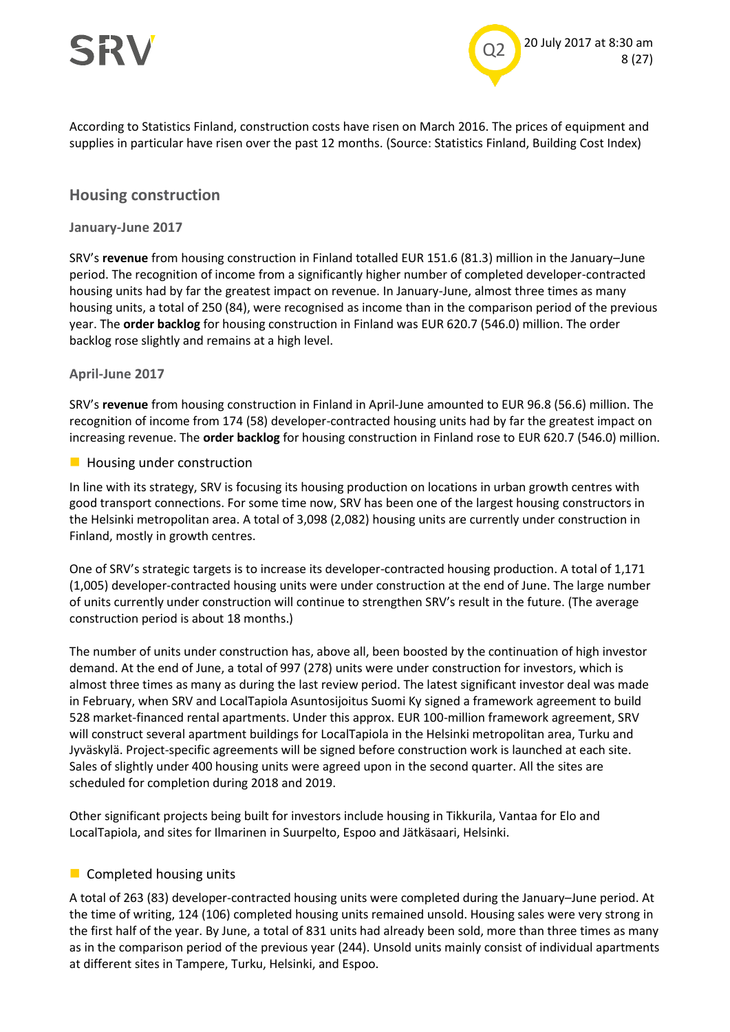



According to Statistics Finland, construction costs have risen on March 2016. The prices of equipment and supplies in particular have risen over the past 12 months. (Source: Statistics Finland, Building Cost Index)

#### **Housing construction**

#### **January-June 2017**

SRV's **revenue** from housing construction in Finland totalled EUR 151.6 (81.3) million in the January–June period. The recognition of income from a significantly higher number of completed developer-contracted housing units had by far the greatest impact on revenue. In January-June, almost three times as many housing units, a total of 250 (84), were recognised as income than in the comparison period of the previous year. The **order backlog** for housing construction in Finland was EUR 620.7 (546.0) million. The order backlog rose slightly and remains at a high level.

#### **April-June 2017**

SRV's **revenue** from housing construction in Finland in April-June amounted to EUR 96.8 (56.6) million. The recognition of income from 174 (58) developer-contracted housing units had by far the greatest impact on increasing revenue. The **order backlog** for housing construction in Finland rose to EUR 620.7 (546.0) million.

#### **Housing under construction**

In line with its strategy, SRV is focusing its housing production on locations in urban growth centres with good transport connections. For some time now, SRV has been one of the largest housing constructors in the Helsinki metropolitan area. A total of 3,098 (2,082) housing units are currently under construction in Finland, mostly in growth centres.

One of SRV's strategic targets is to increase its developer-contracted housing production. A total of 1,171 (1,005) developer-contracted housing units were under construction at the end of June. The large number of units currently under construction will continue to strengthen SRV's result in the future. (The average construction period is about 18 months.)

The number of units under construction has, above all, been boosted by the continuation of high investor demand. At the end of June, a total of 997 (278) units were under construction for investors, which is almost three times as many as during the last review period. The latest significant investor deal was made in February, when SRV and LocalTapiola Asuntosijoitus Suomi Ky signed a framework agreement to build 528 market-financed rental apartments. Under this approx. EUR 100-million framework agreement, SRV will construct several apartment buildings for LocalTapiola in the Helsinki metropolitan area, Turku and Jyväskylä. Project-specific agreements will be signed before construction work is launched at each site. Sales of slightly under 400 housing units were agreed upon in the second quarter. All the sites are scheduled for completion during 2018 and 2019.

Other significant projects being built for investors include housing in Tikkurila, Vantaa for Elo and LocalTapiola, and sites for Ilmarinen in Suurpelto, Espoo and Jätkäsaari, Helsinki.

#### **Completed housing units**

A total of 263 (83) developer-contracted housing units were completed during the January–June period. At the time of writing, 124 (106) completed housing units remained unsold. Housing sales were very strong in the first half of the year. By June, a total of 831 units had already been sold, more than three times as many as in the comparison period of the previous year (244). Unsold units mainly consist of individual apartments at different sites in Tampere, Turku, Helsinki, and Espoo.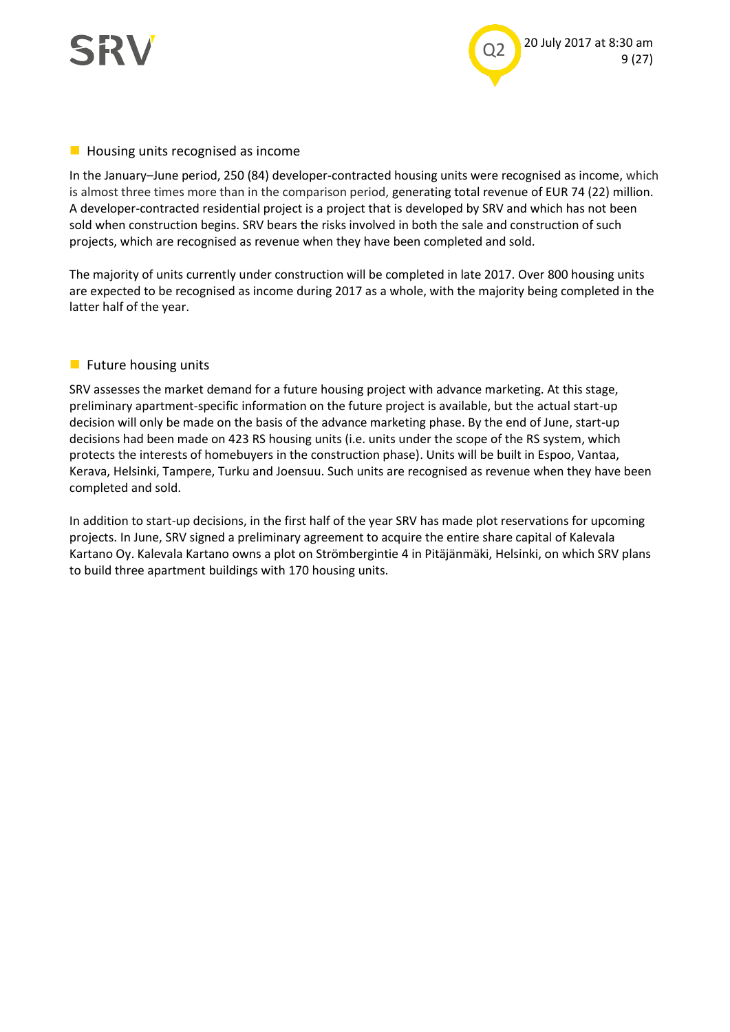



#### **Housing units recognised as income**

In the January–June period, 250 (84) developer-contracted housing units were recognised as income, which is almost three times more than in the comparison period, generating total revenue of EUR 74 (22) million. A developer-contracted residential project is a project that is developed by SRV and which has not been sold when construction begins. SRV bears the risks involved in both the sale and construction of such projects, which are recognised as revenue when they have been completed and sold.

The majority of units currently under construction will be completed in late 2017. Over 800 housing units are expected to be recognised as income during 2017 as a whole, with the majority being completed in the latter half of the year.

#### $\blacksquare$  Future housing units

SRV assesses the market demand for a future housing project with advance marketing. At this stage, preliminary apartment-specific information on the future project is available, but the actual start-up decision will only be made on the basis of the advance marketing phase. By the end of June, start-up decisions had been made on 423 RS housing units (i.e. units under the scope of the RS system, which protects the interests of homebuyers in the construction phase). Units will be built in Espoo, Vantaa, Kerava, Helsinki, Tampere, Turku and Joensuu. Such units are recognised as revenue when they have been completed and sold.

In addition to start-up decisions, in the first half of the year SRV has made plot reservations for upcoming projects. In June, SRV signed a preliminary agreement to acquire the entire share capital of Kalevala Kartano Oy. Kalevala Kartano owns a plot on Strömbergintie 4 in Pitäjänmäki, Helsinki, on which SRV plans to build three apartment buildings with 170 housing units.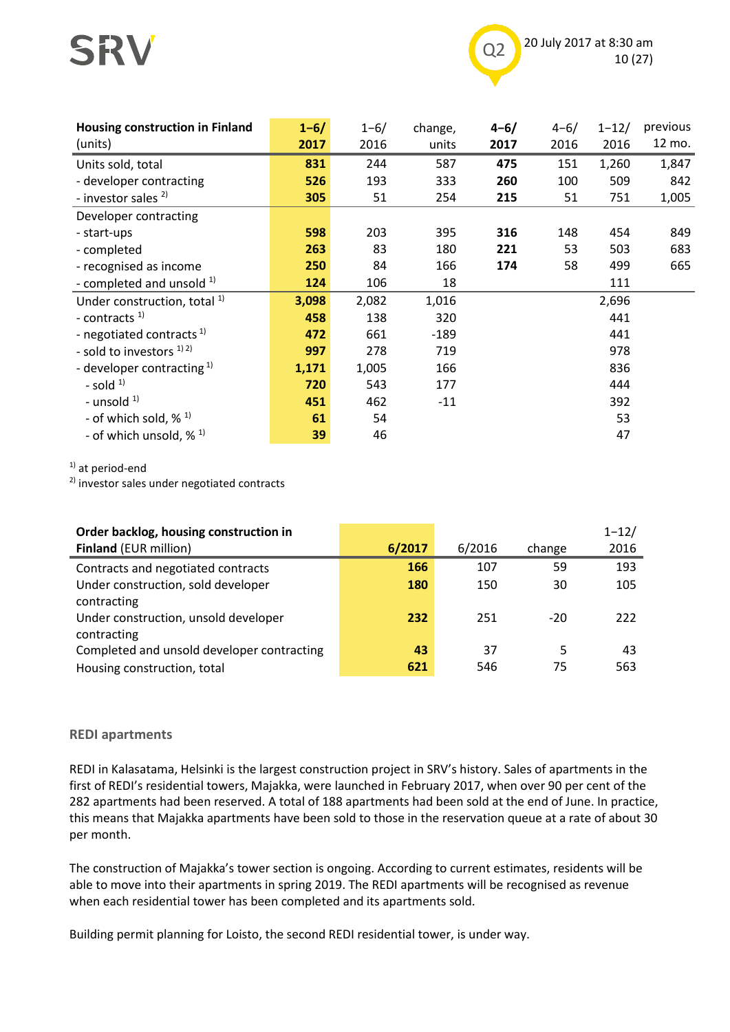



| <b>Housing construction in Finland</b>  | $1 - 6/$ | $1 - 6/$ | change, | $4 - 6/$ | $4 - 6/$ | $1 - 12/$ | previous |
|-----------------------------------------|----------|----------|---------|----------|----------|-----------|----------|
| (units)                                 | 2017     | 2016     | units   | 2017     | 2016     | 2016      | 12 mo.   |
| Units sold, total                       | 831      | 244      | 587     | 475      | 151      | 1,260     | 1,847    |
| - developer contracting                 | 526      | 193      | 333     | 260      | 100      | 509       | 842      |
| - investor sales <sup>2)</sup>          | 305      | 51       | 254     | 215      | 51       | 751       | 1,005    |
| Developer contracting                   |          |          |         |          |          |           |          |
| - start-ups                             | 598      | 203      | 395     | 316      | 148      | 454       | 849      |
| - completed                             | 263      | 83       | 180     | 221      | 53       | 503       | 683      |
| - recognised as income                  | 250      | 84       | 166     | 174      | 58       | 499       | 665      |
| - completed and unsold $1$ )            | 124      | 106      | 18      |          |          | 111       |          |
| Under construction, total <sup>1)</sup> | 3,098    | 2,082    | 1,016   |          |          | 2,696     |          |
| - contracts <sup>1)</sup>               | 458      | 138      | 320     |          |          | 441       |          |
| - negotiated contracts <sup>1)</sup>    | 472      | 661      | $-189$  |          |          | 441       |          |
| - sold to investors <sup>1)2)</sup>     | 997      | 278      | 719     |          |          | 978       |          |
| - developer contracting $1$             | 1,171    | 1,005    | 166     |          |          | 836       |          |
| - sold $1$                              | 720      | 543      | 177     |          |          | 444       |          |
| - unsold $1$ )                          | 451      | 462      | $-11$   |          |          | 392       |          |
| - of which sold, $\%$ <sup>1)</sup>     | 61       | 54       |         |          |          | 53        |          |
| - of which unsold, $\frac{1}{2}$ 1)     | 39       | 46       |         |          |          | 47        |          |

 $1)$  at period-end

2) investor sales under negotiated contracts

| Order backlog, housing construction in     |        |        |        | $1 - 12/$ |
|--------------------------------------------|--------|--------|--------|-----------|
| <b>Finland (EUR million)</b>               | 6/2017 | 6/2016 | change | 2016      |
| Contracts and negotiated contracts         | 166    | 107    | 59     | 193       |
| Under construction, sold developer         | 180    | 150    | 30     | 105       |
| contracting                                |        |        |        |           |
| Under construction, unsold developer       | 232    | 251    | $-20$  | 222       |
| contracting                                |        |        |        |           |
| Completed and unsold developer contracting | 43     | 37     | 5      | 43        |
| Housing construction, total                | 621    | 546    | 75     | 563       |

#### **REDI apartments**

REDI in Kalasatama, Helsinki is the largest construction project in SRV's history. Sales of apartments in the first of REDI's residential towers, Majakka, were launched in February 2017, when over 90 per cent of the 282 apartments had been reserved. A total of 188 apartments had been sold at the end of June. In practice, this means that Majakka apartments have been sold to those in the reservation queue at a rate of about 30 per month.

The construction of Majakka's tower section is ongoing. According to current estimates, residents will be able to move into their apartments in spring 2019. The REDI apartments will be recognised as revenue when each residential tower has been completed and its apartments sold.

Building permit planning for Loisto, the second REDI residential tower, is under way.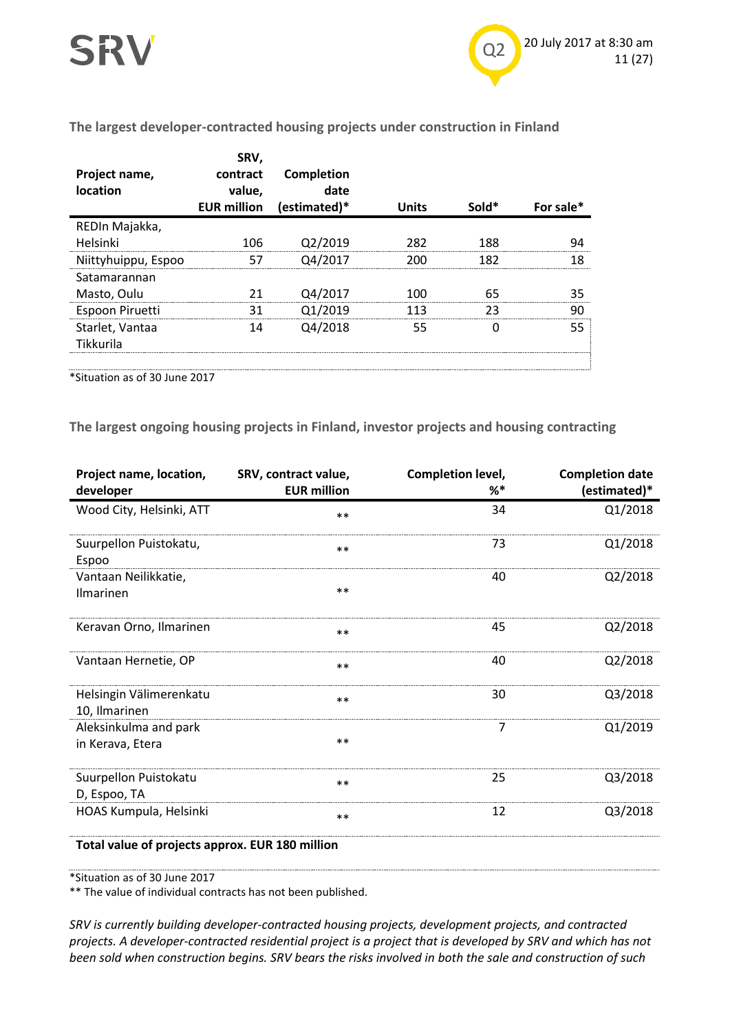#### **The largest developer-contracted housing projects under construction in Finland**

| Project name,<br>location | SRV,<br>contract<br>value.<br><b>EUR million</b> | Completion<br>date<br>(estimated)* | <b>Units</b> | Sold* | For sale* |
|---------------------------|--------------------------------------------------|------------------------------------|--------------|-------|-----------|
| REDIn Majakka,            |                                                  |                                    |              |       |           |
| Helsinki                  | 106                                              | Q2/2019                            | 282          | 188   | 94        |
| Niittyhuippu, Espoo       | 57                                               | Q4/2017                            | 200          | 182   | 18        |
| Satamarannan              |                                                  |                                    |              |       |           |
| Masto, Oulu               | 21                                               | Q4/2017                            | 100          | 65    | 35        |
| Espoon Piruetti           | 31                                               | Q1/2019                            | 113          | 23    | 90        |
| Starlet, Vantaa           | 14                                               | Q4/2018                            | 55           |       | 55        |
| Tikkurila                 |                                                  |                                    |              |       |           |
|                           |                                                  |                                    |              |       |           |

\*Situation as of 30 June 2017

**The largest ongoing housing projects in Finland, investor projects and housing contracting**

| Project name, location,<br>developer            | SRV, contract value,<br><b>EUR million</b> | Completion level,<br>%* | <b>Completion date</b><br>(estimated)* |  |  |  |  |
|-------------------------------------------------|--------------------------------------------|-------------------------|----------------------------------------|--|--|--|--|
| Wood City, Helsinki, ATT                        | $***$                                      | 34                      | Q1/2018                                |  |  |  |  |
| Suurpellon Puistokatu,<br>Espoo                 | $**$                                       | 73                      | Q1/2018                                |  |  |  |  |
| Vantaan Neilikkatie,<br>Ilmarinen               | $***$                                      | 40                      | Q2/2018                                |  |  |  |  |
| Keravan Orno, Ilmarinen                         | $***$                                      | 45                      | Q2/2018                                |  |  |  |  |
| Vantaan Hernetie, OP                            | $***$                                      | 40                      | Q2/2018                                |  |  |  |  |
| Helsingin Välimerenkatu<br>10, Ilmarinen        | $**$                                       | 30                      | Q3/2018                                |  |  |  |  |
| Aleksinkulma and park<br>in Kerava, Etera       | $***$                                      | 7                       | Q1/2019                                |  |  |  |  |
| Suurpellon Puistokatu<br>D, Espoo, TA           | $***$                                      | 25                      | Q3/2018                                |  |  |  |  |
| HOAS Kumpula, Helsinki                          | $**$                                       | 12                      | Q3/2018                                |  |  |  |  |
| Total value of projects approx. EUR 180 million |                                            |                         |                                        |  |  |  |  |

\*Situation as of 30 June 2017

\*\* The value of individual contracts has not been published.

*SRV is currently building developer-contracted housing projects, development projects, and contracted projects. A developer-contracted residential project is a project that is developed by SRV and which has not been sold when construction begins. SRV bears the risks involved in both the sale and construction of such*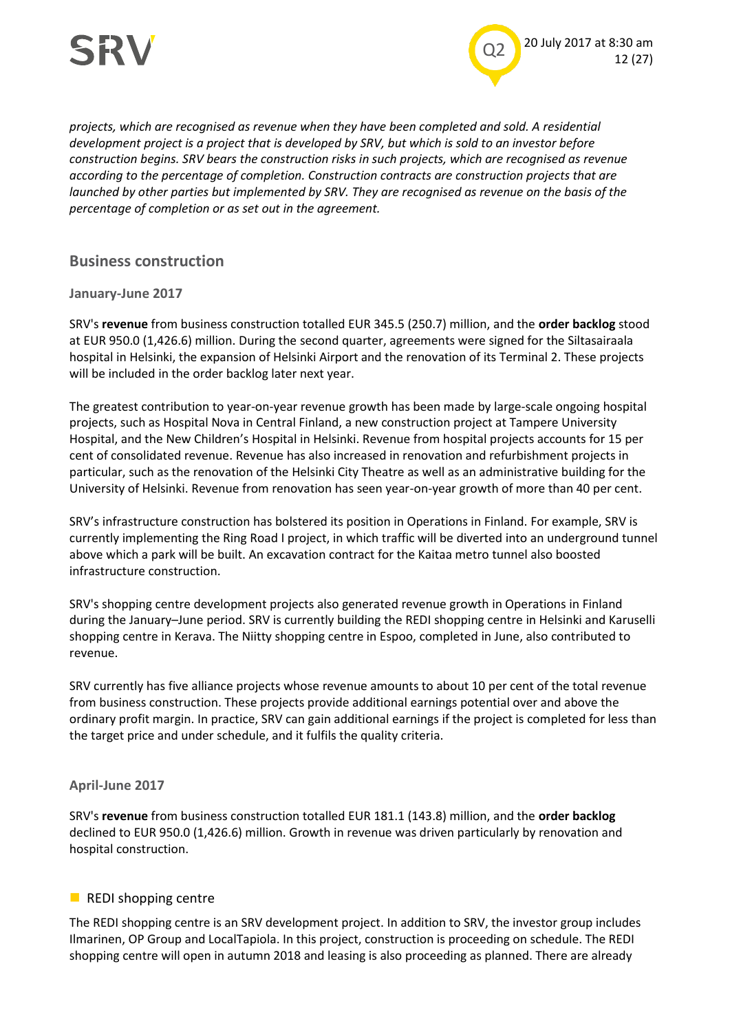



*projects, which are recognised as revenue when they have been completed and sold. A residential development project is a project that is developed by SRV, but which is sold to an investor before construction begins. SRV bears the construction risks in such projects, which are recognised as revenue according to the percentage of completion. Construction contracts are construction projects that are launched by other parties but implemented by SRV. They are recognised as revenue on the basis of the percentage of completion or as set out in the agreement.*

#### **Business construction**

#### **January-June 2017**

SRV's **revenue** from business construction totalled EUR 345.5 (250.7) million, and the **order backlog** stood at EUR 950.0 (1,426.6) million. During the second quarter, agreements were signed for the Siltasairaala hospital in Helsinki, the expansion of Helsinki Airport and the renovation of its Terminal 2. These projects will be included in the order backlog later next year.

The greatest contribution to year-on-year revenue growth has been made by large-scale ongoing hospital projects, such as Hospital Nova in Central Finland, a new construction project at Tampere University Hospital, and the New Children's Hospital in Helsinki. Revenue from hospital projects accounts for 15 per cent of consolidated revenue. Revenue has also increased in renovation and refurbishment projects in particular, such as the renovation of the Helsinki City Theatre as well as an administrative building for the University of Helsinki. Revenue from renovation has seen year-on-year growth of more than 40 per cent.

SRV's infrastructure construction has bolstered its position in Operations in Finland. For example, SRV is currently implementing the Ring Road I project, in which traffic will be diverted into an underground tunnel above which a park will be built. An excavation contract for the Kaitaa metro tunnel also boosted infrastructure construction.

SRV's shopping centre development projects also generated revenue growth in Operations in Finland during the January–June period. SRV is currently building the REDI shopping centre in Helsinki and Karuselli shopping centre in Kerava. The Niitty shopping centre in Espoo, completed in June, also contributed to revenue.

SRV currently has five alliance projects whose revenue amounts to about 10 per cent of the total revenue from business construction. These projects provide additional earnings potential over and above the ordinary profit margin. In practice, SRV can gain additional earnings if the project is completed for less than the target price and under schedule, and it fulfils the quality criteria.

#### **April-June 2017**

SRV's **revenue** from business construction totalled EUR 181.1 (143.8) million, and the **order backlog** declined to EUR 950.0 (1,426.6) million. Growth in revenue was driven particularly by renovation and hospital construction.

#### **REDI shopping centre**

The REDI shopping centre is an SRV development project. In addition to SRV, the investor group includes Ilmarinen, OP Group and LocalTapiola. In this project, construction is proceeding on schedule. The REDI shopping centre will open in autumn 2018 and leasing is also proceeding as planned. There are already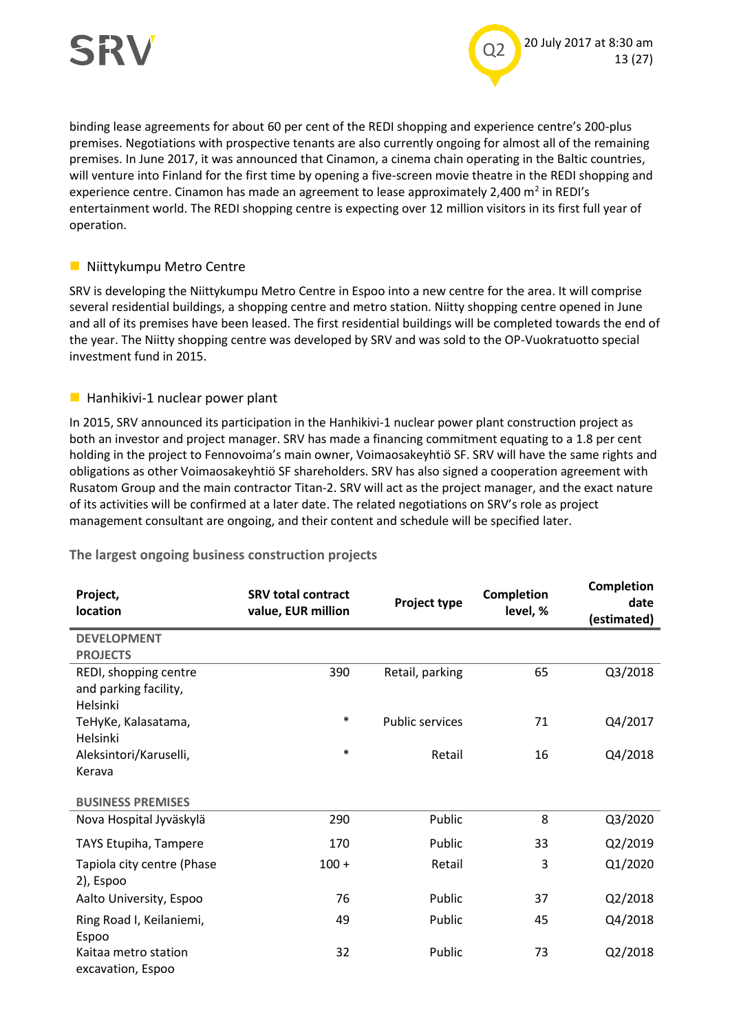

binding lease agreements for about 60 per cent of the REDI shopping and experience centre's 200-plus premises. Negotiations with prospective tenants are also currently ongoing for almost all of the remaining premises. In June 2017, it was announced that Cinamon, a cinema chain operating in the Baltic countries, will venture into Finland for the first time by opening a five-screen movie theatre in the REDI shopping and experience centre. Cinamon has made an agreement to lease approximately 2,400  $m^2$  in REDI's entertainment world. The REDI shopping centre is expecting over 12 million visitors in its first full year of operation.

#### **Niittykumpu Metro Centre**

SRV is developing the Niittykumpu Metro Centre in Espoo into a new centre for the area. It will comprise several residential buildings, a shopping centre and metro station. Niitty shopping centre opened in June and all of its premises have been leased. The first residential buildings will be completed towards the end of the year. The Niitty shopping centre was developed by SRV and was sold to the OP-Vuokratuotto special investment fund in 2015.

#### $\blacksquare$  Hanhikivi-1 nuclear power plant

In 2015, SRV announced its participation in the Hanhikivi-1 nuclear power plant construction project as both an investor and project manager. SRV has made a financing commitment equating to a 1.8 per cent holding in the project to Fennovoima's main owner, Voimaosakeyhtiö SF. SRV will have the same rights and obligations as other Voimaosakeyhtiö SF shareholders. SRV has also signed a cooperation agreement with Rusatom Group and the main contractor Titan-2. SRV will act as the project manager, and the exact nature of its activities will be confirmed at a later date. The related negotiations on SRV's role as project management consultant are ongoing, and their content and schedule will be specified later.

| Project,<br><b>location</b>                                | <b>SRV total contract</b><br>value, EUR million | Project type           | <b>Completion</b><br>level, % | <b>Completion</b><br>date<br>(estimated) |
|------------------------------------------------------------|-------------------------------------------------|------------------------|-------------------------------|------------------------------------------|
| <b>DEVELOPMENT</b>                                         |                                                 |                        |                               |                                          |
| <b>PROJECTS</b>                                            |                                                 |                        |                               |                                          |
| REDI, shopping centre<br>and parking facility,<br>Helsinki | 390                                             | Retail, parking        | 65                            | Q3/2018                                  |
| TeHyKe, Kalasatama,                                        | $\ast$                                          | <b>Public services</b> | 71                            | Q4/2017                                  |
| Helsinki                                                   |                                                 |                        |                               |                                          |
| Aleksintori/Karuselli,                                     | $\ast$                                          | Retail                 | 16                            | Q4/2018                                  |
| Kerava                                                     |                                                 |                        |                               |                                          |
| <b>BUSINESS PREMISES</b>                                   |                                                 |                        |                               |                                          |
| Nova Hospital Jyväskylä                                    | 290                                             | Public                 | 8                             | Q3/2020                                  |
| TAYS Etupiha, Tampere                                      | 170                                             | Public                 | 33                            | Q2/2019                                  |
| Tapiola city centre (Phase<br>2), Espoo                    | $100 +$                                         | Retail                 | 3                             | Q1/2020                                  |
| Aalto University, Espoo                                    | 76                                              | Public                 | 37                            | Q2/2018                                  |
| Ring Road I, Keilaniemi,<br>Espoo                          | 49                                              | Public                 | 45                            | Q4/2018                                  |
| Kaitaa metro station<br>excavation, Espoo                  | 32                                              | Public                 | 73                            | Q2/2018                                  |

**The largest ongoing business construction projects**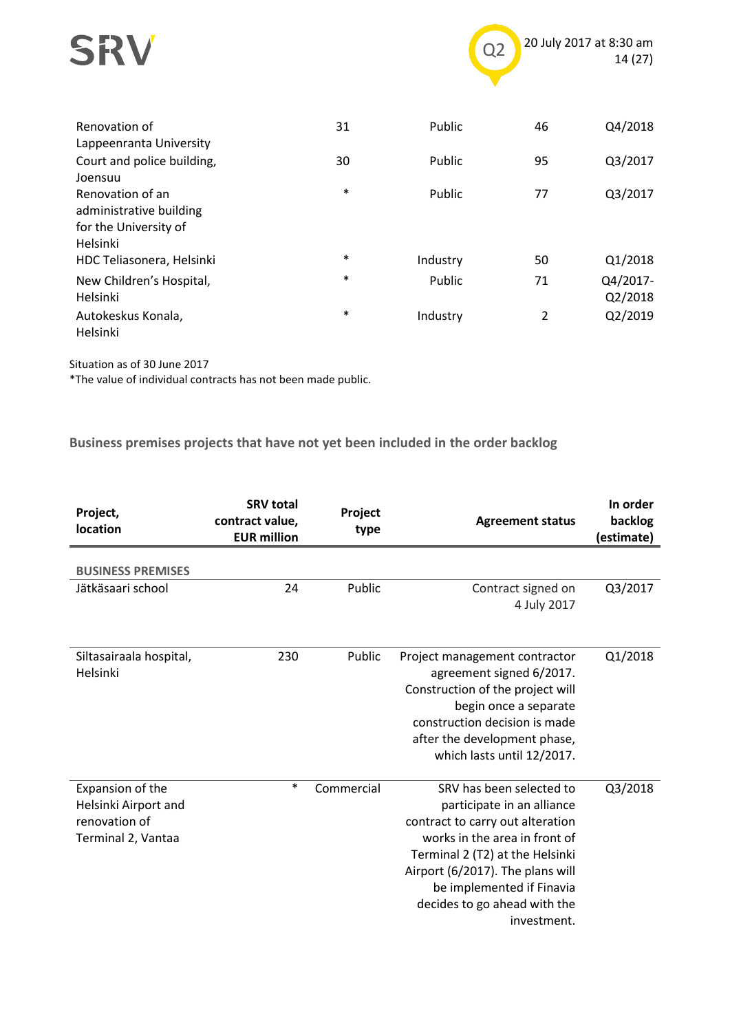



| Renovation of<br>Lappeenranta University                                         | 31     | Public   | 46 | Q4/2018             |
|----------------------------------------------------------------------------------|--------|----------|----|---------------------|
| Court and police building,<br>Joensuu                                            | 30     | Public   | 95 | Q3/2017             |
| Renovation of an<br>administrative building<br>for the University of<br>Helsinki | $\ast$ | Public   | 77 | Q3/2017             |
| HDC Teliasonera, Helsinki                                                        | $\ast$ | Industry | 50 | Q1/2018             |
| New Children's Hospital,<br>Helsinki                                             | $\ast$ | Public   | 71 | Q4/2017-<br>Q2/2018 |
| Autokeskus Konala,<br>Helsinki                                                   | $\ast$ | Industry | 2  | Q2/2019             |

Situation as of 30 June 2017

\*The value of individual contracts has not been made public.

**Business premises projects that have not yet been included in the order backlog**

| Project,<br><b>location</b>                                                     | <b>SRV total</b><br>contract value,<br><b>EUR million</b> | Project<br>type | <b>Agreement status</b>                                                                                                                                                                                                                                                        | In order<br>backlog<br>(estimate) |
|---------------------------------------------------------------------------------|-----------------------------------------------------------|-----------------|--------------------------------------------------------------------------------------------------------------------------------------------------------------------------------------------------------------------------------------------------------------------------------|-----------------------------------|
| <b>BUSINESS PREMISES</b>                                                        |                                                           |                 |                                                                                                                                                                                                                                                                                |                                   |
| Jätkäsaari school                                                               | 24                                                        | Public          | Contract signed on<br>4 July 2017                                                                                                                                                                                                                                              | Q3/2017                           |
| Siltasairaala hospital,<br>Helsinki                                             | 230                                                       | Public          | Project management contractor<br>agreement signed 6/2017.<br>Construction of the project will<br>begin once a separate<br>construction decision is made<br>after the development phase,<br>which lasts until 12/2017.                                                          | Q1/2018                           |
| Expansion of the<br>Helsinki Airport and<br>renovation of<br>Terminal 2, Vantaa | $\ast$                                                    | Commercial      | SRV has been selected to<br>participate in an alliance<br>contract to carry out alteration<br>works in the area in front of<br>Terminal 2 (T2) at the Helsinki<br>Airport (6/2017). The plans will<br>be implemented if Finavia<br>decides to go ahead with the<br>investment. | Q3/2018                           |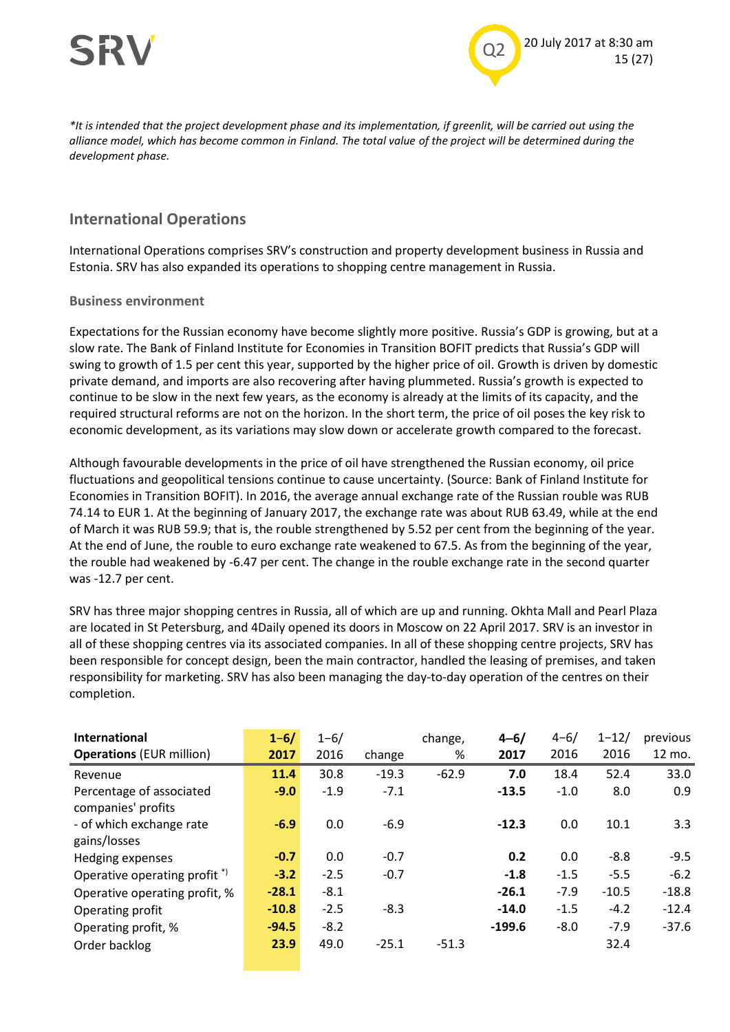



*\*It is intended that the project development phase and its implementation, if greenlit, will be carried out using the alliance model, which has become common in Finland. The total value of the project will be determined during the development phase.*

#### **International Operations**

International Operations comprises SRV's construction and property development business in Russia and Estonia. SRV has also expanded its operations to shopping centre management in Russia.

#### **Business environment**

Expectations for the Russian economy have become slightly more positive. Russia's GDP is growing, but at a slow rate. The Bank of Finland Institute for Economies in Transition BOFIT predicts that Russia's GDP will swing to growth of 1.5 per cent this year, supported by the higher price of oil. Growth is driven by domestic private demand, and imports are also recovering after having plummeted. Russia's growth is expected to continue to be slow in the next few years, as the economy is already at the limits of its capacity, and the required structural reforms are not on the horizon. In the short term, the price of oil poses the key risk to economic development, as its variations may slow down or accelerate growth compared to the forecast.

Although favourable developments in the price of oil have strengthened the Russian economy, oil price fluctuations and geopolitical tensions continue to cause uncertainty. (Source: Bank of Finland Institute for Economies in Transition BOFIT). In 2016, the average annual exchange rate of the Russian rouble was RUB 74.14 to EUR 1. At the beginning of January 2017, the exchange rate was about RUB 63.49, while at the end of March it was RUB 59.9; that is, the rouble strengthened by 5.52 per cent from the beginning of the year. At the end of June, the rouble to euro exchange rate weakened to 67.5. As from the beginning of the year, the rouble had weakened by -6.47 per cent. The change in the rouble exchange rate in the second quarter was -12.7 per cent.

SRV has three major shopping centres in Russia, all of which are up and running. Okhta Mall and Pearl Plaza are located in St Petersburg, and 4Daily opened its doors in Moscow on 22 April 2017. SRV is an investor in all of these shopping centres via its associated companies. In all of these shopping centre projects, SRV has been responsible for concept design, been the main contractor, handled the leasing of premises, and taken responsibility for marketing. SRV has also been managing the day-to-day operation of the centres on their completion.

| International                           | $1 - 6/$ | $1 - 6/$ |         | change, | $4 - 6/$ | $4 - 6/$ | $1 - 12/$ | previous |
|-----------------------------------------|----------|----------|---------|---------|----------|----------|-----------|----------|
| <b>Operations (EUR million)</b>         | 2017     | 2016     | change  | %       | 2017     | 2016     | 2016      | 12 mo.   |
| Revenue                                 | 11.4     | 30.8     | $-19.3$ | $-62.9$ | 7.0      | 18.4     | 52.4      | 33.0     |
| Percentage of associated                | $-9.0$   | $-1.9$   | $-7.1$  |         | $-13.5$  | $-1.0$   | 8.0       | 0.9      |
| companies' profits                      |          |          |         |         |          |          |           |          |
| - of which exchange rate                | $-6.9$   | 0.0      | $-6.9$  |         | $-12.3$  | 0.0      | 10.1      | 3.3      |
| gains/losses                            |          |          |         |         |          |          |           |          |
| Hedging expenses                        | $-0.7$   | 0.0      | $-0.7$  |         | 0.2      | 0.0      | $-8.8$    | $-9.5$   |
| Operative operating profit <sup>*</sup> | $-3.2$   | $-2.5$   | $-0.7$  |         | $-1.8$   | $-1.5$   | $-5.5$    | $-6.2$   |
| Operative operating profit, %           | $-28.1$  | $-8.1$   |         |         | $-26.1$  | $-7.9$   | $-10.5$   | $-18.8$  |
| Operating profit                        | $-10.8$  | $-2.5$   | $-8.3$  |         | $-14.0$  | $-1.5$   | $-4.2$    | $-12.4$  |
| Operating profit, %                     | $-94.5$  | $-8.2$   |         |         | $-199.6$ | $-8.0$   | $-7.9$    | $-37.6$  |
| Order backlog                           | 23.9     | 49.0     | $-25.1$ | $-51.3$ |          |          | 32.4      |          |
|                                         |          |          |         |         |          |          |           |          |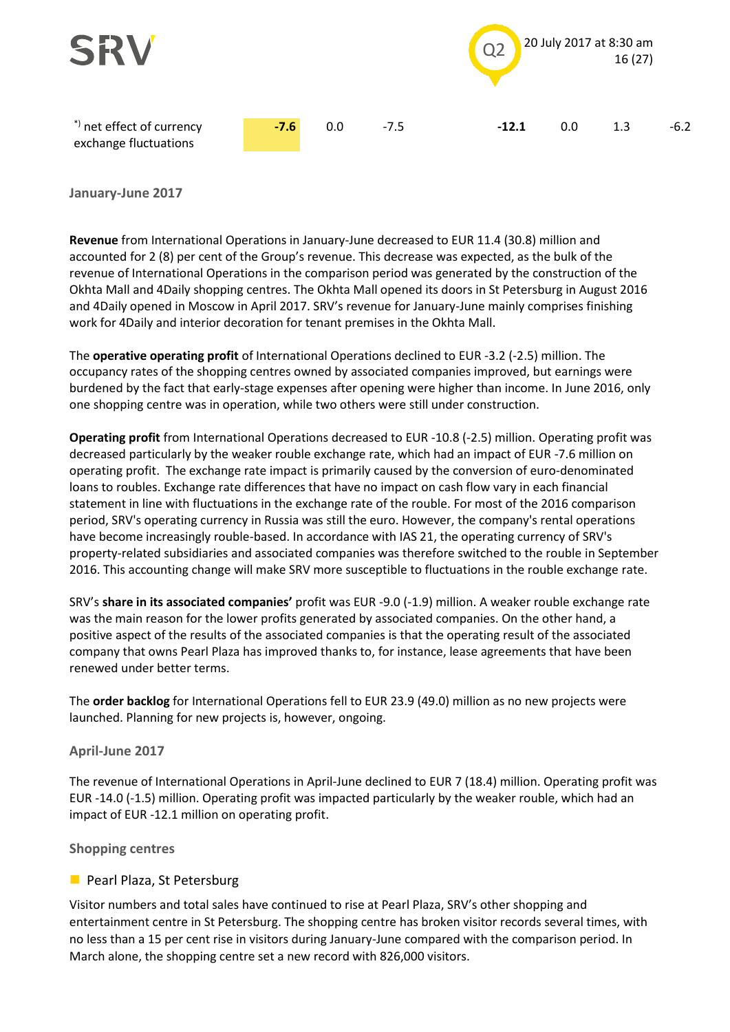

**January-June 2017**

**Revenue** from International Operations in January-June decreased to EUR 11.4 (30.8) million and accounted for 2 (8) per cent of the Group's revenue. This decrease was expected, as the bulk of the revenue of International Operations in the comparison period was generated by the construction of the Okhta Mall and 4Daily shopping centres. The Okhta Mall opened its doors in St Petersburg in August 2016 and 4Daily opened in Moscow in April 2017. SRV's revenue for January-June mainly comprises finishing work for 4Daily and interior decoration for tenant premises in the Okhta Mall.

The **operative operating profit** of International Operations declined to EUR -3.2 (-2.5) million. The occupancy rates of the shopping centres owned by associated companies improved, but earnings were burdened by the fact that early-stage expenses after opening were higher than income. In June 2016, only one shopping centre was in operation, while two others were still under construction.

**Operating profit** from International Operations decreased to EUR -10.8 (-2.5) million. Operating profit was decreased particularly by the weaker rouble exchange rate, which had an impact of EUR -7.6 million on operating profit. The exchange rate impact is primarily caused by the conversion of euro-denominated loans to roubles. Exchange rate differences that have no impact on cash flow vary in each financial statement in line with fluctuations in the exchange rate of the rouble. For most of the 2016 comparison period, SRV's operating currency in Russia was still the euro. However, the company's rental operations have become increasingly rouble-based. In accordance with IAS 21, the operating currency of SRV's property-related subsidiaries and associated companies was therefore switched to the rouble in September 2016. This accounting change will make SRV more susceptible to fluctuations in the rouble exchange rate.

SRV's **share in its associated companies'** profit was EUR -9.0 (-1.9) million. A weaker rouble exchange rate was the main reason for the lower profits generated by associated companies. On the other hand, a positive aspect of the results of the associated companies is that the operating result of the associated company that owns Pearl Plaza has improved thanks to, for instance, lease agreements that have been renewed under better terms.

The **order backlog** for International Operations fell to EUR 23.9 (49.0) million as no new projects were launched. Planning for new projects is, however, ongoing.

#### **April-June 2017**

The revenue of International Operations in April-June declined to EUR 7 (18.4) million. Operating profit was EUR -14.0 (-1.5) million. Operating profit was impacted particularly by the weaker rouble, which had an impact of EUR -12.1 million on operating profit.

**Shopping centres**

#### **Pearl Plaza, St Petersburg**

Visitor numbers and total sales have continued to rise at Pearl Plaza, SRV's other shopping and entertainment centre in St Petersburg. The shopping centre has broken visitor records several times, with no less than a 15 per cent rise in visitors during January-June compared with the comparison period. In March alone, the shopping centre set a new record with 826,000 visitors.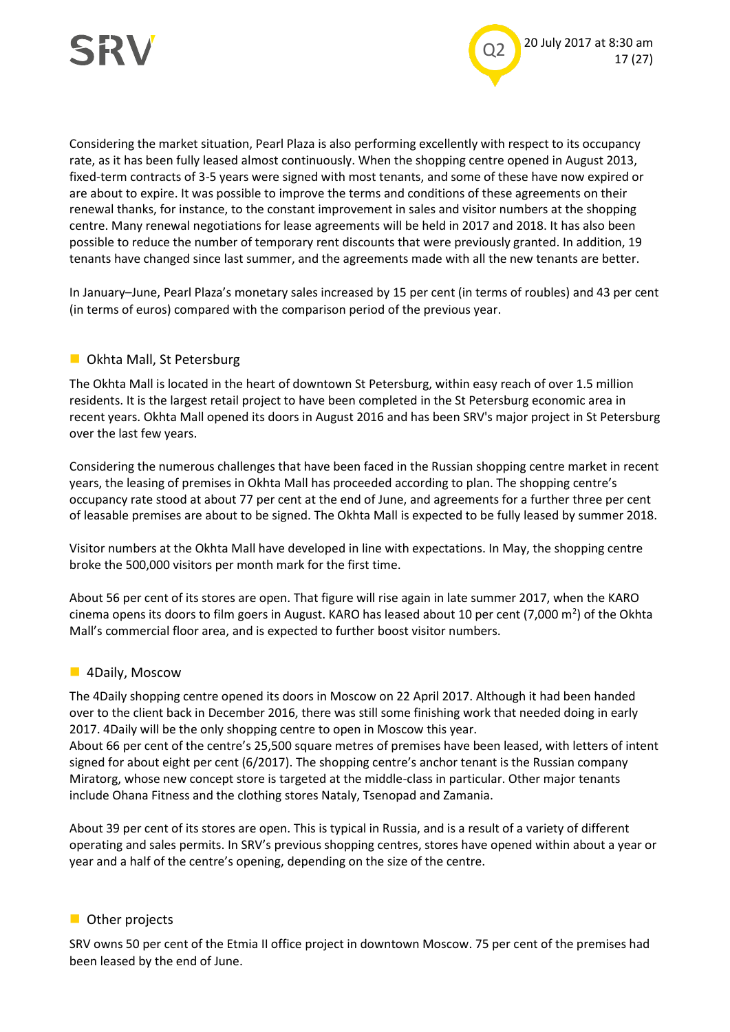

Considering the market situation, Pearl Plaza is also performing excellently with respect to its occupancy rate, as it has been fully leased almost continuously. When the shopping centre opened in August 2013, fixed-term contracts of 3-5 years were signed with most tenants, and some of these have now expired or are about to expire. It was possible to improve the terms and conditions of these agreements on their renewal thanks, for instance, to the constant improvement in sales and visitor numbers at the shopping centre. Many renewal negotiations for lease agreements will be held in 2017 and 2018. It has also been possible to reduce the number of temporary rent discounts that were previously granted. In addition, 19 tenants have changed since last summer, and the agreements made with all the new tenants are better.

In January–June, Pearl Plaza's monetary sales increased by 15 per cent (in terms of roubles) and 43 per cent (in terms of euros) compared with the comparison period of the previous year.

#### **D** Okhta Mall, St Petersburg

The Okhta Mall is located in the heart of downtown St Petersburg, within easy reach of over 1.5 million residents. It is the largest retail project to have been completed in the St Petersburg economic area in recent years. Okhta Mall opened its doors in August 2016 and has been SRV's major project in St Petersburg over the last few years.

Considering the numerous challenges that have been faced in the Russian shopping centre market in recent years, the leasing of premises in Okhta Mall has proceeded according to plan. The shopping centre's occupancy rate stood at about 77 per cent at the end of June, and agreements for a further three per cent of leasable premises are about to be signed. The Okhta Mall is expected to be fully leased by summer 2018.

Visitor numbers at the Okhta Mall have developed in line with expectations. In May, the shopping centre broke the 500,000 visitors per month mark for the first time.

About 56 per cent of its stores are open. That figure will rise again in late summer 2017, when the KARO cinema opens its doors to film goers in August. KARO has leased about 10 per cent (7,000 m<sup>2</sup>) of the Okhta Mall's commercial floor area, and is expected to further boost visitor numbers.

#### **4Daily, Moscow**

The 4Daily shopping centre opened its doors in Moscow on 22 April 2017. Although it had been handed over to the client back in December 2016, there was still some finishing work that needed doing in early 2017. 4Daily will be the only shopping centre to open in Moscow this year. About 66 per cent of the centre's 25,500 square metres of premises have been leased, with letters of intent signed for about eight per cent (6/2017). The shopping centre's anchor tenant is the Russian company Miratorg, whose new concept store is targeted at the middle-class in particular. Other major tenants include Ohana Fitness and the clothing stores Nataly, Tsenopad and Zamania.

About 39 per cent of its stores are open. This is typical in Russia, and is a result of a variety of different operating and sales permits. In SRV's previous shopping centres, stores have opened within about a year or year and a half of the centre's opening, depending on the size of the centre.

#### **Other projects**

SRV owns 50 per cent of the Etmia II office project in downtown Moscow. 75 per cent of the premises had been leased by the end of June.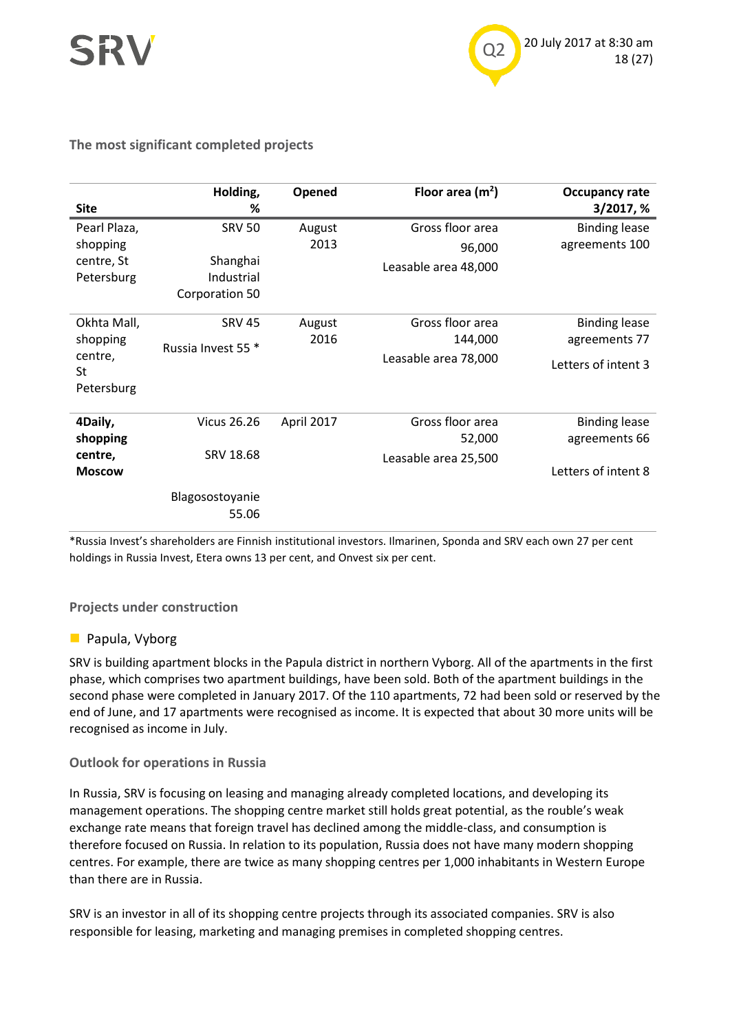



#### **The most significant completed projects**

|               | Holding,           | Opened     | Floor area $(m2)$    | <b>Occupancy rate</b> |
|---------------|--------------------|------------|----------------------|-----------------------|
| <b>Site</b>   | %                  |            |                      | 3/2017, %             |
| Pearl Plaza,  | <b>SRV 50</b>      | August     | Gross floor area     | <b>Binding lease</b>  |
| shopping      |                    | 2013       | 96,000               | agreements 100        |
| centre, St    | Shanghai           |            | Leasable area 48,000 |                       |
| Petersburg    | Industrial         |            |                      |                       |
|               | Corporation 50     |            |                      |                       |
| Okhta Mall,   | <b>SRV 45</b>      | August     | Gross floor area     | <b>Binding lease</b>  |
| shopping      |                    | 2016       | 144,000              | agreements 77         |
| centre,<br>St | Russia Invest 55 * |            | Leasable area 78,000 | Letters of intent 3   |
| Petersburg    |                    |            |                      |                       |
| 4Daily,       | <b>Vicus 26.26</b> | April 2017 | Gross floor area     | <b>Binding lease</b>  |
| shopping      |                    |            | 52,000               | agreements 66         |
| centre,       | SRV 18.68          |            | Leasable area 25,500 |                       |
| <b>Moscow</b> |                    |            |                      | Letters of intent 8   |
|               | Blagosostoyanie    |            |                      |                       |
|               | 55.06              |            |                      |                       |

\*Russia Invest's shareholders are Finnish institutional investors. Ilmarinen, Sponda and SRV each own 27 per cent holdings in Russia Invest, Etera owns 13 per cent, and Onvest six per cent.

#### **Projects under construction**

#### **Papula, Vyborg**

SRV is building apartment blocks in the Papula district in northern Vyborg. All of the apartments in the first phase, which comprises two apartment buildings, have been sold. Both of the apartment buildings in the second phase were completed in January 2017. Of the 110 apartments, 72 had been sold or reserved by the end of June, and 17 apartments were recognised as income. It is expected that about 30 more units will be recognised as income in July.

#### **Outlook for operations in Russia**

In Russia, SRV is focusing on leasing and managing already completed locations, and developing its management operations. The shopping centre market still holds great potential, as the rouble's weak exchange rate means that foreign travel has declined among the middle-class, and consumption is therefore focused on Russia. In relation to its population, Russia does not have many modern shopping centres. For example, there are twice as many shopping centres per 1,000 inhabitants in Western Europe than there are in Russia.

SRV is an investor in all of its shopping centre projects through its associated companies. SRV is also responsible for leasing, marketing and managing premises in completed shopping centres.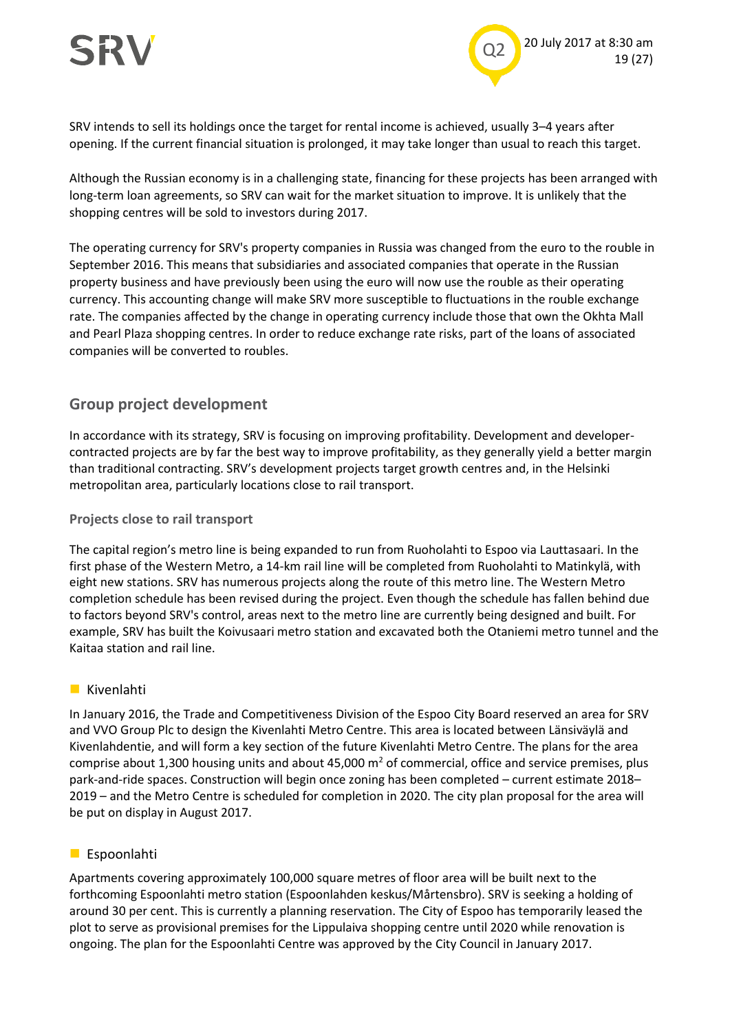

SRV intends to sell its holdings once the target for rental income is achieved, usually 3–4 years after opening. If the current financial situation is prolonged, it may take longer than usual to reach this target.

Although the Russian economy is in a challenging state, financing for these projects has been arranged with long-term loan agreements, so SRV can wait for the market situation to improve. It is unlikely that the shopping centres will be sold to investors during 2017.

The operating currency for SRV's property companies in Russia was changed from the euro to the rouble in September 2016. This means that subsidiaries and associated companies that operate in the Russian property business and have previously been using the euro will now use the rouble as their operating currency. This accounting change will make SRV more susceptible to fluctuations in the rouble exchange rate. The companies affected by the change in operating currency include those that own the Okhta Mall and Pearl Plaza shopping centres. In order to reduce exchange rate risks, part of the loans of associated companies will be converted to roubles.

#### **Group project development**

In accordance with its strategy, SRV is focusing on improving profitability. Development and developercontracted projects are by far the best way to improve profitability, as they generally yield a better margin than traditional contracting. SRV's development projects target growth centres and, in the Helsinki metropolitan area, particularly locations close to rail transport.

#### **Projects close to rail transport**

The capital region's metro line is being expanded to run from Ruoholahti to Espoo via Lauttasaari. In the first phase of the Western Metro, a 14-km rail line will be completed from Ruoholahti to Matinkylä, with eight new stations. SRV has numerous projects along the route of this metro line. The Western Metro completion schedule has been revised during the project. Even though the schedule has fallen behind due to factors beyond SRV's control, areas next to the metro line are currently being designed and built. For example, SRV has built the Koivusaari metro station and excavated both the Otaniemi metro tunnel and the Kaitaa station and rail line.

#### **Kivenlahti**

In January 2016, the Trade and Competitiveness Division of the Espoo City Board reserved an area for SRV and VVO Group Plc to design the Kivenlahti Metro Centre. This area is located between Länsiväylä and Kivenlahdentie, and will form a key section of the future Kivenlahti Metro Centre. The plans for the area comprise about 1,300 housing units and about 45,000  $m^2$  of commercial, office and service premises, plus park-and-ride spaces. Construction will begin once zoning has been completed – current estimate 2018– 2019 – and the Metro Centre is scheduled for completion in 2020. The city plan proposal for the area will be put on display in August 2017.

#### **Espoonlahti**

Apartments covering approximately 100,000 square metres of floor area will be built next to the forthcoming Espoonlahti metro station (Espoonlahden keskus/Mårtensbro). SRV is seeking a holding of around 30 per cent. This is currently a planning reservation. The City of Espoo has temporarily leased the plot to serve as provisional premises for the Lippulaiva shopping centre until 2020 while renovation is ongoing. The plan for the Espoonlahti Centre was approved by the City Council in January 2017.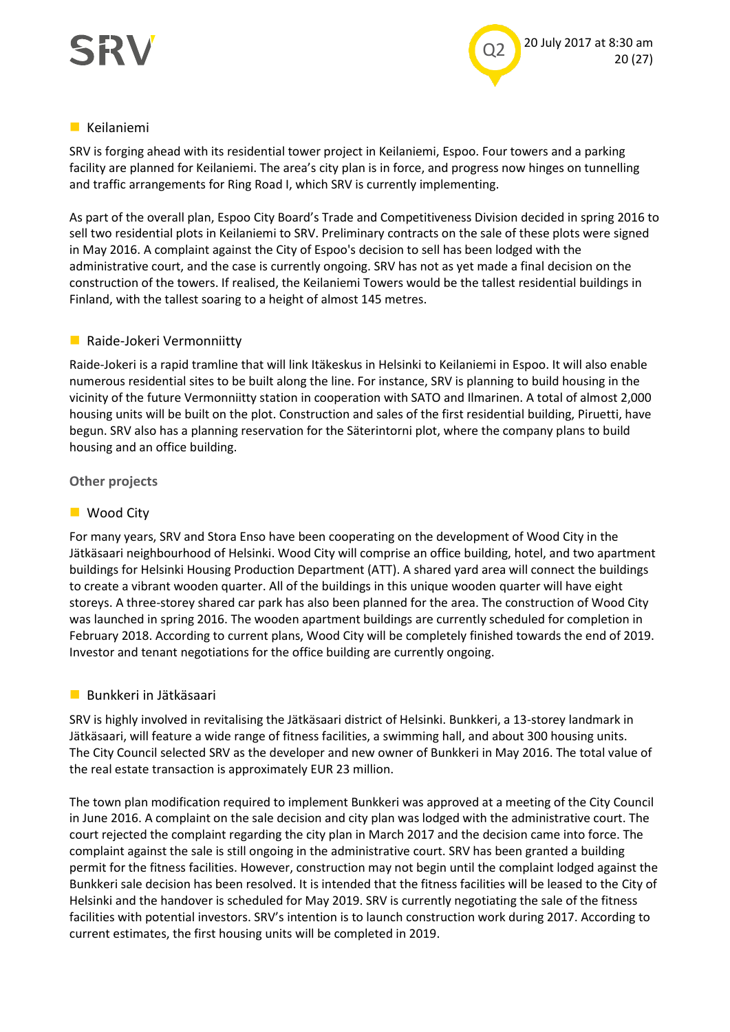

#### **Keilaniemi**

SRV is forging ahead with its residential tower project in Keilaniemi, Espoo. Four towers and a parking facility are planned for Keilaniemi. The area's city plan is in force, and progress now hinges on tunnelling and traffic arrangements for Ring Road I, which SRV is currently implementing.

As part of the overall plan, Espoo City Board's Trade and Competitiveness Division decided in spring 2016 to sell two residential plots in Keilaniemi to SRV. Preliminary contracts on the sale of these plots were signed in May 2016. A complaint against the City of Espoo's decision to sell has been lodged with the administrative court, and the case is currently ongoing. SRV has not as yet made a final decision on the construction of the towers. If realised, the Keilaniemi Towers would be the tallest residential buildings in Finland, with the tallest soaring to a height of almost 145 metres.

#### **Raide-Jokeri Vermonniitty**

Raide-Jokeri is a rapid tramline that will link Itäkeskus in Helsinki to Keilaniemi in Espoo. It will also enable numerous residential sites to be built along the line. For instance, SRV is planning to build housing in the vicinity of the future Vermonniitty station in cooperation with SATO and Ilmarinen. A total of almost 2,000 housing units will be built on the plot. Construction and sales of the first residential building, Piruetti, have begun. SRV also has a planning reservation for the Säterintorni plot, where the company plans to build housing and an office building.

#### **Other projects**

#### ■ Wood City

For many years, SRV and Stora Enso have been cooperating on the development of Wood City in the Jätkäsaari neighbourhood of Helsinki. Wood City will comprise an office building, hotel, and two apartment buildings for Helsinki Housing Production Department (ATT). A shared yard area will connect the buildings to create a vibrant wooden quarter. All of the buildings in this unique wooden quarter will have eight storeys. A three-storey shared car park has also been planned for the area. The construction of Wood City was launched in spring 2016. The wooden apartment buildings are currently scheduled for completion in February 2018. According to current plans, Wood City will be completely finished towards the end of 2019. Investor and tenant negotiations for the office building are currently ongoing.

#### **Bunkkeri in Jätkäsaari**

SRV is highly involved in revitalising the Jätkäsaari district of Helsinki. Bunkkeri, a 13-storey landmark in Jätkäsaari, will feature a wide range of fitness facilities, a swimming hall, and about 300 housing units. The City Council selected SRV as the developer and new owner of Bunkkeri in May 2016. The total value of the real estate transaction is approximately EUR 23 million.

The town plan modification required to implement Bunkkeri was approved at a meeting of the City Council in June 2016. A complaint on the sale decision and city plan was lodged with the administrative court. The court rejected the complaint regarding the city plan in March 2017 and the decision came into force. The complaint against the sale is still ongoing in the administrative court. SRV has been granted a building permit for the fitness facilities. However, construction may not begin until the complaint lodged against the Bunkkeri sale decision has been resolved. It is intended that the fitness facilities will be leased to the City of Helsinki and the handover is scheduled for May 2019. SRV is currently negotiating the sale of the fitness facilities with potential investors. SRV's intention is to launch construction work during 2017. According to current estimates, the first housing units will be completed in 2019.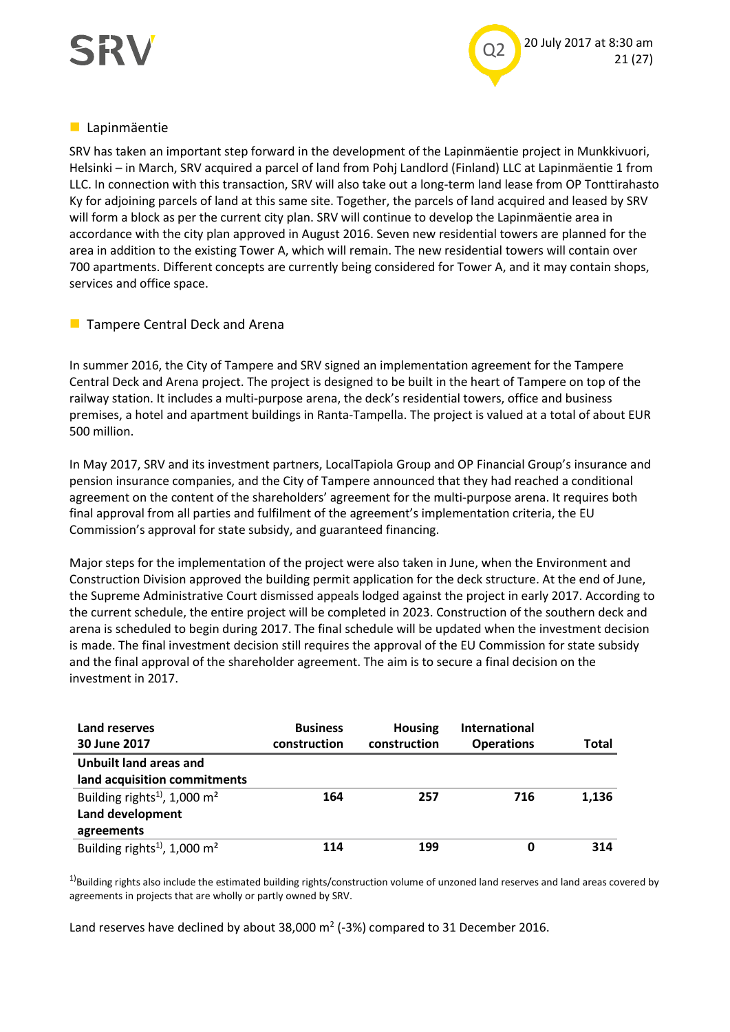



#### **Lapinmäentie**

SRV has taken an important step forward in the development of the Lapinmäentie project in Munkkivuori, Helsinki – in March, SRV acquired a parcel of land from Pohj Landlord (Finland) LLC at Lapinmäentie 1 from LLC. In connection with this transaction, SRV will also take out a long-term land lease from OP Tonttirahasto Ky for adjoining parcels of land at this same site. Together, the parcels of land acquired and leased by SRV will form a block as per the current city plan. SRV will continue to develop the Lapinmäentie area in accordance with the city plan approved in August 2016. Seven new residential towers are planned for the area in addition to the existing Tower A, which will remain. The new residential towers will contain over 700 apartments. Different concepts are currently being considered for Tower A, and it may contain shops, services and office space.

#### **Tampere Central Deck and Arena**

In summer 2016, the City of Tampere and SRV signed an implementation agreement for the Tampere Central Deck and Arena project. The project is designed to be built in the heart of Tampere on top of the railway station. It includes a multi-purpose arena, the deck's residential towers, office and business premises, a hotel and apartment buildings in Ranta-Tampella. The project is valued at a total of about EUR 500 million.

In May 2017, SRV and its investment partners, LocalTapiola Group and OP Financial Group's insurance and pension insurance companies, and the City of Tampere announced that they had reached a conditional agreement on the content of the shareholders' agreement for the multi-purpose arena. It requires both final approval from all parties and fulfilment of the agreement's implementation criteria, the EU Commission's approval for state subsidy, and guaranteed financing.

Major steps for the implementation of the project were also taken in June, when the Environment and Construction Division approved the building permit application for the deck structure. At the end of June, the Supreme Administrative Court dismissed appeals lodged against the project in early 2017. According to the current schedule, the entire project will be completed in 2023. Construction of the southern deck and arena is scheduled to begin during 2017. The final schedule will be updated when the investment decision is made. The final investment decision still requires the approval of the EU Commission for state subsidy and the final approval of the shareholder agreement. The aim is to secure a final decision on the investment in 2017.

| Land reserves                                        | <b>Business</b> | <b>Housing</b> | <b>International</b> |       |
|------------------------------------------------------|-----------------|----------------|----------------------|-------|
| 30 June 2017                                         | construction    | construction   | <b>Operations</b>    | Total |
| Unbuilt land areas and                               |                 |                |                      |       |
| land acquisition commitments                         |                 |                |                      |       |
| Building rights <sup>1)</sup> , 1,000 m <sup>2</sup> | 164             | 257            | 716                  | 1,136 |
| Land development                                     |                 |                |                      |       |
| agreements                                           |                 |                |                      |       |
| Building rights <sup>1)</sup> , 1,000 m <sup>2</sup> | 114             | 199            | 0                    | 314   |

 $1)$ Building rights also include the estimated building rights/construction volume of unzoned land reserves and land areas covered by agreements in projects that are wholly or partly owned by SRV.

Land reserves have declined by about 38,000  $m^2$  (-3%) compared to 31 December 2016.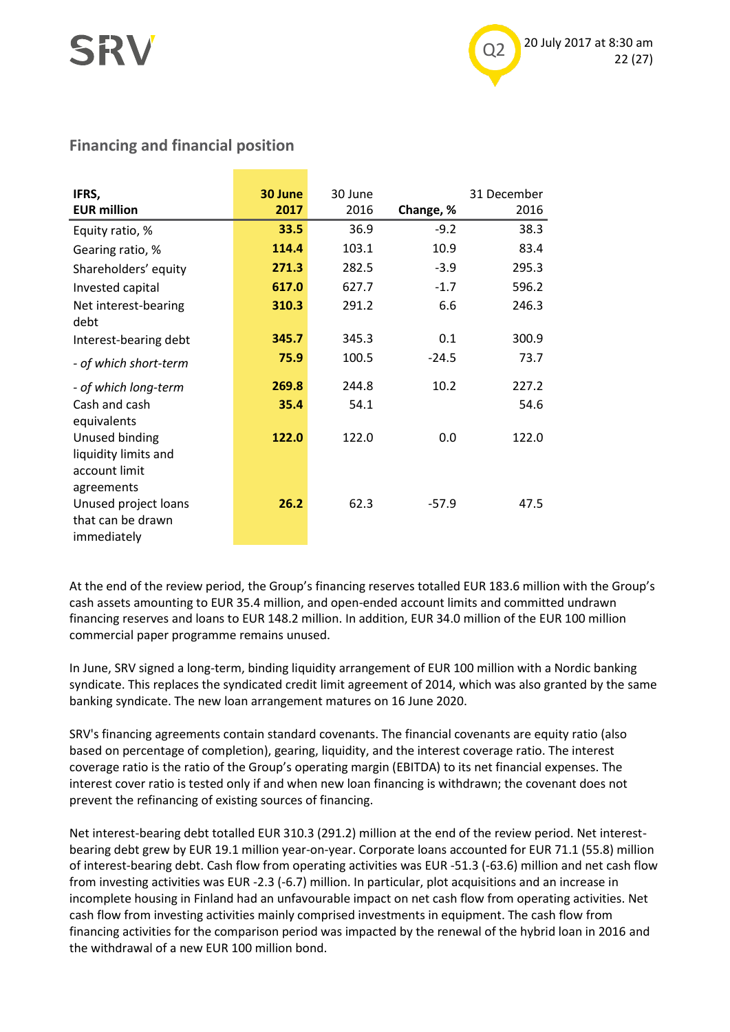

## **Financing and financial position**

| IFRS,<br><b>EUR million</b>                                           | 30 June<br>2017 | 30 June<br>2016 | Change, % | 31 December<br>2016 |
|-----------------------------------------------------------------------|-----------------|-----------------|-----------|---------------------|
| Equity ratio, %                                                       | 33.5            | 36.9            | $-9.2$    | 38.3                |
| Gearing ratio, %                                                      | 114.4           | 103.1           | 10.9      | 83.4                |
| Shareholders' equity                                                  | 271.3           | 282.5           | $-3.9$    | 295.3               |
| Invested capital                                                      | 617.0           | 627.7           | $-1.7$    | 596.2               |
| Net interest-bearing<br>debt                                          | 310.3           | 291.2           | 6.6       | 246.3               |
| Interest-bearing debt                                                 | 345.7           | 345.3           | 0.1       | 300.9               |
| - of which short-term                                                 | 75.9            | 100.5           | $-24.5$   | 73.7                |
| - of which long-term                                                  | 269.8           | 244.8           | 10.2      | 227.2               |
| Cash and cash<br>equivalents                                          | 35.4            | 54.1            |           | 54.6                |
| Unused binding<br>liquidity limits and<br>account limit<br>agreements | 122.0           | 122.0           | 0.0       | 122.0               |
| Unused project loans<br>that can be drawn<br>immediately              | 26.2            | 62.3            | $-57.9$   | 47.5                |

At the end of the review period, the Group's financing reserves totalled EUR 183.6 million with the Group's cash assets amounting to EUR 35.4 million, and open-ended account limits and committed undrawn financing reserves and loans to EUR 148.2 million. In addition, EUR 34.0 million of the EUR 100 million commercial paper programme remains unused.

In June, SRV signed a long-term, binding liquidity arrangement of EUR 100 million with a Nordic banking syndicate. This replaces the syndicated credit limit agreement of 2014, which was also granted by the same banking syndicate. The new loan arrangement matures on 16 June 2020.

SRV's financing agreements contain standard covenants. The financial covenants are equity ratio (also based on percentage of completion), gearing, liquidity, and the interest coverage ratio. The interest coverage ratio is the ratio of the Group's operating margin (EBITDA) to its net financial expenses. The interest cover ratio is tested only if and when new loan financing is withdrawn; the covenant does not prevent the refinancing of existing sources of financing.

Net interest-bearing debt totalled EUR 310.3 (291.2) million at the end of the review period. Net interestbearing debt grew by EUR 19.1 million year-on-year. Corporate loans accounted for EUR 71.1 (55.8) million of interest-bearing debt. Cash flow from operating activities was EUR -51.3 (-63.6) million and net cash flow from investing activities was EUR -2.3 (-6.7) million. In particular, plot acquisitions and an increase in incomplete housing in Finland had an unfavourable impact on net cash flow from operating activities. Net cash flow from investing activities mainly comprised investments in equipment. The cash flow from financing activities for the comparison period was impacted by the renewal of the hybrid loan in 2016 and the withdrawal of a new EUR 100 million bond.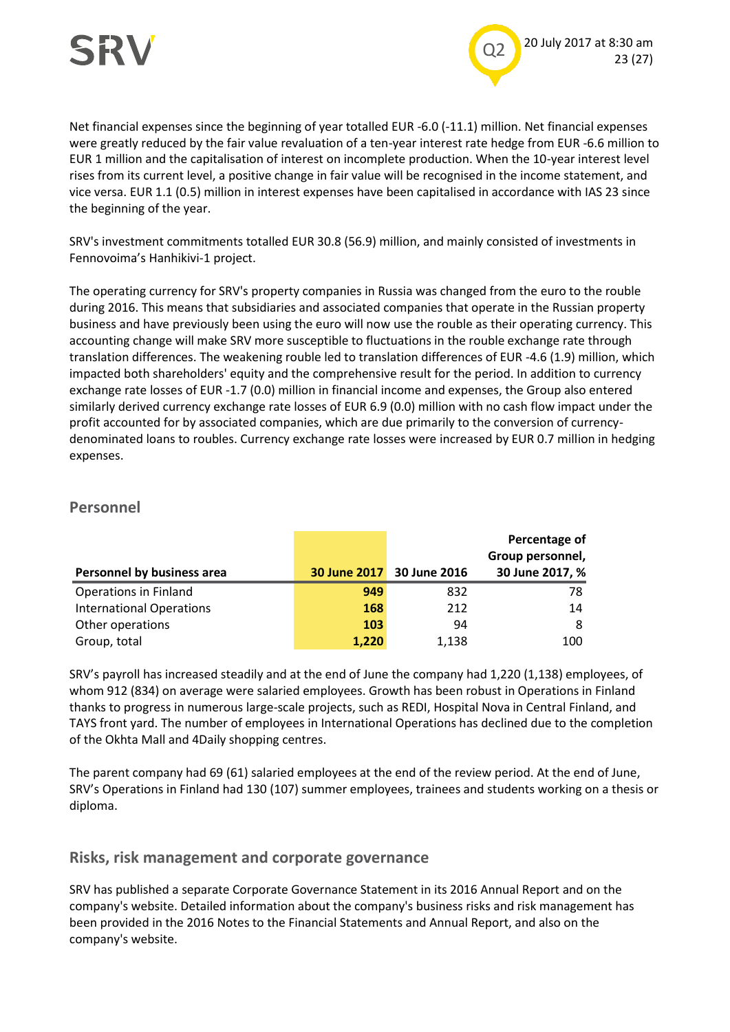

Net financial expenses since the beginning of year totalled EUR -6.0 (-11.1) million. Net financial expenses were greatly reduced by the fair value revaluation of a ten-year interest rate hedge from EUR -6.6 million to EUR 1 million and the capitalisation of interest on incomplete production. When the 10-year interest level rises from its current level, a positive change in fair value will be recognised in the income statement, and vice versa. EUR 1.1 (0.5) million in interest expenses have been capitalised in accordance with IAS 23 since the beginning of the year.

SRV's investment commitments totalled EUR 30.8 (56.9) million, and mainly consisted of investments in Fennovoima's Hanhikivi-1 project.

The operating currency for SRV's property companies in Russia was changed from the euro to the rouble during 2016. This means that subsidiaries and associated companies that operate in the Russian property business and have previously been using the euro will now use the rouble as their operating currency. This accounting change will make SRV more susceptible to fluctuations in the rouble exchange rate through translation differences. The weakening rouble led to translation differences of EUR -4.6 (1.9) million, which impacted both shareholders' equity and the comprehensive result for the period. In addition to currency exchange rate losses of EUR -1.7 (0.0) million in financial income and expenses, the Group also entered similarly derived currency exchange rate losses of EUR 6.9 (0.0) million with no cash flow impact under the profit accounted for by associated companies, which are due primarily to the conversion of currencydenominated loans to roubles. Currency exchange rate losses were increased by EUR 0.7 million in hedging expenses.

### **Personnel**

|                                 |       |                           | Percentage of<br>Group personnel, |
|---------------------------------|-------|---------------------------|-----------------------------------|
| Personnel by business area      |       | 30 June 2017 30 June 2016 | 30 June 2017, %                   |
| <b>Operations in Finland</b>    | 949   | 832                       | 78                                |
| <b>International Operations</b> | 168   | 212                       | 14                                |
| Other operations                | 103   | 94                        | 8                                 |
| Group, total                    | 1.220 | 1.138                     | 100                               |

SRV's payroll has increased steadily and at the end of June the company had 1,220 (1,138) employees, of whom 912 (834) on average were salaried employees. Growth has been robust in Operations in Finland thanks to progress in numerous large-scale projects, such as REDI, Hospital Nova in Central Finland, and TAYS front yard. The number of employees in International Operations has declined due to the completion of the Okhta Mall and 4Daily shopping centres.

The parent company had 69 (61) salaried employees at the end of the review period. At the end of June, SRV's Operations in Finland had 130 (107) summer employees, trainees and students working on a thesis or diploma.

#### **Risks, risk management and corporate governance**

SRV has published a separate Corporate Governance Statement in its 2016 Annual Report and on the company's website. Detailed information about the company's business risks and risk management has been provided in the 2016 Notes to the Financial Statements and Annual Report, and also on the company's website.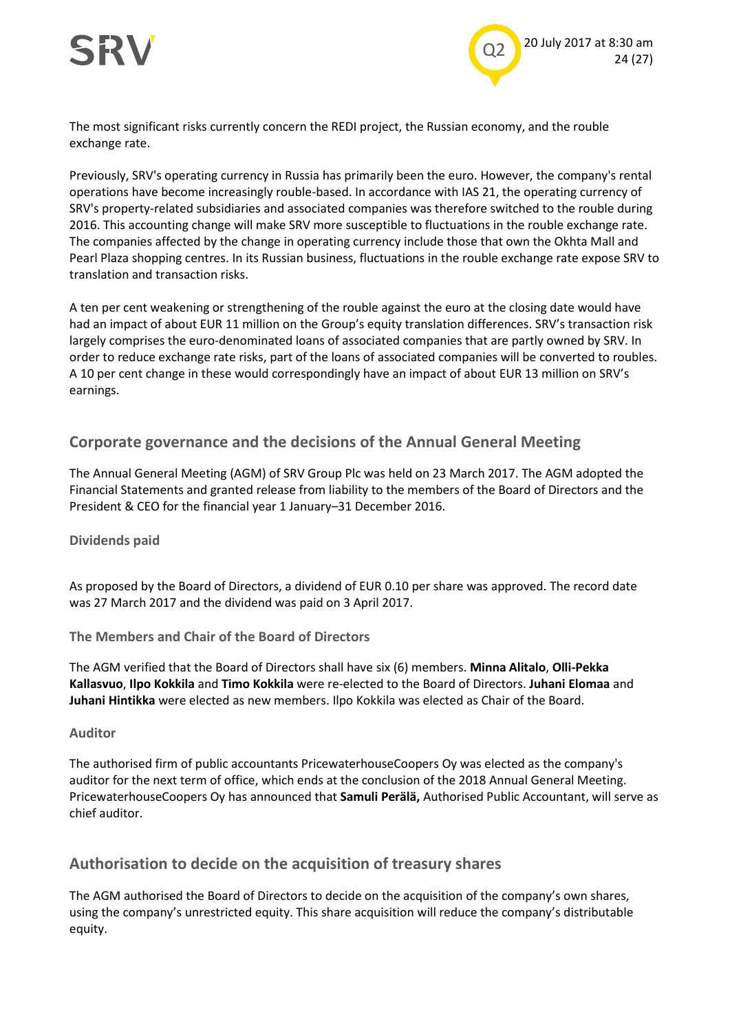

The most significant risks currently concern the REDI project, the Russian economy, and the rouble exchange rate.

Previously, SRV's operating currency in Russia has primarily been the euro. However, the company's rental operations have become increasingly rouble-based. In accordance with IAS 21, the operating currency of SRV's property-related subsidiaries and associated companies was therefore switched to the rouble during 2016. This accounting change will make SRV more susceptible to fluctuations in the rouble exchange rate. The companies affected by the change in operating currency include those that own the Okhta Mall and Pearl Plaza shopping centres. In its Russian business, fluctuations in the rouble exchange rate expose SRV to translation and transaction risks.

A ten per cent weakening or strengthening of the rouble against the euro at the closing date would have had an impact of about EUR 11 million on the Group's equity translation differences. SRV's transaction risk largely comprises the euro-denominated loans of associated companies that are partly owned by SRV. In order to reduce exchange rate risks, part of the loans of associated companies will be converted to roubles. A 10 per cent change in these would correspondingly have an impact of about EUR 13 million on SRV's earnings.

#### **Corporate governance and the decisions of the Annual General Meeting**

The Annual General Meeting (AGM) of SRV Group Plc was held on 23 March 2017. The AGM adopted the Financial Statements and granted release from liability to the members of the Board of Directors and the President & CEO for the financial year 1 January–31 December 2016.

#### **Dividends paid**

As proposed by the Board of Directors, a dividend of EUR 0.10 per share was approved. The record date was 27 March 2017 and the dividend was paid on 3 April 2017.

**The Members and Chair of the Board of Directors**

The AGM verified that the Board of Directors shall have six (6) members. **Minna Alitalo**, **Olli-Pekka Kallasvuo**, **Ilpo Kokkila** and **Timo Kokkila** were re-elected to the Board of Directors. **Juhani Elomaa** and **Juhani Hintikka** were elected as new members. Ilpo Kokkila was elected as Chair of the Board.

#### **Auditor**

The authorised firm of public accountants PricewaterhouseCoopers Oy was elected as the company's auditor for the next term of office, which ends at the conclusion of the 2018 Annual General Meeting. PricewaterhouseCoopers Oy has announced that **Samuli Perälä,** Authorised Public Accountant, will serve as chief auditor.

#### **Authorisation to decide on the acquisition of treasury shares**

The AGM authorised the Board of Directors to decide on the acquisition of the company's own shares, using the company's unrestricted equity. This share acquisition will reduce the company's distributable equity.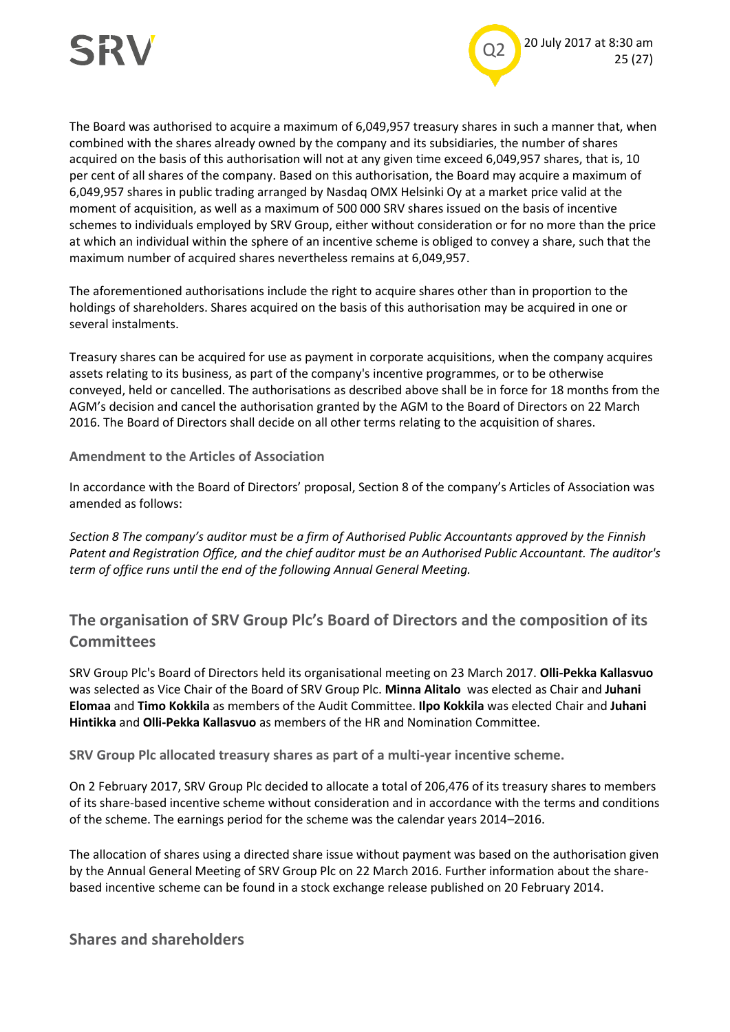

The Board was authorised to acquire a maximum of 6,049,957 treasury shares in such a manner that, when combined with the shares already owned by the company and its subsidiaries, the number of shares acquired on the basis of this authorisation will not at any given time exceed 6,049,957 shares, that is, 10 per cent of all shares of the company. Based on this authorisation, the Board may acquire a maximum of 6,049,957 shares in public trading arranged by Nasdaq OMX Helsinki Oy at a market price valid at the moment of acquisition, as well as a maximum of 500 000 SRV shares issued on the basis of incentive schemes to individuals employed by SRV Group, either without consideration or for no more than the price at which an individual within the sphere of an incentive scheme is obliged to convey a share, such that the maximum number of acquired shares nevertheless remains at 6,049,957.

The aforementioned authorisations include the right to acquire shares other than in proportion to the holdings of shareholders. Shares acquired on the basis of this authorisation may be acquired in one or several instalments.

Treasury shares can be acquired for use as payment in corporate acquisitions, when the company acquires assets relating to its business, as part of the company's incentive programmes, or to be otherwise conveyed, held or cancelled. The authorisations as described above shall be in force for 18 months from the AGM's decision and cancel the authorisation granted by the AGM to the Board of Directors on 22 March 2016. The Board of Directors shall decide on all other terms relating to the acquisition of shares.

**Amendment to the Articles of Association**

In accordance with the Board of Directors' proposal, Section 8 of the company's Articles of Association was amended as follows:

*Section 8 The company's auditor must be a firm of Authorised Public Accountants approved by the Finnish Patent and Registration Office, and the chief auditor must be an Authorised Public Accountant. The auditor's term of office runs until the end of the following Annual General Meeting.*

**The organisation of SRV Group Plc's Board of Directors and the composition of its Committees**

SRV Group Plc's Board of Directors held its organisational meeting on 23 March 2017. **Olli-Pekka Kallasvuo** was selected as Vice Chair of the Board of SRV Group Plc. **Minna Alitalo** was elected as Chair and **Juhani Elomaa** and **Timo Kokkila** as members of the Audit Committee. **Ilpo Kokkila** was elected Chair and **Juhani Hintikka** and **Olli-Pekka Kallasvuo** as members of the HR and Nomination Committee.

**SRV Group Plc allocated treasury shares as part of a multi-year incentive scheme.**

On 2 February 2017, SRV Group Plc decided to allocate a total of 206,476 of its treasury shares to members of its share-based incentive scheme without consideration and in accordance with the terms and conditions of the scheme. The earnings period for the scheme was the calendar years 2014–2016.

The allocation of shares using a directed share issue without payment was based on the authorisation given by the Annual General Meeting of SRV Group Plc on 22 March 2016. Further information about the sharebased incentive scheme can be found in a stock exchange release published on 20 February 2014.

**Shares and shareholders**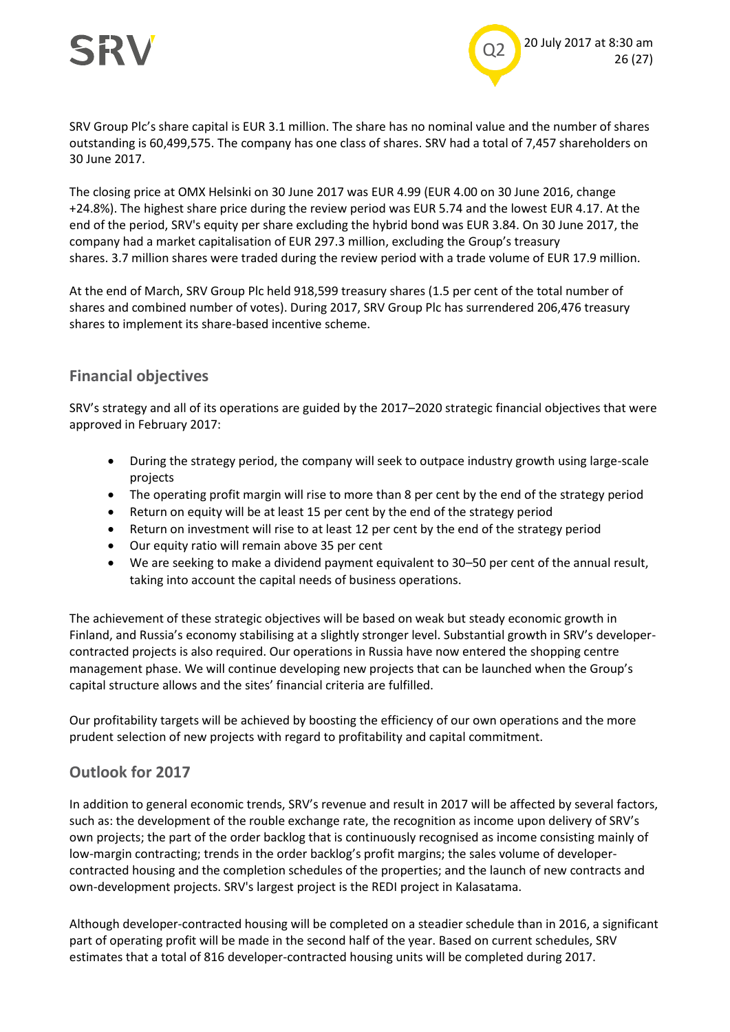



SRV Group Plc's share capital is EUR 3.1 million. The share has no nominal value and the number of shares outstanding is 60,499,575. The company has one class of shares. SRV had a total of 7,457 shareholders on 30 June 2017.

The closing price at OMX Helsinki on 30 June 2017 was EUR 4.99 (EUR 4.00 on 30 June 2016, change +24.8%). The highest share price during the review period was EUR 5.74 and the lowest EUR 4.17. At the end of the period, SRV's equity per share excluding the hybrid bond was EUR 3.84. On 30 June 2017, the company had a market capitalisation of EUR 297.3 million, excluding the Group's treasury shares. 3.7 million shares were traded during the review period with a trade volume of EUR 17.9 million.

At the end of March, SRV Group Plc held 918,599 treasury shares (1.5 per cent of the total number of shares and combined number of votes). During 2017, SRV Group Plc has surrendered 206,476 treasury shares to implement its share-based incentive scheme.

#### **Financial objectives**

SRV's strategy and all of its operations are guided by the 2017–2020 strategic financial objectives that were approved in February 2017:

- During the strategy period, the company will seek to outpace industry growth using large-scale projects
- The operating profit margin will rise to more than 8 per cent by the end of the strategy period
- Return on equity will be at least 15 per cent by the end of the strategy period
- Return on investment will rise to at least 12 per cent by the end of the strategy period
- Our equity ratio will remain above 35 per cent
- We are seeking to make a dividend payment equivalent to 30–50 per cent of the annual result, taking into account the capital needs of business operations.

The achievement of these strategic objectives will be based on weak but steady economic growth in Finland, and Russia's economy stabilising at a slightly stronger level. Substantial growth in SRV's developercontracted projects is also required. Our operations in Russia have now entered the shopping centre management phase. We will continue developing new projects that can be launched when the Group's capital structure allows and the sites' financial criteria are fulfilled.

Our profitability targets will be achieved by boosting the efficiency of our own operations and the more prudent selection of new projects with regard to profitability and capital commitment.

#### **Outlook for 2017**

In addition to general economic trends, SRV's revenue and result in 2017 will be affected by several factors, such as: the development of the rouble exchange rate, the recognition as income upon delivery of SRV's own projects; the part of the order backlog that is continuously recognised as income consisting mainly of low-margin contracting; trends in the order backlog's profit margins; the sales volume of developercontracted housing and the completion schedules of the properties; and the launch of new contracts and own-development projects. SRV's largest project is the REDI project in Kalasatama.

Although developer-contracted housing will be completed on a steadier schedule than in 2016, a significant part of operating profit will be made in the second half of the year. Based on current schedules, SRV estimates that a total of 816 developer-contracted housing units will be completed during 2017.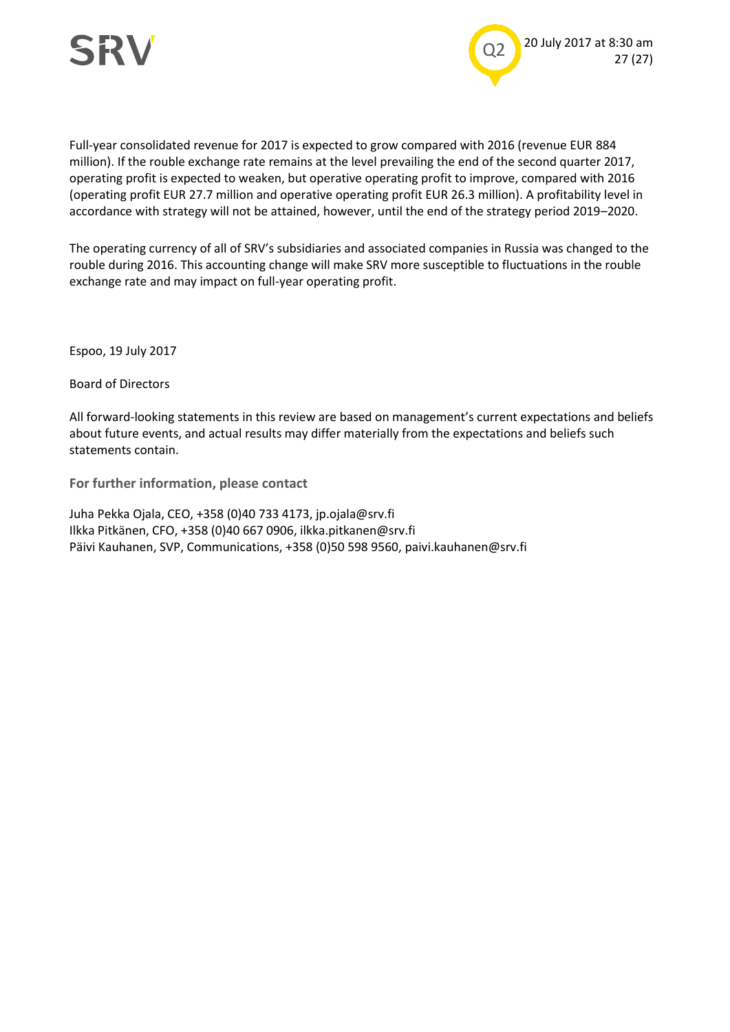



Full-year consolidated revenue for 2017 is expected to grow compared with 2016 (revenue EUR 884 million). If the rouble exchange rate remains at the level prevailing the end of the second quarter 2017, operating profit is expected to weaken, but operative operating profit to improve, compared with 2016 (operating profit EUR 27.7 million and operative operating profit EUR 26.3 million). A profitability level in accordance with strategy will not be attained, however, until the end of the strategy period 2019–2020.

The operating currency of all of SRV's subsidiaries and associated companies in Russia was changed to the rouble during 2016. This accounting change will make SRV more susceptible to fluctuations in the rouble exchange rate and may impact on full-year operating profit.

Espoo, 19 July 2017

Board of Directors

All forward-looking statements in this review are based on management's current expectations and beliefs about future events, and actual results may differ materially from the expectations and beliefs such statements contain.

**For further information, please contact**

Juha Pekka Ojala, CEO, +358 (0)40 733 4173, jp.ojala@srv.fi Ilkka Pitkänen, CFO, +358 (0)40 667 0906, ilkka.pitkanen@srv.fi Päivi Kauhanen, SVP, Communications, +358 (0)50 598 9560, paivi.kauhanen@srv.fi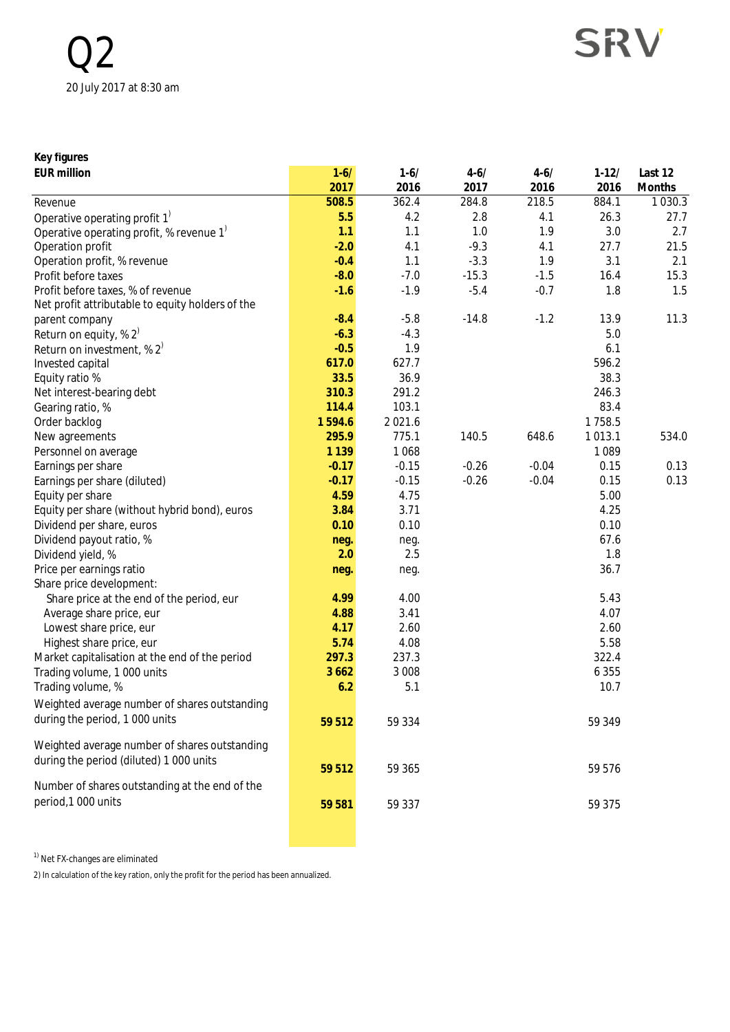| Key figures                                        |          |          |          |          |           |             |
|----------------------------------------------------|----------|----------|----------|----------|-----------|-------------|
| <b>EUR million</b>                                 | $1 - 6/$ | $1 - 6/$ | $4 - 6/$ | $4 - 6/$ | $1 - 12/$ | Last 12     |
|                                                    | 2017     | 2016     | 2017     | 2016     | 2016      | Months      |
| Revenue                                            | 508.5    | 362.4    | 284.8    | 218.5    | 884.1     | 1 0 3 0 . 3 |
| Operative operating profit 1 <sup>)</sup>          | 5.5      | 4.2      | 2.8      | 4.1      | 26.3      | 27.7        |
| Operative operating profit, % revenue $1^{\prime}$ | 1.1      | 1.1      | 1.0      | 1.9      | 3.0       | 2.7         |
| Operation profit                                   | $-2.0$   | 4.1      | $-9.3$   | 4.1      | 27.7      | 21.5        |
| Operation profit, % revenue                        | $-0.4$   | 1.1      | $-3.3$   | 1.9      | 3.1       | 2.1         |
| Profit before taxes                                | $-8.0$   | $-7.0$   | $-15.3$  | $-1.5$   | 16.4      | 15.3        |
| Profit before taxes, % of revenue                  | $-1.6$   | $-1.9$   | $-5.4$   | $-0.7$   | 1.8       | 1.5         |
| Net profit attributable to equity holders of the   |          |          |          |          |           |             |
| parent company                                     | $-8.4$   | $-5.8$   | $-14.8$  | $-1.2$   | 13.9      | 11.3        |
| Return on equity, % $2^{7}$                        | $-6.3$   | $-4.3$   |          |          | 5.0       |             |
| Return on investment, % $2^{7}$                    | $-0.5$   | 1.9      |          |          | 6.1       |             |
| Invested capital                                   | 617.0    | 627.7    |          |          | 596.2     |             |
| Equity ratio %                                     | 33.5     | 36.9     |          |          | 38.3      |             |
| Net interest-bearing debt                          | 310.3    | 291.2    |          |          | 246.3     |             |
| Gearing ratio, %                                   | 114.4    | 103.1    |          |          | 83.4      |             |
| Order backlog                                      | 1594.6   | 2021.6   |          |          | 1758.5    |             |
| New agreements                                     | 295.9    | 775.1    | 140.5    | 648.6    | 1013.1    | 534.0       |
| Personnel on average                               | 1 1 3 9  | 1068     |          |          | 1089      |             |
| Earnings per share                                 | $-0.17$  | $-0.15$  | $-0.26$  | $-0.04$  | 0.15      | 0.13        |
| Earnings per share (diluted)                       | $-0.17$  | $-0.15$  | $-0.26$  | $-0.04$  | 0.15      | 0.13        |
| Equity per share                                   | 4.59     | 4.75     |          |          | 5.00      |             |
| Equity per share (without hybrid bond), euros      | 3.84     | 3.71     |          |          | 4.25      |             |
| Dividend per share, euros                          | 0.10     | 0.10     |          |          | 0.10      |             |
| Dividend payout ratio, %                           | neg.     | neg.     |          |          | 67.6      |             |
| Dividend yield, %                                  | 2.0      | 2.5      |          |          | 1.8       |             |
| Price per earnings ratio                           | neg.     | neg.     |          |          | 36.7      |             |
| Share price development:                           |          |          |          |          |           |             |
| Share price at the end of the period, eur          | 4.99     | 4.00     |          |          | 5.43      |             |
| Average share price, eur                           | 4.88     | 3.41     |          |          | 4.07      |             |
| Lowest share price, eur                            | 4.17     | 2.60     |          |          | 2.60      |             |
| Highest share price, eur                           | 5.74     | 4.08     |          |          | 5.58      |             |
| Market capitalisation at the end of the period     | 297.3    | 237.3    |          |          | 322.4     |             |
| Trading volume, 1 000 units                        | 3 6 6 2  | 3 0 0 8  |          |          | 6 3 5 5   |             |
| Trading volume, %                                  | 6.2      | 5.1      |          |          | 10.7      |             |
| Weighted average number of shares outstanding      |          |          |          |          |           |             |
|                                                    |          |          |          |          |           |             |
| during the period, 1 000 units                     | 59 512   | 59 334   |          |          | 59 349    |             |
| Weighted average number of shares outstanding      |          |          |          |          |           |             |
| during the period (diluted) 1 000 units            |          |          |          |          |           |             |
|                                                    | 59 512   | 59 365   |          |          | 59 576    |             |
| Number of shares outstanding at the end of the     |          |          |          |          |           |             |
| period, 1000 units                                 | 59 581   | 59 337   |          |          | 59 375    |             |
|                                                    |          |          |          |          |           |             |
|                                                    |          |          |          |          |           |             |

 $1)$  Net FX-changes are eliminated

2) In calculation of the key ration, only the profit for the period has been annualized.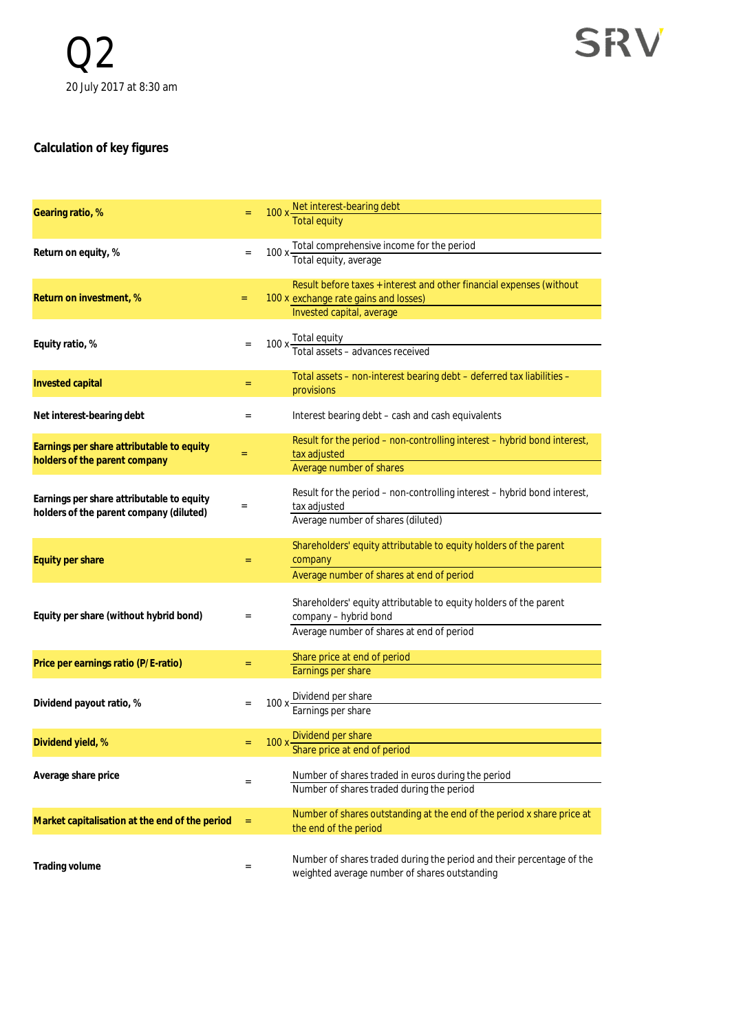## **Calculation of key figures**

| Gearing ratio, %                               |                   | 100 x Net interest-bearing debt                                          |
|------------------------------------------------|-------------------|--------------------------------------------------------------------------|
|                                                |                   |                                                                          |
|                                                |                   |                                                                          |
| Return on equity, %                            | $\equiv$          | 100 x Total comprehensive income for the period<br>Total equity, average |
|                                                |                   |                                                                          |
|                                                |                   | Result before taxes + interest and other financial expenses (without     |
| Return on investment, %                        | $=$               | 100 x exchange rate gains and losses)                                    |
|                                                |                   | Invested capital, average                                                |
|                                                |                   |                                                                          |
| Equity ratio, %                                | $\equiv$          | 100 x Total equity<br>Total assets - advances received                   |
|                                                |                   |                                                                          |
|                                                |                   | Total assets - non-interest bearing debt - deferred tax liabilities -    |
| Invested capital                               | $=$               | provisions                                                               |
|                                                |                   |                                                                          |
| Net interest-bearing debt                      | $\equiv$          | Interest bearing debt - cash and cash equivalents                        |
|                                                |                   | Result for the period - non-controlling interest - hybrid bond interest, |
| Earnings per share attributable to equity      | $=$               | tax adjusted                                                             |
| holders of the parent company                  |                   | Average number of shares                                                 |
|                                                |                   |                                                                          |
| Earnings per share attributable to equity      |                   | Result for the period - non-controlling interest - hybrid bond interest, |
| holders of the parent company (diluted)        | $\quad \, = \,$   | tax adjusted                                                             |
|                                                |                   | Average number of shares (diluted)                                       |
|                                                |                   | Shareholders' equity attributable to equity holders of the parent        |
| Equity per share                               | $=$               | company                                                                  |
|                                                |                   | Average number of shares at end of period                                |
|                                                |                   |                                                                          |
|                                                |                   | Shareholders' equity attributable to equity holders of the parent        |
| Equity per share (without hybrid bond)         | $\equiv$          | company - hybrid bond                                                    |
|                                                |                   | Average number of shares at end of period                                |
|                                                |                   | Share price at end of period                                             |
| Price per earnings ratio (P/E-ratio)           | $=$               | Earnings per share                                                       |
|                                                |                   |                                                                          |
| Dividend payout ratio, %                       | $\equiv$          |                                                                          |
|                                                |                   | 100 x Dividend per share<br>Earnings per share                           |
|                                                |                   |                                                                          |
| Dividend yield, %                              |                   | 100 x Dividend per share<br>Share price at end of period                 |
|                                                |                   |                                                                          |
| Average share price                            |                   | Number of shares traded in euros during the period                       |
|                                                | $\qquad \qquad =$ | Number of shares traded during the period                                |
|                                                |                   |                                                                          |
| Market capitalisation at the end of the period | $\equiv$          | Number of shares outstanding at the end of the period x share price at   |
|                                                |                   | the end of the period                                                    |
|                                                |                   |                                                                          |
| Trading volume                                 | $\equiv$          | Number of shares traded during the period and their percentage of the    |
|                                                |                   | weighted average number of shares outstanding                            |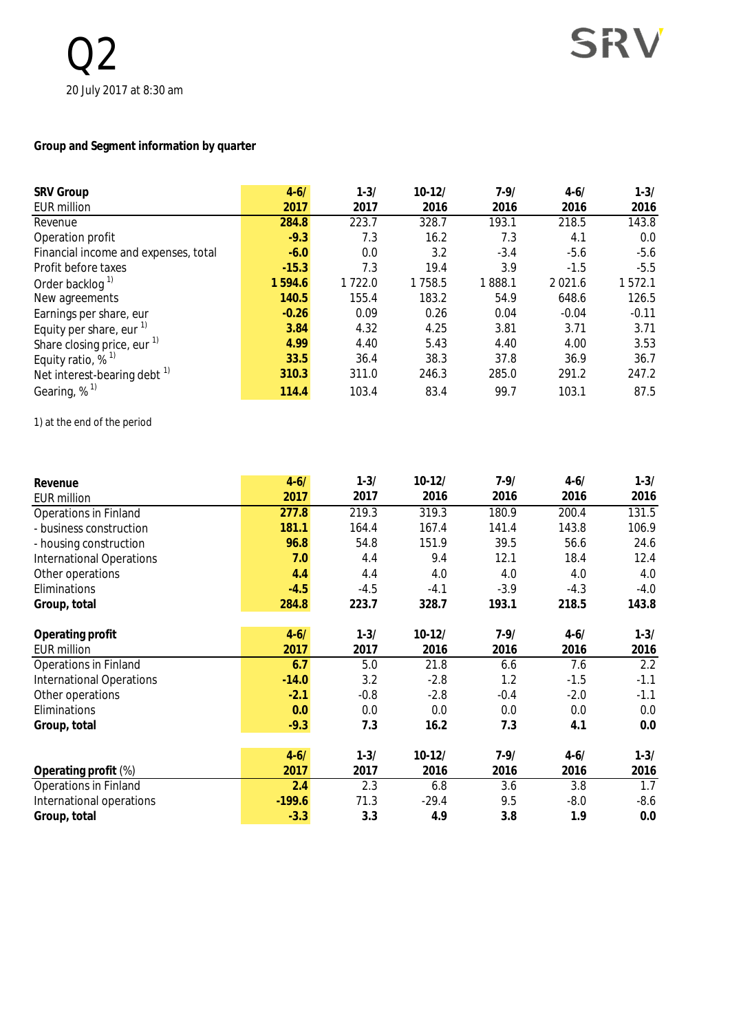#### **Group and Segment information by quarter**

| <b>SRV Group</b>                       | $4 - 6/$ | $1 - 3/$ | $10 - 12/$ | $7 - 9/$ | $4 - 6/$    | $1 - 3/$ |
|----------------------------------------|----------|----------|------------|----------|-------------|----------|
| <b>EUR million</b>                     | 2017     | 2017     | 2016       | 2016     | 2016        | 2016     |
| Revenue                                | 284.8    | 223.7    | 328.7      | 193.1    | 218.5       | 143.8    |
| Operation profit                       | $-9.3$   | 7.3      | 16.2       | 7.3      | 4.1         | 0.0      |
| Financial income and expenses, total   | $-6.0$   | 0.0      | 3.2        | $-3.4$   | $-5.6$      | $-5.6$   |
| Profit before taxes                    | $-15.3$  | 7.3      | 19.4       | 3.9      | $-1.5$      | $-5.5$   |
| Order backlog <sup>1)</sup>            | 1594.6   | 1722.0   | 1758.5     | 1888.1   | 2 0 2 1 . 6 | 1572.1   |
| New agreements                         | 140.5    | 155.4    | 183.2      | 54.9     | 648.6       | 126.5    |
| Earnings per share, eur                | $-0.26$  | 0.09     | 0.26       | 0.04     | $-0.04$     | $-0.11$  |
| Equity per share, eur $1$              | 3.84     | 4.32     | 4.25       | 3.81     | 3.71        | 3.71     |
| Share closing price, eur <sup>1)</sup> | 4.99     | 4.40     | 5.43       | 4.40     | 4.00        | 3.53     |
| Equity ratio, $%$ <sup>1)</sup>        | 33.5     | 36.4     | 38.3       | 37.8     | 36.9        | 36.7     |
| Net interest-bearing debt $1$          | 310.3    | 311.0    | 246.3      | 285.0    | 291.2       | 247.2    |
| Gearing, % <sup>1)</sup>               | 114.4    | 103.4    | 83.4       | 99.7     | 103.1       | 87.5     |

1) at the end of the period

| Revenue                         | $4 - 6/$ | $1 - 3/$ | $10-12/$ | $7 - 9/$ | $4 - 6/$ | $1 - 3/$ |
|---------------------------------|----------|----------|----------|----------|----------|----------|
| <b>EUR million</b>              | 2017     | 2017     | 2016     | 2016     | 2016     | 2016     |
| <b>Operations in Finland</b>    | 277.8    | 219.3    | 319.3    | 180.9    | 200.4    | 131.5    |
| - business construction         | 181.1    | 164.4    | 167.4    | 141.4    | 143.8    | 106.9    |
| - housing construction          | 96.8     | 54.8     | 151.9    | 39.5     | 56.6     | 24.6     |
| <b>International Operations</b> | 7.0      | 4.4      | 9.4      | 12.1     | 18.4     | 12.4     |
| Other operations                | 4.4      | 4.4      | 4.0      | 4.0      | 4.0      | 4.0      |
| Eliminations                    | $-4.5$   | $-4.5$   | $-4.1$   | $-3.9$   | $-4.3$   | $-4.0$   |
| Group, total                    | 284.8    | 223.7    | 328.7    | 193.1    | 218.5    | 143.8    |
| Operating profit                | $4 - 6/$ | $1 - 3/$ | $10-12/$ | $7 - 9/$ | $4 - 6/$ | $1 - 3/$ |
| <b>EUR</b> million              | 2017     | 2017     | 2016     | 2016     | 2016     | 2016     |
| <b>Operations in Finland</b>    | 6.7      | 5.0      | 21.8     | 6.6      | 7.6      | 2.2      |
| <b>International Operations</b> | $-14.0$  | 3.2      | $-2.8$   | 1.2      | $-1.5$   | $-1.1$   |
| Other operations                | $-2.1$   | $-0.8$   | $-2.8$   | $-0.4$   | $-2.0$   | $-1.1$   |
| Eliminations                    | 0.0      | 0.0      | 0.0      | 0.0      | 0.0      | 0.0      |
| Group, total                    | $-9.3$   | 7.3      | 16.2     | 7.3      | 4.1      | 0.0      |
|                                 | $4 - 6/$ | $1 - 3/$ | $10-12/$ | $7 - 9/$ | $4 - 6/$ | $1 - 3/$ |
| Operating profit (%)            | 2017     | 2017     | 2016     | 2016     | 2016     | 2016     |
| <b>Operations in Finland</b>    | 2.4      | 2.3      | 6.8      | 3.6      | 3.8      | 1.7      |
| International operations        | $-199.6$ | 71.3     | $-29.4$  | 9.5      | $-8.0$   | $-8.6$   |
| Group, total                    | $-3.3$   | 3.3      | 4.9      | 3.8      | 1.9      | 0.0      |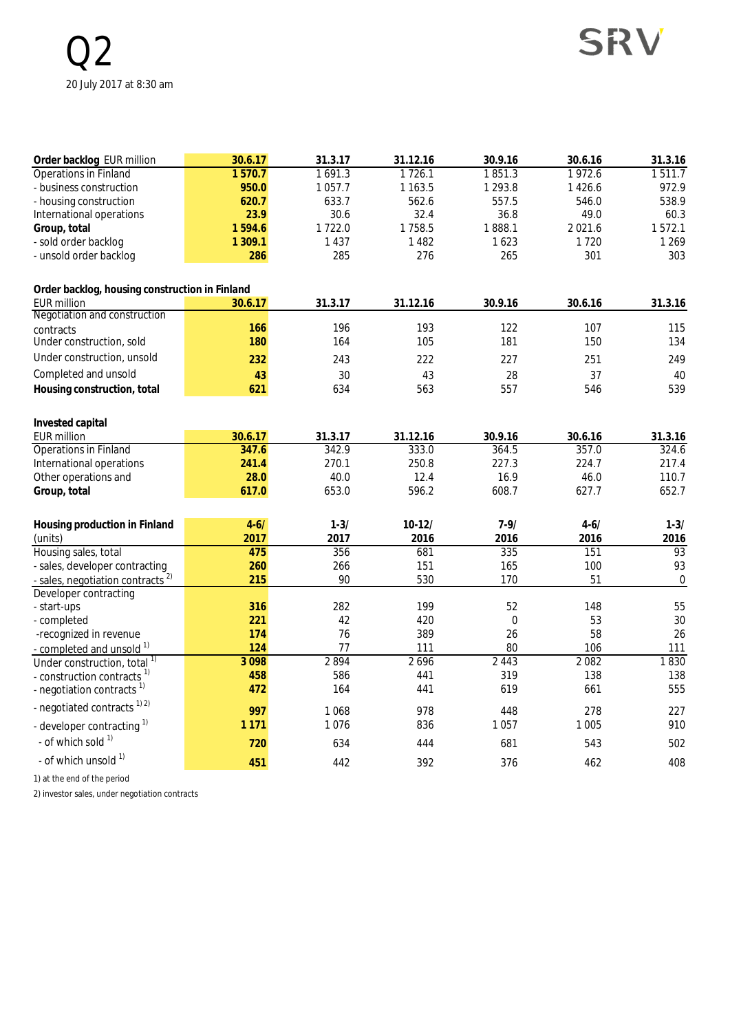| Order backlog EUR million                      | 30.6.17  | 31.3.17     | 31.12.16   | 30.9.16     | 30.6.16   | 31.3.16          |
|------------------------------------------------|----------|-------------|------------|-------------|-----------|------------------|
| <b>Operations in Finland</b>                   | 1570.7   | 1691.3      | 1726.1     | 1851.3      | 1972.6    | 1511.7           |
| - business construction                        | 950.0    | 1 0 5 7 . 7 | 1 1 6 3 .5 | 1 2 9 3 . 8 | 1 4 2 6.6 | 972.9            |
| - housing construction                         | 620.7    | 633.7       | 562.6      | 557.5       | 546.0     | 538.9            |
| International operations                       | 23.9     | 30.6        | 32.4       | 36.8        | 49.0      | 60.3             |
| Group, total                                   | 1594.6   | 1722.0      | 1758.5     | 1888.1      | 2021.6    | 1572.1           |
| - sold order backlog                           | 1 309.1  | 1 4 3 7     | 1 4 8 2    | 1623        | 1720      | 1 2 6 9          |
| - unsold order backlog                         | 286      | 285         | 276        | 265         | 301       | 303              |
|                                                |          |             |            |             |           |                  |
| Order backlog, housing construction in Finland |          |             |            |             |           |                  |
| <b>EUR million</b>                             | 30.6.17  | 31.3.17     | 31.12.16   | 30.9.16     | 30.6.16   | 31.3.16          |
| Negotiation and construction                   | 166      | 196         | 193        | 122         | 107       | 115              |
| contracts<br>Under construction, sold          | 180      | 164         | 105        | 181         | 150       | 134              |
|                                                |          |             |            |             |           |                  |
| Under construction, unsold                     | 232      | 243         | 222        | 227         | 251       | 249              |
| Completed and unsold                           | 43       | 30          | 43         | 28          | 37        | 40               |
| Housing construction, total                    | 621      | 634         | 563        | 557         | 546       | 539              |
|                                                |          |             |            |             |           |                  |
| Invested capital<br><b>EUR million</b>         | 30.6.17  | 31.3.17     | 31.12.16   | 30.9.16     | 30.6.16   |                  |
| <b>Operations in Finland</b>                   | 347.6    | 342.9       | 333.0      | 364.5       | 357.0     | 31.3.16<br>324.6 |
| International operations                       | 241.4    | 270.1       | 250.8      | 227.3       | 224.7     | 217.4            |
|                                                | 28.0     | 40.0        | 12.4       | 16.9        | 46.0      | 110.7            |
| Other operations and                           | 617.0    | 653.0       | 596.2      | 608.7       | 627.7     | 652.7            |
| Group, total                                   |          |             |            |             |           |                  |
| Housing production in Finland                  | $4 - 6/$ | $1 - 3/$    | $10-12/$   | $7 - 9/$    | $4 - 6/$  | $1 - 3/$         |
| (units)                                        | 2017     | 2017        | 2016       | 2016        | 2016      | 2016             |
| Housing sales, total                           | 475      | 356         | 681        | 335         | 151       | 93               |
| - sales, developer contracting                 | 260      | 266         | 151        | 165         | 100       | 93               |
| sales, negotiation contracts <sup>2)</sup>     | 215      | 90          | 530        | 170         | 51        | $\boldsymbol{0}$ |
| Developer contracting                          |          |             |            |             |           |                  |
| - start-ups                                    | 316      | 282         | 199        | 52          | 148       | 55               |
| - completed                                    | 221      | 42          | 420        | $\pmb{0}$   | 53        | 30               |
| -recognized in revenue                         | 174      | 76          | 389        | 26          | 58        | 26               |
| - completed and unsold <sup>1)</sup>           | 124      | 77          | 111        | 80          | 106       | 111              |
| Under construction, total <sup>1)</sup>        | 3098     | 2894        | 2696       | 2443        | 2082      | 1830             |
| - construction contracts <sup>1)</sup>         | 458      | 586         | 441        | 319         | 138       | 138              |
| - negotiation contracts $1$                    | 472      | 164         | 441        | 619         | 661       | 555              |
| - negotiated contracts <sup>1)2)</sup>         | 997      | 1068        | 978        | 448         | 278       | 227              |
| - developer contracting 1)                     | 1 1 7 1  | 1076        | 836        | 1057        | 1 0 0 5   | 910              |
| - of which sold $1$                            | 720      | 634         | 444        | 681         | 543       | 502              |
| - of which unsold 1)                           | 451      | 442         | 392        | 376         | 462       | 408              |

1) at the end of the period

2) investor sales, under negotiation contracts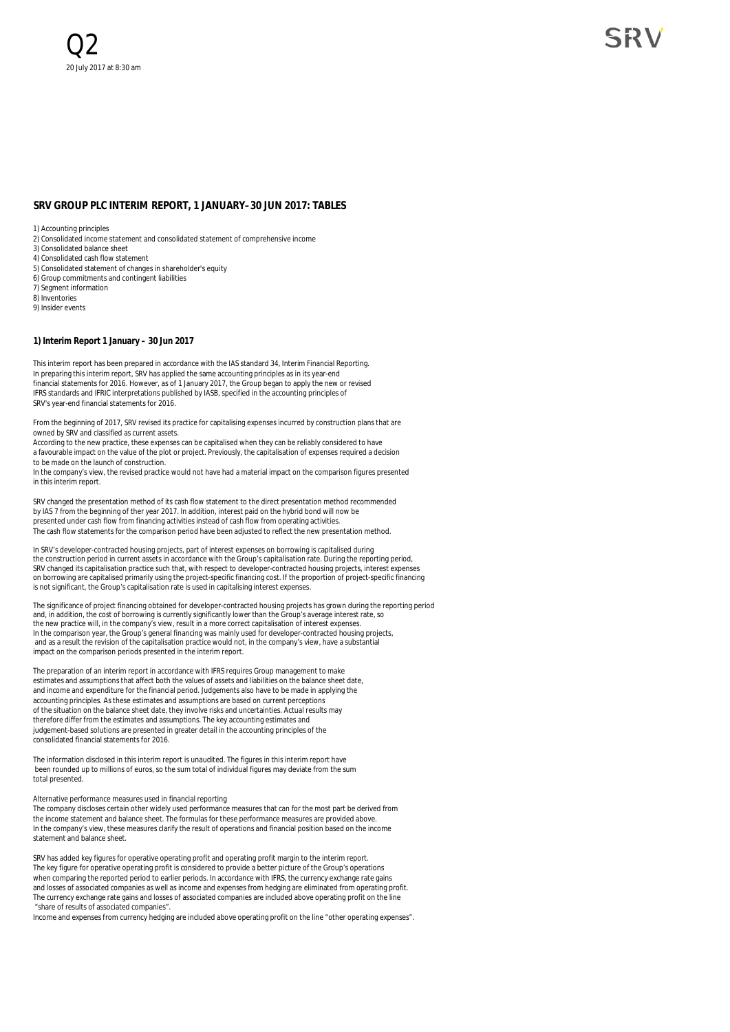#### **SRV GROUP PLC INTERIM REPORT, 1 JANUARY–30 JUN 2017: TABLES**

1) Accounting principles

- 2) Consolidated income statement and consolidated statement of comprehensive income
- 3) Consolidated balance sheet
- 4) Consolidated cash flow statement
- 5) Consolidated statement of changes in shareholder's equity
- 6) Group commitments and contingent liabilities 7) Segment information
- 8) Inventories
- 9) Insider events
- 

#### **1) Interim Report 1 January – 30 Jun 2017**

This interim report has been prepared in accordance with the IAS standard 34, Interim Financial Reporting. In preparing this interim report, SRV has applied the same accounting principles as in its year-end financial statements for 2016. However, as of 1 January 2017, the Group began to apply the new or revised IFRS standards and IFRIC interpretations published by IASB, specified in the accounting principles of SRV's year-end financial statements for 2016.

From the beginning of 2017, SRV revised its practice for capitalising expenses incurred by construction plans that are owned by SRV and classified as current assets.

According to the new practice, these expenses can be capitalised when they can be reliably considered to have a favourable impact on the value of the plot or project. Previously, the capitalisation of expenses required a decision to be made on the launch of construction. In the company's view, the revised practice would not have had a material impact on the comparison figures presented

in this interim report.

SRV changed the presentation method of its cash flow statement to the direct presentation method recommended by IAS 7 from the beginning of ther year 2017. In addition, interest paid on the hybrid bond will now be presented under cash flow from financing activities instead of cash flow from operating activities. The cash flow statements for the comparison period have been adjusted to reflect the new presentation method.

In SRV's developer-contracted housing projects, part of interest expenses on borrowing is capitalised during the construction period in current assets in accordance with the Group's capitalisation rate. During the reporting period,<br>SRV changed its capitalisation practice such that, with respect to developer-contracted housing pro on borrowing are capitalised primarily using the project-specific financing cost. If the proportion of project-specific financing is not significant, the Group's capitalisation rate is used in capitalising interest expenses.

The significance of project financing obtained for developer-contracted housing projects has grown during the reporting period and, in addition, the cost of borrowing is currently significantly lower than the Group's average interest rate, so the new practice will, in the company's view, result in a more correct capitalisation of interest expenses. In the comparison year, the Group's general financing was mainly used for developer-contracted housing projects, and as a result the revision of the capitalisation practice would not, in the company's view, have a substantia impact on the comparison periods presented in the interim report.

The preparation of an interim report in accordance with IFRS requires Group management to make estimates and assumptions that affect both the values of assets and liabilities on the balance sheet date, and income and expenditure for the financial period. Judgements also have to be made in applying the accounting principles. As these estimates and assumptions are based on current perceptions of the situation on the balance sheet date, they involve risks and uncertainties. Actual results may therefore differ from the estimates and assumptions. The key accounting estimates and judgement-based solutions are presented in greater detail in the accounting principles of the consolidated financial statements for 2016.

The information disclosed in this interim report is unaudited. The figures in this interim report have been rounded up to millions of euros, so the sum total of individual figures may deviate from the sum total presented.

#### Alternative performance measures used in financial reporting

The company discloses certain other widely used performance measures that can for the most part be derived from the income statement and balance sheet. The formulas for these performance measures are provided above. In the company's view, these measures clarify the result of operations and financial position based on the income statement and balance sheet.

SRV has added key figures for operative operating profit and operating profit margin to the interim report. The key figure for operative operating profit is considered to provide a better picture of the Group's operations when comparing the reported period to earlier periods. In accordance with IFRS, the currency exchange rate gains and losses of associated companies as well as income and expenses from hedging are eliminated from operating profit. The currency exchange rate gains and losses of associated companies are included above operating profit on the line "share of results of associated companies".

Income and expenses from currency hedging are included above operating profit on the line "other operating expenses".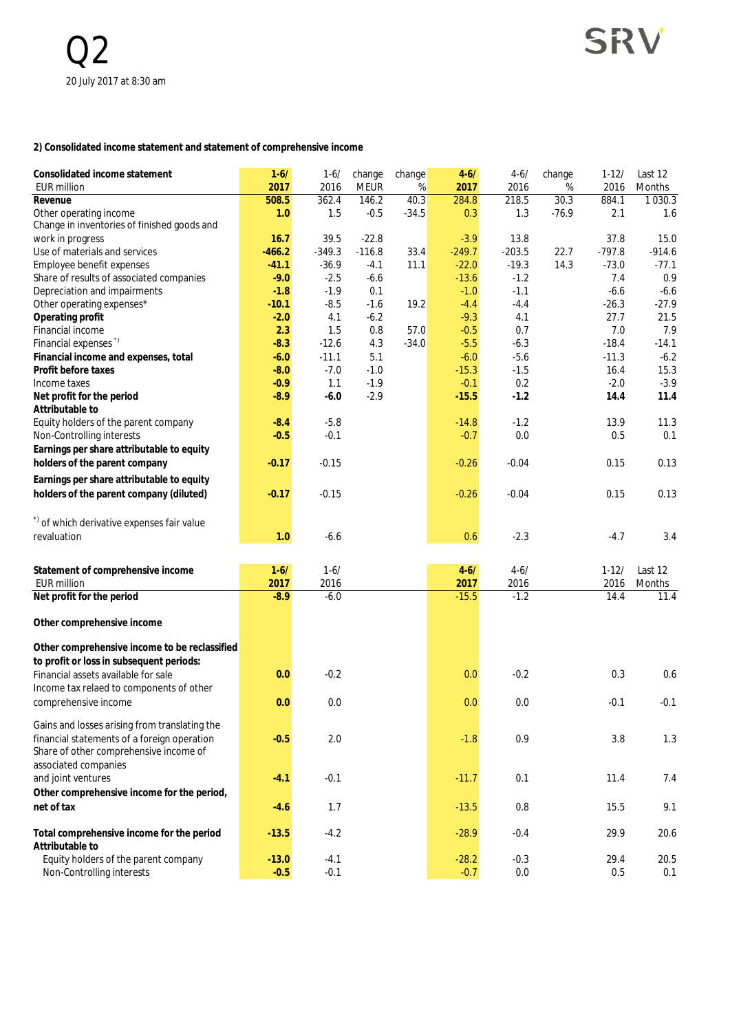#### **2) Consolidated income statement and statement of comprehensive income**

| Consolidated income statement                                         | $1 - 6/$     | $1 - 6/$     | change          | change          | $4 - 6/$     | $4 - 6/$     | change          | $1 - 12/$    | Last 12            |
|-----------------------------------------------------------------------|--------------|--------------|-----------------|-----------------|--------------|--------------|-----------------|--------------|--------------------|
| <b>EUR million</b>                                                    | 2017         | 2016         | <b>MEUR</b>     | %               | 2017         | 2016         | %               | 2016         | Months             |
| Revenue                                                               | 508.5<br>1.0 | 362.4<br>1.5 | 146.2<br>$-0.5$ | 40.3<br>$-34.5$ | 284.8<br>0.3 | 218.5<br>1.3 | 30.3<br>$-76.9$ | 884.1<br>2.1 | 1 0 3 0 . 3<br>1.6 |
| Other operating income<br>Change in inventories of finished goods and |              |              |                 |                 |              |              |                 |              |                    |
| work in progress                                                      | 16.7         | 39.5         | $-22.8$         |                 | $-3.9$       | 13.8         |                 | 37.8         | 15.0               |
| Use of materials and services                                         | $-466.2$     | $-349.3$     | $-116.8$        | 33.4            | $-249.7$     | $-203.5$     | 22.7            | $-797.8$     | $-914.6$           |
| Employee benefit expenses                                             | $-41.1$      | $-36.9$      | $-4.1$          | 11.1            | $-22.0$      | $-19.3$      | 14.3            | $-73.0$      | $-77.1$            |
| Share of results of associated companies                              | $-9.0$       | $-2.5$       | $-6.6$          |                 | $-13.6$      | $-1.2$       |                 | 7.4          | 0.9                |
| Depreciation and impairments                                          | $-1.8$       | $-1.9$       | 0.1             |                 | $-1.0$       | $-1.1$       |                 | $-6.6$       | $-6.6$             |
| Other operating expenses*                                             | $-10.1$      | $-8.5$       | $-1.6$          | 19.2            | $-4.4$       | $-4.4$       |                 | $-26.3$      | $-27.9$            |
| Operating profit                                                      | $-2.0$       | 4.1          | $-6.2$          |                 | $-9.3$       | 4.1          |                 | 27.7         | 21.5               |
| Financial income                                                      | 2.3          | 1.5          | 0.8             | 57.0            | $-0.5$       | 0.7          |                 | 7.0          | 7.9                |
| Financial expenses"                                                   | $-8.3$       | $-12.6$      | 4.3             | $-34.0$         | $-5.5$       | $-6.3$       |                 | $-18.4$      | $-14.1$            |
| Financial income and expenses, total                                  | $-6.0$       | $-11.1$      | 5.1             |                 | $-6.0$       | $-5.6$       |                 | $-11.3$      | $-6.2$             |
| Profit before taxes                                                   | $-8.0$       | $-7.0$       | $-1.0$          |                 | $-15.3$      | $-1.5$       |                 | 16.4         | 15.3               |
| Income taxes                                                          | $-0.9$       | 1.1          | $-1.9$          |                 | $-0.1$       | 0.2          |                 | $-2.0$       | $-3.9$             |
| Net profit for the period                                             | $-8.9$       | $-6.0$       | $-2.9$          |                 | $-15.5$      | $-1.2$       |                 | 14.4         | 11.4               |
| Attributable to                                                       |              |              |                 |                 |              |              |                 |              |                    |
| Equity holders of the parent company                                  | $-8.4$       | $-5.8$       |                 |                 | $-14.8$      | $-1.2$       |                 | 13.9         | 11.3               |
| Non-Controlling interests                                             | $-0.5$       | $-0.1$       |                 |                 | $-0.7$       | 0.0          |                 | 0.5          | 0.1                |
| Earnings per share attributable to equity                             |              |              |                 |                 |              |              |                 |              |                    |
| holders of the parent company                                         | $-0.17$      | $-0.15$      |                 |                 | $-0.26$      | $-0.04$      |                 | 0.15         | 0.13               |
| Earnings per share attributable to equity                             |              |              |                 |                 |              |              |                 |              |                    |
| holders of the parent company (diluted)                               |              |              |                 |                 |              | $-0.04$      |                 |              | 0.13               |
|                                                                       | $-0.17$      | $-0.15$      |                 |                 | $-0.26$      |              |                 | 0.15         |                    |
|                                                                       |              |              |                 |                 |              |              |                 |              |                    |
| *) of which derivative expenses fair value                            |              |              |                 |                 |              |              |                 |              |                    |
| revaluation                                                           | 1.0          | $-6.6$       |                 |                 | 0.6          | $-2.3$       |                 | $-4.7$       | 3.4                |
|                                                                       |              |              |                 |                 |              |              |                 |              |                    |
| Statement of comprehensive income                                     | $1-6/$       | $1 - 6/$     |                 |                 | $4 - 6/$     | $4 - 6/$     |                 | $1 - 12/$    | Last 12            |
| <b>EUR million</b>                                                    | 2017         | 2016         |                 |                 | 2017         | 2016         |                 | 2016         | Months             |
| Net profit for the period                                             | $-8.9$       | $-6.0$       |                 |                 | $-15.5$      | $-1.2$       |                 | 14.4         | 11.4               |
|                                                                       |              |              |                 |                 |              |              |                 |              |                    |
| Other comprehensive income                                            |              |              |                 |                 |              |              |                 |              |                    |
|                                                                       |              |              |                 |                 |              |              |                 |              |                    |
| Other comprehensive income to be reclassified                         |              |              |                 |                 |              |              |                 |              |                    |
| to profit or loss in subsequent periods:                              |              |              |                 |                 |              |              |                 |              |                    |
| Financial assets available for sale                                   | 0.0          | $-0.2$       |                 |                 | 0.0          | $-0.2$       |                 | 0.3          | 0.6                |
| Income tax relaed to components of other                              |              |              |                 |                 |              |              |                 |              |                    |
| comprehensive income                                                  | 0.0          | 0.0          |                 |                 | 0.0          | 0.0          |                 | $-0.1$       | $-0.1$             |
|                                                                       |              |              |                 |                 |              |              |                 |              |                    |
| Gains and losses arising from translating the                         |              |              |                 |                 |              |              |                 |              |                    |
| financial statements of a foreign operation                           | $-0.5$       | 2.0          |                 |                 | $-1.8$       | 0.9          |                 | 3.8          | 1.3                |
| Share of other comprehensive income of                                |              |              |                 |                 |              |              |                 |              |                    |
| associated companies                                                  |              |              |                 |                 |              |              |                 |              |                    |
| and joint ventures                                                    | $-4.1$       | $-0.1$       |                 |                 | $-11.7$      | 0.1          |                 | 11.4         | 7.4                |
| Other comprehensive income for the period,                            |              |              |                 |                 |              |              |                 |              |                    |
| net of tax                                                            | $-4.6$       | 1.7          |                 |                 | $-13.5$      | 0.8          |                 | 15.5         | 9.1                |
|                                                                       |              |              |                 |                 |              |              |                 |              |                    |
| Total comprehensive income for the period                             | $-13.5$      | $-4.2$       |                 |                 | $-28.9$      | $-0.4$       |                 | 29.9         | 20.6               |
| Attributable to                                                       |              |              |                 |                 |              |              |                 |              |                    |
| Equity holders of the parent company                                  | $-13.0$      | $-4.1$       |                 |                 | $-28.2$      | $-0.3$       |                 | 29.4         | 20.5               |
| Non-Controlling interests                                             | $-0.5$       | $-0.1$       |                 |                 | $-0.7$       | 0.0          |                 | 0.5          | 0.1                |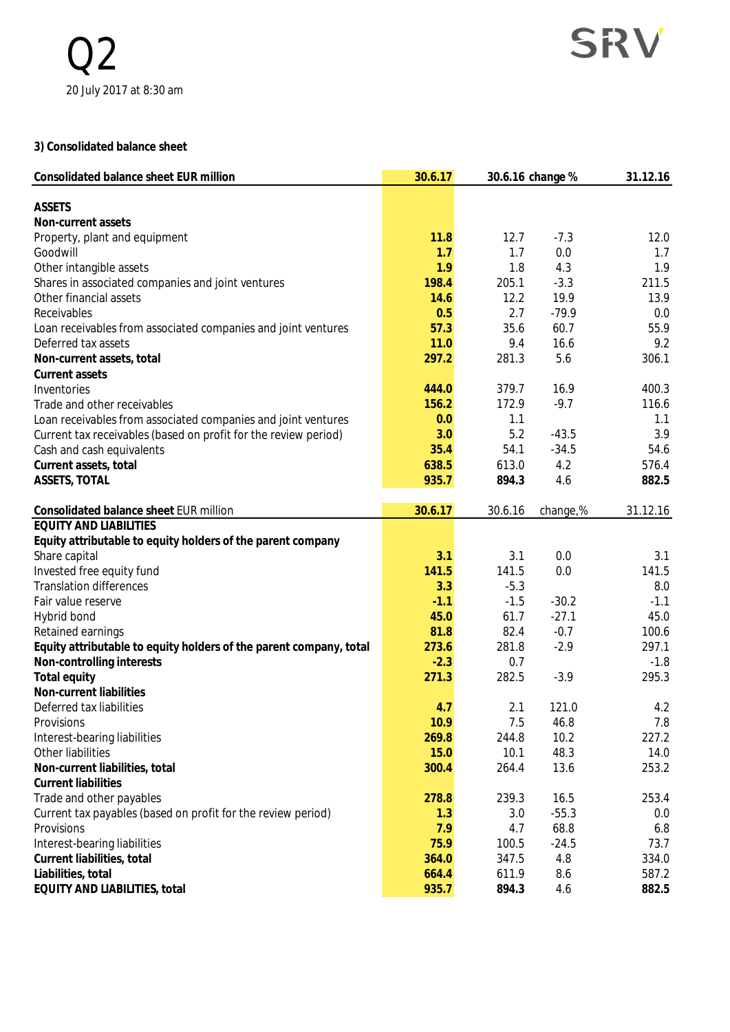#### **3) Consolidated balance sheet**

| Consolidated balance sheet EUR million                             | 30.6.17 |         | 30.6.16 change % |          |
|--------------------------------------------------------------------|---------|---------|------------------|----------|
| <b>ASSETS</b>                                                      |         |         |                  |          |
| Non-current assets                                                 |         |         |                  |          |
| Property, plant and equipment                                      | 11.8    | 12.7    | $-7.3$           | 12.0     |
| Goodwill                                                           | 1.7     | 1.7     | 0.0              | 1.7      |
| Other intangible assets                                            | 1.9     | 1.8     | 4.3              | 1.9      |
| Shares in associated companies and joint ventures                  | 198.4   | 205.1   | $-3.3$           | 211.5    |
| Other financial assets                                             | 14.6    | 12.2    | 19.9             | 13.9     |
| Receivables                                                        | 0.5     | 2.7     | $-79.9$          | 0.0      |
| Loan receivables from associated companies and joint ventures      | 57.3    | 35.6    | 60.7             | 55.9     |
| Deferred tax assets                                                | 11.0    | 9.4     | 16.6             | 9.2      |
| Non-current assets, total                                          | 297.2   | 281.3   | 5.6              | 306.1    |
| Current assets                                                     |         |         |                  |          |
| Inventories                                                        | 444.0   | 379.7   | 16.9             | 400.3    |
| Trade and other receivables                                        | 156.2   | 172.9   | $-9.7$           | 116.6    |
| Loan receivables from associated companies and joint ventures      | 0.0     | 1.1     |                  | 1.1      |
| Current tax receivables (based on profit for the review period)    | 3.0     | 5.2     | $-43.5$          | 3.9      |
| Cash and cash equivalents                                          | 35.4    | 54.1    | $-34.5$          | 54.6     |
| Current assets, total                                              | 638.5   | 613.0   | 4.2              | 576.4    |
| ASSETS, TOTAL                                                      | 935.7   | 894.3   | 4.6              | 882.5    |
| Consolidated balance sheet EUR million                             | 30.6.17 | 30.6.16 | change,%         | 31.12.16 |
| <b>EQUITY AND LIABILITIES</b>                                      |         |         |                  |          |
| Equity attributable to equity holders of the parent company        |         |         |                  |          |
| Share capital                                                      | 3.1     | 3.1     | 0.0              | 3.1      |
| Invested free equity fund                                          | 141.5   | 141.5   | 0.0              | 141.5    |
| <b>Translation differences</b>                                     | 3.3     | $-5.3$  |                  | 8.0      |
| Fair value reserve                                                 | $-1.1$  | $-1.5$  | $-30.2$          | $-1.1$   |
| Hybrid bond                                                        | 45.0    | 61.7    | $-27.1$          | 45.0     |
| Retained earnings                                                  | 81.8    | 82.4    | $-0.7$           | 100.6    |
| Equity attributable to equity holders of the parent company, total | 273.6   | 281.8   | $-2.9$           | 297.1    |
| Non-controlling interests                                          | $-2.3$  | 0.7     |                  | $-1.8$   |
| Total equity                                                       | 271.3   | 282.5   | $-3.9$           | 295.3    |
| Non-current liabilities                                            |         |         |                  |          |
| Deferred tax liabilities                                           | 4.7     | 2.1     | 121.0            | 4.2      |
| Provisions                                                         | 10.9    | 7.5     | 46.8             | 7.8      |
| Interest-bearing liabilities                                       | 269.8   | 244.8   | 10.2             | 227.2    |
| Other liabilities                                                  | 15.0    | 10.1    | 48.3             | 14.0     |
| Non-current liabilities, total                                     | 300.4   | 264.4   | 13.6             | 253.2    |
| <b>Current liabilities</b>                                         |         |         |                  |          |
| Trade and other payables                                           | 278.8   | 239.3   | 16.5             | 253.4    |
| Current tax payables (based on profit for the review period)       | 1.3     | 3.0     | $-55.3$          | 0.0      |
| Provisions                                                         | 7.9     | 4.7     | 68.8             | 6.8      |
| Interest-bearing liabilities                                       | 75.9    | 100.5   | $-24.5$          | 73.7     |
| Current liabilities, total                                         | 364.0   | 347.5   | 4.8              | 334.0    |
| Liabilities, total                                                 | 664.4   | 611.9   | 8.6              | 587.2    |
| EQUITY AND LIABILITIES, total                                      | 935.7   | 894.3   | 4.6              | 882.5    |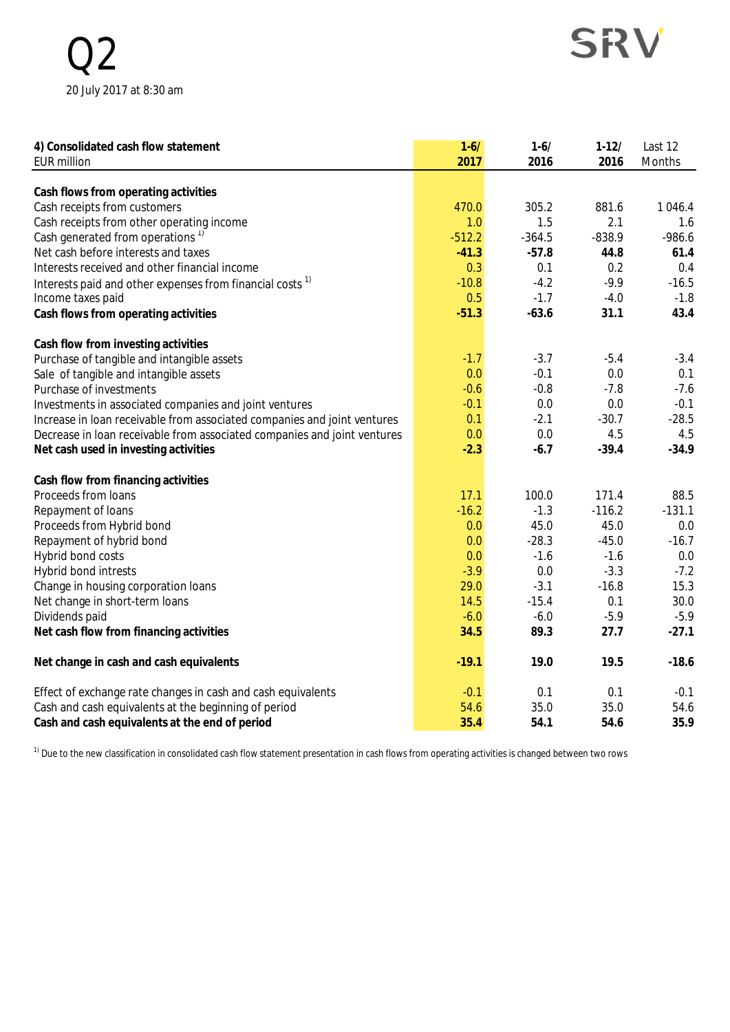$\binom{1}{2}$ 20 July 2017 at 8:30 am

# SRV

| 4) Consolidated cash flow statement                                      | $1 - 6/$ | $1 - 6/$ | $1-12/$  | Last 12   |
|--------------------------------------------------------------------------|----------|----------|----------|-----------|
| <b>EUR million</b>                                                       | 2017     | 2016     | 2016     | Months    |
|                                                                          |          |          |          |           |
| Cash flows from operating activities                                     |          |          |          |           |
| Cash receipts from customers                                             | 470.0    | 305.2    | 881.6    | 1 0 4 6.4 |
| Cash receipts from other operating income                                | 1.0      | 1.5      | 2.1      | 1.6       |
| Cash generated from operations <sup>1)</sup>                             | $-512.2$ | $-364.5$ | $-838.9$ | $-986.6$  |
| Net cash before interests and taxes                                      | $-41.3$  | $-57.8$  | 44.8     | 61.4      |
| Interests received and other financial income                            | 0.3      | 0.1      | 0.2      | 0.4       |
| Interests paid and other expenses from financial costs <sup>1)</sup>     | $-10.8$  | $-4.2$   | $-9.9$   | $-16.5$   |
| Income taxes paid                                                        | 0.5      | $-1.7$   | $-4.0$   | $-1.8$    |
| Cash flows from operating activities                                     | $-51.3$  | $-63.6$  | 31.1     | 43.4      |
| Cash flow from investing activities                                      |          |          |          |           |
| Purchase of tangible and intangible assets                               | $-1.7$   | $-3.7$   | $-5.4$   | $-3.4$    |
| Sale of tangible and intangible assets                                   | 0.0      | $-0.1$   | 0.0      | 0.1       |
| Purchase of investments                                                  | $-0.6$   | $-0.8$   | $-7.8$   | $-7.6$    |
| Investments in associated companies and joint ventures                   | $-0.1$   | 0.0      | 0.0      | $-0.1$    |
| Increase in loan receivable from associated companies and joint ventures | 0.1      | $-2.1$   | $-30.7$  | $-28.5$   |
| Decrease in loan receivable from associated companies and joint ventures | 0.0      | 0.0      | 4.5      | 4.5       |
| Net cash used in investing activities                                    | $-2.3$   | $-6.7$   | $-39.4$  | $-34.9$   |
| Cash flow from financing activities                                      |          |          |          |           |
| Proceeds from loans                                                      | 17.1     | 100.0    | 171.4    | 88.5      |
| Repayment of loans                                                       | $-16.2$  | $-1.3$   | $-116.2$ | $-131.1$  |
| Proceeds from Hybrid bond                                                | 0.0      | 45.0     | 45.0     | 0.0       |
| Repayment of hybrid bond                                                 | 0.0      | $-28.3$  | $-45.0$  | $-16.7$   |
| Hybrid bond costs                                                        | 0.0      | $-1.6$   | $-1.6$   | 0.0       |
| Hybrid bond intrests                                                     | $-3.9$   | 0.0      | $-3.3$   | $-7.2$    |
| Change in housing corporation loans                                      | 29.0     | $-3.1$   | $-16.8$  | 15.3      |
| Net change in short-term loans                                           | 14.5     | $-15.4$  | 0.1      | 30.0      |
| Dividends paid                                                           | $-6.0$   | $-6.0$   | $-5.9$   | $-5.9$    |
| Net cash flow from financing activities                                  | 34.5     | 89.3     | 27.7     | $-27.1$   |
| Net change in cash and cash equivalents                                  | $-19.1$  | 19.0     | 19.5     | $-18.6$   |
| Effect of exchange rate changes in cash and cash equivalents             | $-0.1$   | 0.1      | 0.1      | $-0.1$    |
| Cash and cash equivalents at the beginning of period                     | 54.6     | 35.0     | 35.0     | 54.6      |
| Cash and cash equivalents at the end of period                           | 35.4     | 54.1     | 54.6     | 35.9      |

 $1)$  Due to the new classification in consolidated cash flow statement presentation in cash flows from operating activities is changed between two rows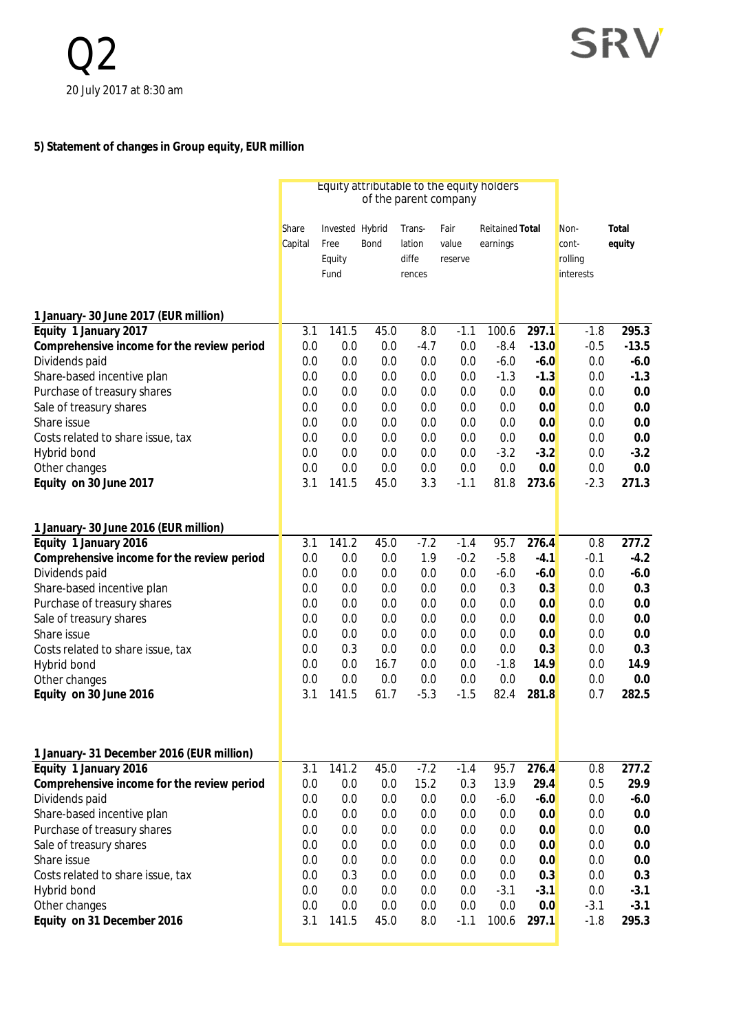## **5) Statement of changes in Group equity, EUR million**

|                                            | Equity attributable to the equity holders<br>of the parent company |                                           |      |                                     |                          |                                    |         |                                              |                 |
|--------------------------------------------|--------------------------------------------------------------------|-------------------------------------------|------|-------------------------------------|--------------------------|------------------------------------|---------|----------------------------------------------|-----------------|
|                                            | Share<br>Capital                                                   | Invested Hybrid<br>Free<br>Equity<br>Fund | Bond | Trans-<br>lation<br>diffe<br>rences | Fair<br>value<br>reserve | <b>Reitained Total</b><br>earnings |         | Non-<br>cont-<br>rolling<br><i>interests</i> | Total<br>equity |
| 1 January- 30 June 2017 (EUR million)      |                                                                    |                                           |      |                                     |                          |                                    |         |                                              |                 |
| Equity 1 January 2017                      | 3.1                                                                | 141.5                                     | 45.0 | 8.0                                 | $-1.1$                   | 100.6                              | 297.1   | $-1.8$                                       | 295.3           |
| Comprehensive income for the review period | 0.0                                                                | 0.0                                       | 0.0  | $-4.7$                              | 0.0                      | $-8.4$                             | $-13.0$ | $-0.5$                                       | $-13.5$         |
| Dividends paid                             | 0.0                                                                | 0.0                                       | 0.0  | 0.0                                 | 0.0                      | $-6.0$                             | $-6.0$  | 0.0                                          | $-6.0$          |
| Share-based incentive plan                 | 0.0                                                                | 0.0                                       | 0.0  | 0.0                                 | 0.0                      | $-1.3$                             | $-1.3$  | 0.0                                          | $-1.3$          |
| Purchase of treasury shares                | 0.0                                                                | 0.0                                       | 0.0  | 0.0                                 | 0.0                      | 0.0                                | 0.0     | 0.0                                          | 0.0             |
| Sale of treasury shares                    | 0.0                                                                | 0.0                                       | 0.0  | 0.0                                 | 0.0                      | 0.0                                | 0.0     | 0.0                                          | 0.0             |
| Share issue                                | 0.0                                                                | 0.0                                       | 0.0  | 0.0                                 | 0.0                      | 0.0                                | 0.0     | 0.0                                          | 0.0             |
| Costs related to share issue, tax          | 0.0                                                                | 0.0                                       | 0.0  | 0.0                                 | 0.0                      | 0.0                                | 0.0     | 0.0                                          | 0.0             |
| Hybrid bond                                | 0.0                                                                | 0.0                                       | 0.0  | 0.0                                 | 0.0                      | $-3.2$                             | $-3.2$  | 0.0                                          | $-3.2$          |
| Other changes                              | 0.0                                                                | 0.0                                       | 0.0  | 0.0                                 | 0.0                      | 0.0                                | 0.0     | 0.0                                          | 0.0             |
| Equity on 30 June 2017                     | 3.1                                                                | 141.5                                     | 45.0 | 3.3                                 | $-1.1$                   | 81.8                               | 273.6   | $-2.3$                                       | 271.3           |
|                                            |                                                                    |                                           |      |                                     |                          |                                    |         |                                              |                 |
| 1 January- 30 June 2016 (EUR million)      |                                                                    |                                           |      |                                     |                          |                                    |         |                                              |                 |
| Equity 1 January 2016                      | 3.1                                                                | 141.2                                     | 45.0 | $-7.2$                              | $-1.4$                   | 95.7                               | 276.4   | 0.8                                          | 277.2           |
| Comprehensive income for the review period | 0.0                                                                | 0.0                                       | 0.0  | 1.9                                 | $-0.2$                   | $-5.8$                             | $-4.1$  | $-0.1$                                       | $-4.2$          |
| Dividends paid                             | 0.0                                                                | 0.0                                       | 0.0  | 0.0                                 | 0.0                      | $-6.0$                             | $-6.0$  | 0.0                                          | $-6.0$          |
| Share-based incentive plan                 | 0.0                                                                | 0.0                                       | 0.0  | 0.0                                 | 0.0                      | 0.3                                | 0.3     | 0.0                                          | 0.3             |
| Purchase of treasury shares                | 0.0                                                                | 0.0                                       | 0.0  | 0.0                                 | 0.0                      | 0.0                                | 0.0     | 0.0                                          | 0.0             |
| Sale of treasury shares                    | 0.0                                                                | 0.0                                       | 0.0  | 0.0                                 | 0.0                      | 0.0                                | 0.0     | 0.0                                          | 0.0             |
| Share issue                                | 0.0                                                                | 0.0                                       | 0.0  | 0.0                                 | 0.0                      | 0.0                                | 0.0     | 0.0                                          | 0.0             |
| Costs related to share issue, tax          | 0.0                                                                | 0.3                                       | 0.0  | 0.0                                 | 0.0                      | 0.0                                | 0.3     | 0.0                                          | 0.3             |
| Hybrid bond                                | 0.0                                                                | 0.0                                       | 16.7 | 0.0                                 | 0.0                      | $-1.8$                             | 14.9    | 0.0                                          | 14.9            |
| Other changes                              | 0.0                                                                | 0.0                                       | 0.0  | 0.0                                 | 0.0                      | 0.0                                | 0.0     | 0.0                                          | 0.0             |
| Equity on 30 June 2016                     | 3.1                                                                | 141.5                                     | 61.7 | $-5.3$                              | $-1.5$                   | 82.4                               | 281.8   | 0.7                                          | 282.5           |
| 1 January- 31 December 2016 (EUR million)  |                                                                    |                                           |      |                                     |                          |                                    |         |                                              |                 |
| Equity 1 January 2016                      | 3.1                                                                | 141.2                                     | 45.0 | $-7.2$                              | $-1.4$                   | 95.7                               | 276.4   | 0.8                                          | 277.2           |
| Comprehensive income for the review period | 0.0                                                                | 0.0                                       | 0.0  | 15.2                                | 0.3                      | 13.9                               | 29.4    | 0.5                                          | 29.9            |
| Dividends paid                             | 0.0                                                                | 0.0                                       | 0.0  | 0.0                                 | 0.0                      | $-6.0$                             | $-6.0$  | 0.0                                          | $-6.0$          |
| Share-based incentive plan                 | 0.0                                                                | 0.0                                       | 0.0  | 0.0                                 | 0.0                      | 0.0                                | 0.0     | 0.0                                          | 0.0             |
| Purchase of treasury shares                | 0.0                                                                | 0.0                                       | 0.0  | 0.0                                 | 0.0                      | 0.0                                | 0.0     | 0.0                                          | 0.0             |
| Sale of treasury shares                    | 0.0                                                                | 0.0                                       | 0.0  | 0.0                                 | 0.0                      | 0.0                                | 0.0     | 0.0                                          | 0.0             |
| Share issue                                | 0.0                                                                | 0.0                                       | 0.0  | 0.0                                 | 0.0                      | 0.0                                | 0.0     | 0.0                                          | 0.0             |
| Costs related to share issue, tax          | 0.0                                                                | 0.3                                       | 0.0  | 0.0                                 | 0.0                      | 0.0                                | 0.3     | 0.0                                          | 0.3             |
|                                            | 0.0                                                                | 0.0                                       | 0.0  | 0.0                                 | 0.0                      | $-3.1$                             |         | 0.0                                          | $-3.1$          |
| Hybrid bond                                |                                                                    |                                           |      |                                     |                          | 0.0                                | $-3.1$  |                                              |                 |
| Other changes                              | 0.0                                                                | 0.0                                       | 0.0  | 0.0                                 | 0.0                      |                                    | 0.0     | $-3.1$                                       | $-3.1$          |
| Equity on 31 December 2016                 | 3.1                                                                | 141.5                                     | 45.0 | 8.0                                 | $-1.1$                   | 100.6                              | 297.1   | $-1.8$                                       | 295.3           |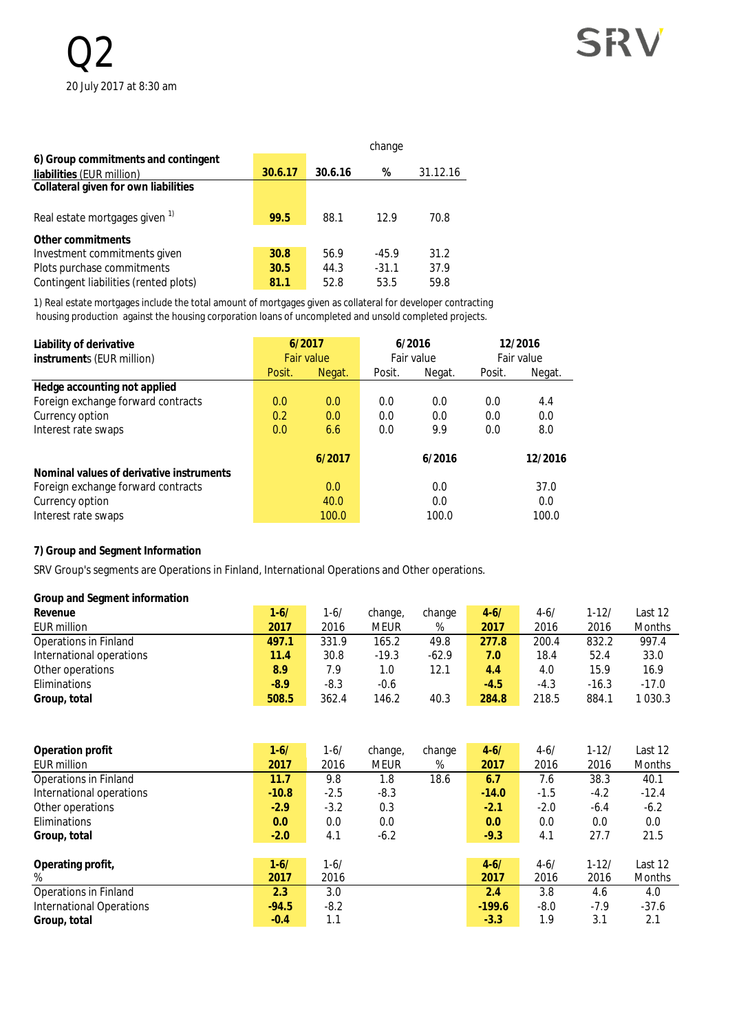|                                           |         |         | change  |          |
|-------------------------------------------|---------|---------|---------|----------|
| 6) Group commitments and contingent       |         |         |         |          |
| liabilities (EUR million)                 | 30.6.17 | 30.6.16 | %       | 31.12.16 |
| Collateral given for own liabilities      |         |         |         |          |
| Real estate mortgages given <sup>1)</sup> | 99.5    | 88.1    | 12.9    | 70.8     |
| Other commitments                         |         |         |         |          |
| Investment commitments given              | 30.8    | 56.9    | $-45.9$ | 31.2     |
| Plots purchase commitments                | 30.5    | 44.3    | $-31.1$ | 37.9     |
| Contingent liabilities (rented plots)     | 81.1    | 52.8    | 53.5    | 59.8     |

1) Real estate mortgages include the total amount of mortgages given as collateral for developer contracting housing production against the housing corporation loans of uncompleted and unsold completed projects.

| Liability of derivative<br>instruments (EUR million) | 6/2017<br><b>Fair value</b> |        | 6/2016<br>Fair value |        | 12/2016<br>Fair value |         |
|------------------------------------------------------|-----------------------------|--------|----------------------|--------|-----------------------|---------|
|                                                      | Posit.                      | Negat. | Posit.               | Negat. | Posit.                | Negat.  |
| Hedge accounting not applied                         |                             |        |                      |        |                       |         |
| Foreign exchange forward contracts                   | 0.0                         | 0.0    | 0.0                  | 0.0    | 0.0                   | 4.4     |
| Currency option                                      | 0.2                         | 0.0    | 0.0                  | 0.0    | 0.0                   | 0.0     |
| Interest rate swaps                                  | 0.0                         | 6.6    | 0.0                  | 9.9    | 0.0                   | 8.0     |
|                                                      |                             | 6/2017 |                      | 6/2016 |                       | 12/2016 |
| Nominal values of derivative instruments             |                             |        |                      |        |                       |         |
| Foreign exchange forward contracts                   |                             | 0.0    |                      | 0.0    |                       | 37.0    |
| Currency option                                      |                             | 40.0   |                      | 0.0    |                       | 0.0     |
| Interest rate swaps                                  |                             | 100.0  |                      | 100.0  |                       | 100.0   |

#### **7) Group and Segment Information**

SRV Group's segments are Operations in Finland, International Operations and Other operations.

#### **Group and Segment information**

| Revenue                  | $1 - 6/$ | 1-6/   | change,     | change  | $4 - 6/$ | $4 - 6/$ | $1 - 12/$ | Last 12       |
|--------------------------|----------|--------|-------------|---------|----------|----------|-----------|---------------|
| EUR million              | 2017     | 2016   | <b>MEUR</b> | %       | 2017     | 2016     | 2016      | <b>Months</b> |
| Operations in Finland    | 497.1    | 331.9  | 165.2       | 49.8    | 277.8    | 200.4    | 832.2     | 997.4         |
| International operations | 11.4     | 30.8   | $-19.3$     | $-62.9$ | 7.0      | 18.4     | 52.4      | 33.0          |
| Other operations         | 8.9      | 7.9    | 1.0         | 12.1    | 4.4      | 4.0      | 15.9      | 16.9          |
| <b>Eliminations</b>      | $-8.9$   | $-8.3$ | $-0.6$      |         | $-4.5$   | $-4.3$   | $-16.3$   | $-17.0$       |
| Group, total             | 508.5    | 362.4  | 146.2       | 40.3    | 284.8    | 218.5    | 884.1     | 030.3         |

| Operation profit                | $1 - 6/$ | $1 - 6/$ | change, | change | $4 - 6/$  | $4 - 6/$ | $1 - 12/$ | Last 12       |
|---------------------------------|----------|----------|---------|--------|-----------|----------|-----------|---------------|
| EUR million                     | 2017     | 2016     | MEUR    | %      | 2017      | 2016     | 2016      | <b>Months</b> |
| <b>Operations in Finland</b>    | 11.7     | 9.8      | 1.8     | 18.6   | 6.7       | 7.6      | 38.3      | 40.1          |
| International operations        | $-10.8$  | $-2.5$   | $-8.3$  |        | $-14.0$   | $-1.5$   | $-4.2$    | $-12.4$       |
| Other operations                | $-2.9$   | $-3.2$   | 0.3     |        | $-2.1$    | $-2.0$   | $-6.4$    | $-6.2$        |
| Eliminations                    | 0.0      | 0.0      | 0.0     |        | 0.0       | 0.0      | 0.0       | 0.0           |
| Group, total                    | $-2.0$   | 4.1      | $-6.2$  |        | $-9.3$    | 4.1      | 27.7      | 21.5          |
|                                 |          |          |         |        |           |          |           |               |
| Operating profit,               | $1 - 6/$ | $1 - 6/$ |         |        | $4 - 6/$  | $4 - 6/$ | $1 - 12/$ | Last 12       |
| %                               | 2017     | 2016     |         |        | 2017      | 2016     | 2016      | <b>Months</b> |
| Operations in Finland           | 2.3      | 3.0      |         |        | $2.4^{2}$ | 3.8      | 4.6       | 4.0           |
| <b>International Operations</b> | $-94.5$  | $-8.2$   |         |        | $-199.6$  | $-8.0$   | $-7.9$    | $-37.6$       |
| Group, total                    | $-0.4$   | 1.1      |         |        | $-3.3$    | 1.9      | 3.1       | 2.1           |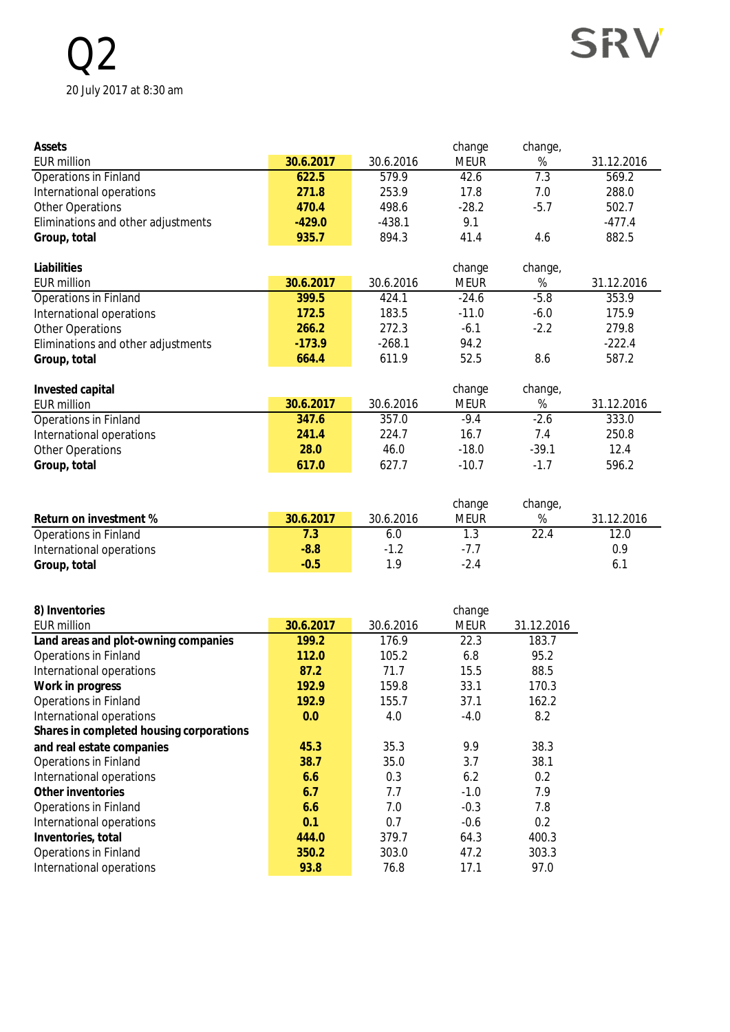## Q2 20 July 2017 at 8:30 am



| Assets                             |           |           | change                | change,         |            |
|------------------------------------|-----------|-----------|-----------------------|-----------------|------------|
| <b>EUR million</b>                 | 30.6.2017 | 30.6.2016 | <b>MEUR</b>           | $\%$            | 31.12.2016 |
| <b>Operations in Finland</b>       | 622.5     | 579.9     | 42.6                  | 7.3             | 569.2      |
| International operations           | 271.8     | 253.9     | 17.8                  | 7.0             | 288.0      |
| <b>Other Operations</b>            | 470.4     | 498.6     | $-28.2$               | $-5.7$          | 502.7      |
| Eliminations and other adjustments | $-429.0$  | $-438.1$  | 9.1                   |                 | $-477.4$   |
| Group, total                       | 935.7     | 894.3     | 41.4                  | 4.6             | 882.5      |
|                                    |           |           |                       |                 |            |
| Liabilities                        |           |           | change                | change,         |            |
| <b>EUR million</b>                 | 30.6.2017 | 30.6.2016 | <b>MEUR</b>           | %               | 31.12.2016 |
| <b>Operations in Finland</b>       | 399.5     | 424.1     | $-24.6$               | $-5.8$          | 353.9      |
| International operations           | 172.5     | 183.5     | $-11.0$               | $-6.0$          | 175.9      |
| <b>Other Operations</b>            | 266.2     | 272.3     | $-6.1$                | $-2.2$          | 279.8      |
| Eliminations and other adjustments | $-173.9$  | $-268.1$  | 94.2                  |                 | $-222.4$   |
| Group, total                       | 664.4     | 611.9     | 52.5                  | 8.6             | 587.2      |
|                                    |           |           |                       |                 |            |
|                                    |           |           |                       |                 |            |
| Invested capital                   |           |           | change                | change,         |            |
| <b>EUR million</b>                 | 30.6.2017 | 30.6.2016 | <b>MEUR</b>           | $\%$            | 31.12.2016 |
| <b>Operations in Finland</b>       | 347.6     | 357.0     | $-9.4$                | $-2.6$          | 333.0      |
| International operations           | 241.4     | 224.7     | 16.7                  | 7.4             | 250.8      |
| <b>Other Operations</b>            | 28.0      | 46.0      | $-18.0$               | $-39.1$         | 12.4       |
| Group, total                       | 617.0     | 627.7     | $-10.7$               | $-1.7$          | 596.2      |
|                                    |           |           |                       |                 |            |
|                                    |           |           |                       |                 |            |
| Return on investment %             | 30.6.2017 | 30.6.2016 | change<br><b>MEUR</b> | change,<br>$\%$ | 31.12.2016 |
| Operations in Finland              | 7.3       | 6.0       | 1.3                   | 22.4            | 12.0       |
| International operations           | $-8.8$    | $-1.2$    | $-7.7$                |                 | 0.9        |
| Group, total                       | $-0.5$    | 1.9       | $-2.4$                |                 | 6.1        |
|                                    |           |           |                       |                 |            |
| 8) Inventories                     |           |           | change                |                 |            |

| OT ILIVELITUL IES                        |           |           | cridrige    |            |
|------------------------------------------|-----------|-----------|-------------|------------|
| <b>EUR million</b>                       | 30.6.2017 | 30.6.2016 | <b>MEUR</b> | 31.12.2016 |
| Land areas and plot-owning companies     | 199.2     | 176.9     | 22.3        | 183.7      |
| <b>Operations in Finland</b>             | 112.0     | 105.2     | 6.8         | 95.2       |
| International operations                 | 87.2      | 71.7      | 15.5        | 88.5       |
| Work in progress                         | 192.9     | 159.8     | 33.1        | 170.3      |
| <b>Operations in Finland</b>             | 192.9     | 155.7     | 37.1        | 162.2      |
| International operations                 | 0.0       | 4.0       | $-4.0$      | 8.2        |
| Shares in completed housing corporations |           |           |             |            |
| and real estate companies                | 45.3      | 35.3      | 9.9         | 38.3       |
| <b>Operations in Finland</b>             | 38.7      | 35.0      | 3.7         | 38.1       |
| International operations                 | 6.6       | 0.3       | 6.2         | 0.2        |
| Other inventories                        | 6.7       | 7.7       | $-1.0$      | 7.9        |
| <b>Operations in Finland</b>             | 6.6       | 7.0       | $-0.3$      | 7.8        |
| International operations                 | 0.1       | 0.7       | $-0.6$      | 0.2        |
| Inventories, total                       | 444.0     | 379.7     | 64.3        | 400.3      |
| <b>Operations in Finland</b>             | 350.2     | 303.0     | 47.2        | 303.3      |
| International operations                 | 93.8      | 76.8      | 17.1        | 97.0       |
|                                          |           |           |             |            |